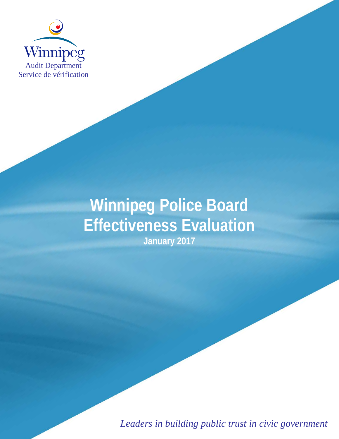

# **Winnipeg Police Board Effectiveness Evaluation January 2017**

*Leaders in building public trust in civic government*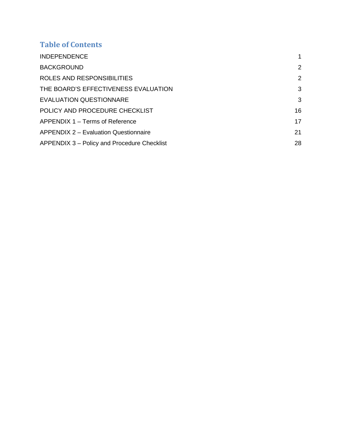# **Table of Contents**

| <b>INDEPENDENCE</b>                          |                |
|----------------------------------------------|----------------|
| <b>BACKGROUND</b>                            | $\overline{2}$ |
| ROLES AND RESPONSIBILITIES                   | 2              |
| THE BOARD'S EFFECTIVENESS EVALUATION         | 3              |
| <b>EVALUATION QUESTIONNARE</b>               | 3              |
| POLICY AND PROCEDURE CHECKLIST               | 16             |
| APPENDIX 1 – Terms of Reference              | 17             |
| <b>APPENDIX 2 – Evaluation Questionnaire</b> | 21             |
| APPENDIX 3 – Policy and Procedure Checklist  | 28             |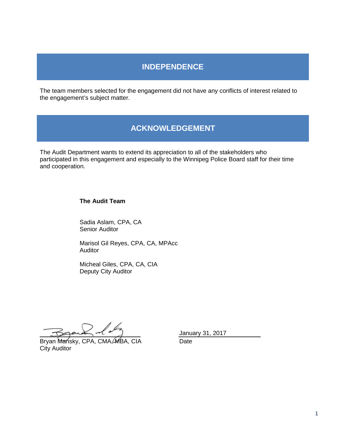# **INDEPENDENCE**

The team members selected for the engagement did not have any conflicts of interest related to the engagement's subject matter.

# **ACKNOWLEDGEMENT**

The Audit Department wants to extend its appreciation to all of the stakeholders who participated in this engagement and especially to the Winnipeg Police Board staff for their time and cooperation.

#### **The Audit Team**

Sadia Aslam, CPA, CA Senior Auditor

Marisol Gil Reyes, CPA, CA, MPAcc Auditor

Micheal Giles, CPA, CA, CIA Deputy City Auditor

<span id="page-3-0"></span>Bryan Mansky, CPA, CMA, MBA, CIA Date City Auditor

January 31, 2017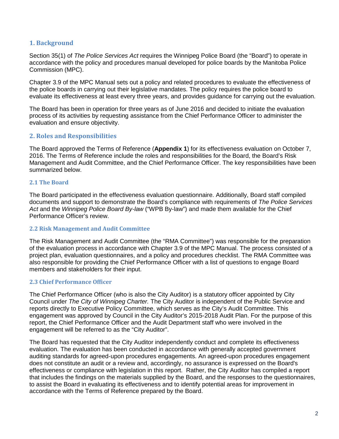#### **1. Background**

Section 35(1) of *The Police Services Act* requires the Winnipeg Police Board (the "Board") to operate in accordance with the policy and procedures manual developed for police boards by the Manitoba Police Commission (MPC).

Chapter 3.9 of the MPC Manual sets out a policy and related procedures to evaluate the effectiveness of the police boards in carrying out their legislative mandates. The policy requires the police board to evaluate its effectiveness at least every three years, and provides guidance for carrying out the evaluation.

The Board has been in operation for three years as of June 2016 and decided to initiate the evaluation process of its activities by requesting assistance from the Chief Performance Officer to administer the evaluation and ensure objectivity.

#### **2. Roles and Responsibilities**

The Board approved the Terms of Reference (**Appendix 1**) for its effectiveness evaluation on October 7, 2016. The Terms of Reference include the roles and responsibilities for the Board, the Board's Risk Management and Audit Committee, and the Chief Performance Officer. The key responsibilities have been summarized below.

#### **2.1 The Board**

The Board participated in the effectiveness evaluation questionnaire. Additionally, Board staff compiled documents and support to demonstrate the Board's compliance with requirements of *The Police Services Act* and the *Winnipeg Police Board By-law* ("WPB By-law") and made them available for the Chief Performance Officer's review.

#### **2.2 Risk Management and Audit Committee**

The Risk Management and Audit Committee (the "RMA Committee") was responsible for the preparation of the evaluation process in accordance with Chapter 3.9 of the MPC Manual. The process consisted of a project plan, evaluation questionnaires, and a policy and procedures checklist. The RMA Committee was also responsible for providing the Chief Performance Officer with a list of questions to engage Board members and stakeholders for their input.

#### **2.3 Chief Performance Officer**

The Chief Performance Officer (who is also the City Auditor) is a statutory officer appointed by City Council under *The City of Winnipeg Charter.* The City Auditor is independent of the Public Service and reports directly to Executive Policy Committee, which serves as the City's Audit Committee. This engagement was approved by Council in the City Auditor's 2015-2018 Audit Plan. For the purpose of this report, the Chief Performance Officer and the Audit Department staff who were involved in the engagement will be referred to as the "City Auditor".

The Board has requested that the City Auditor independently conduct and complete its effectiveness evaluation. The evaluation has been conducted in accordance with generally accepted government auditing standards for agreed-upon procedures engagements. An agreed-upon procedures engagement does not constitute an audit or a review and, accordingly, no assurance is expressed on the Board's effectiveness or compliance with legislation in this report. Rather, the City Auditor has compiled a report that includes the findings on the materials supplied by the Board, and the responses to the questionnaires, to assist the Board in evaluating its effectiveness and to identify potential areas for improvement in accordance with the Terms of Reference prepared by the Board.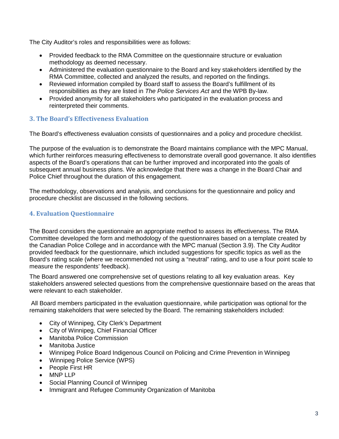The City Auditor's roles and responsibilities were as follows:

- Provided feedback to the RMA Committee on the questionnaire structure or evaluation methodology as deemed necessary.
- Administered the evaluation questionnaire to the Board and key stakeholders identified by the RMA Committee, collected and analyzed the results, and reported on the findings.
- Reviewed information compiled by Board staff to assess the Board's fulfillment of its responsibilities as they are listed in *The Police Services Act* and the WPB By-law.
- Provided anonymity for all stakeholders who participated in the evaluation process and reinterpreted their comments.

#### **3. The Board's Effectiveness Evaluation**

The Board's effectiveness evaluation consists of questionnaires and a policy and procedure checklist.

The purpose of the evaluation is to demonstrate the Board maintains compliance with the MPC Manual, which further reinforces measuring effectiveness to demonstrate overall good governance. It also identifies aspects of the Board's operations that can be further improved and incorporated into the goals of subsequent annual business plans. We acknowledge that there was a change in the Board Chair and Police Chief throughout the duration of this engagement.

The methodology, observations and analysis, and conclusions for the questionnaire and policy and procedure checklist are discussed in the following sections.

## **4. Evaluation Questionnaire**

The Board considers the questionnaire an appropriate method to assess its effectiveness. The RMA Committee developed the form and methodology of the questionnaires based on a template created by the Canadian Police College and in accordance with the MPC manual (Section 3.9). The City Auditor provided feedback for the questionnaire, which included suggestions for specific topics as well as the Board's rating scale (where we recommended not using a "neutral" rating, and to use a four point scale to measure the respondents' feedback).

The Board answered one comprehensive set of questions relating to all key evaluation areas. Key stakeholders answered selected questions from the comprehensive questionnaire based on the areas that were relevant to each stakeholder.

 All Board members participated in the evaluation questionnaire, while participation was optional for the remaining stakeholders that were selected by the Board. The remaining stakeholders included:

- City of Winnipeg, City Clerk's Department
- City of Winnipeg, Chief Financial Officer
- Manitoba Police Commission
- Manitoba Justice
- Winnipeg Police Board Indigenous Council on Policing and Crime Prevention in Winnipeg
- Winnipeg Police Service (WPS)
- People First HR
- MNP LLP
- Social Planning Council of Winnipeg
- Immigrant and Refugee Community Organization of Manitoba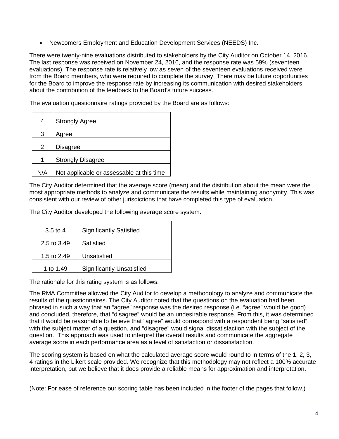• Newcomers Employment and Education Development Services (NEEDS) Inc.

There were twenty-nine evaluations distributed to stakeholders by the City Auditor on October 14, 2016. The last response was received on November 24, 2016, and the response rate was 59% (seventeen evaluations). The response rate is relatively low as seven of the seventeen evaluations received were from the Board members, who were required to complete the survey. There may be future opportunities for the Board to improve the response rate by increasing its communication with desired stakeholders about the contribution of the feedback to the Board's future success.

The evaluation questionnaire ratings provided by the Board are as follows:

| 4   | <b>Strongly Agree</b>                     |
|-----|-------------------------------------------|
| 3   | Agree                                     |
| 2   | Disagree                                  |
| 1   | <b>Strongly Disagree</b>                  |
| N/A | Not applicable or assessable at this time |

The City Auditor determined that the average score (mean) and the distribution about the mean were the most appropriate methods to analyze and communicate the results while maintaining anonymity. This was consistent with our review of other jurisdictions that have completed this type of evaluation.

The City Auditor developed the following average score system:

| $3.5$ to 4  | <b>Significantly Satisfied</b>   |
|-------------|----------------------------------|
| 2.5 to 3.49 | Satisfied                        |
| 1.5 to 2.49 | Unsatisfied                      |
| 1 to 1.49   | <b>Significantly Unsatisfied</b> |

The rationale for this rating system is as follows:

The RMA Committee allowed the City Auditor to develop a methodology to analyze and communicate the results of the questionnaires. The City Auditor noted that the questions on the evaluation had been phrased in such a way that an "agree" response was the desired response (i.e. "agree" would be good) and concluded, therefore, that "disagree" would be an undesirable response. From this, it was determined that it would be reasonable to believe that "agree" would correspond with a respondent being "satisfied" with the subject matter of a question, and "disagree" would signal dissatisfaction with the subject of the question. This approach was used to interpret the overall results and communicate the aggregate average score in each performance area as a level of satisfaction or dissatisfaction.

The scoring system is based on what the calculated average score would round to in terms of the 1, 2, 3, 4 ratings in the Likert scale provided. We recognize that this methodology may not reflect a 100% accurate interpretation, but we believe that it does provide a reliable means for approximation and interpretation.

(Note: For ease of reference our scoring table has been included in the footer of the pages that follow.)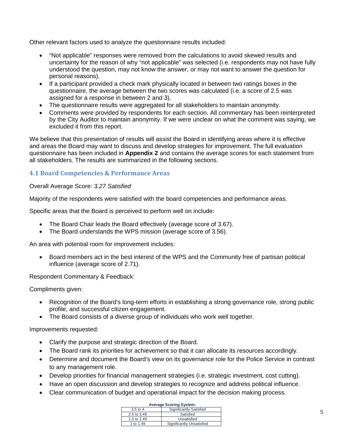Other relevant factors used to analyze the questionnaire results included:

- "Not applicable" responses were removed from the calculations to avoid skewed results and uncertainty for the reason of why "not applicable" was selected (i.e. respondents may not have fully understood the question, may not know the answer, or may not want to answer the question for personal reasons).
- If a participant provided a check mark physically located in between two ratings boxes in the questionnaire, the average between the two scores was calculated (i.e. a score of 2.5 was assigned for a response in between 2 and 3).
- The questionnaire results were aggregated for all stakeholders to maintain anonymity.
- Comments were provided by respondents for each section. All commentary has been reinterpreted by the City Auditor to maintain anonymity. If we were unclear on what the comment was saying, we excluded it from this report.

We believe that this presentation of results will assist the Board in identifying areas where it is effective and areas the Board may want to discuss and develop strategies for improvement. The full evaluation questionnaire has been included in **Appendix 2** and contains the average scores for each statement from all stakeholders. The results are summarized in the following sections.

#### **4.1 Board Competencies & Performance Areas**

#### Overall Average Score: *3.27 Satisfied*

Majority of the respondents were satisfied with the board competencies and performance areas.

Specific areas that the Board is perceived to perform well on include:

- The Board Chair leads the Board effectively (average score of 3.67).
- The Board understands the WPS mission (average score of 3.56).

An area with potential room for improvement includes:

• Board members act in the best interest of the WPS and the Community free of partisan political influence (average score of 2.71).

Respondent Commentary & Feedback:

Compliments given:

- Recognition of the Board's long-term efforts in establishing a strong governance role, strong public profile, and successful citizen engagement.
- The Board consists of a diverse group of individuals who work well together.

Improvements requested:

- Clarify the purpose and strategic direction of the Board.
- The Board rank its priorities for achievement so that it can allocate its resources accordingly.
- Determine and document the Board's view on its governance role for the Police Service in contrast to any management role.
- Develop priorities for financial management strategies (i.e. strategic investment, cost cutting).
- Have an open discussion and develop strategies to recognize and address political influence.
- Clear communication of budget and operational impact for the decision making process.

| <b>Average Scoring System:</b> |                           |
|--------------------------------|---------------------------|
| $3.5$ to 4                     | Significantly Satisfied   |
| 2.5 to 3.49                    | Satisfied                 |
| 1.5 to 2.49                    | Unsatisfied               |
| 1 to 1.49                      | Significantly Unsatisfied |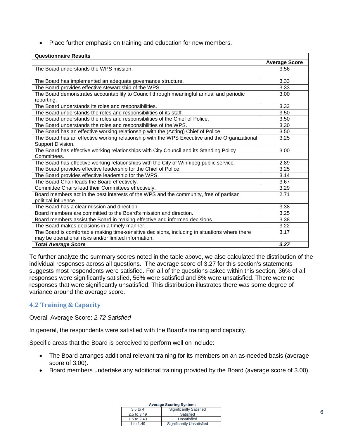• Place further emphasis on training and education for new members.

| <b>Questionnaire Results</b>                                                                  |                      |
|-----------------------------------------------------------------------------------------------|----------------------|
|                                                                                               | <b>Average Score</b> |
| The Board understands the WPS mission.                                                        | 3.56                 |
|                                                                                               |                      |
| The Board has implemented an adequate governance structure.                                   | 3.33                 |
| The Board provides effective stewardship of the WPS.                                          | 3.33                 |
| The Board demonstrates accountability to Council through meaningful annual and periodic       | 3.00                 |
| reporting.                                                                                    |                      |
| The Board understands its roles and responsibilities.                                         | 3.33                 |
| The Board understands the roles and responsibilities of its staff.                            | 3.50                 |
| The Board understands the roles and responsibilities of the Chief of Police.                  | 3.50                 |
| The Board understands the roles and responsibilities of the WPS.                              | 3.30                 |
| The Board has an effective working relationship with the (Acting) Chief of Police.            | 3.50                 |
| The Board has an effective working relationship with the WPS Executive and the Organizational | 3.25                 |
| Support Division.                                                                             |                      |
| The Board has effective working relationships with City Council and its Standing Policy       | 3.00                 |
| Committees.                                                                                   |                      |
| The Board has effective working relationships with the City of Winnipeg public service.       | 2.89                 |
| The Board provides effective leadership for the Chief of Police.                              | 3.25                 |
| The Board provides effective leadership for the WPS.                                          | 3.14                 |
| The Board Chair leads the Board effectively.                                                  | 3.67                 |
| Committee Chairs lead their Committees effectively.                                           | 3.29                 |
| Board members act in the best interests of the WPS and the community, free of partisan        | 2.71                 |
| political influence.                                                                          |                      |
| The Board has a clear mission and direction.                                                  | 3.38                 |
| Board members are committed to the Board's mission and direction.                             | 3.25                 |
| Board members assist the Board in making effective and informed decisions.                    | 3.38                 |
| The Board makes decisions in a timely manner.                                                 | 3.22                 |
| The Board is comfortable making time-sensitive decisions, including in situations where there | 3.17                 |
| may be operational risks and/or limited information.                                          |                      |
| <b>Total Average Score</b>                                                                    | 3.27                 |

To further analyze the summary scores noted in the table above, we also calculated the distribution of the individual responses across all questions. The average score of 3.27 for this section's statements suggests most respondents were satisfied. For all of the questions asked within this section, 36% of all responses were significantly satisfied, 56% were satisfied and 8% were unsatisfied. There were no responses that were significantly unsatisfied. This distribution illustrates there was some degree of variance around the average score.

## **4.2 Training & Capacity**

Overall Average Score: *2.72 Satisfied*

In general, the respondents were satisfied with the Board's training and capacity.

Specific areas that the Board is perceived to perform well on include:

- The Board arranges additional relevant training for its members on an as-needed basis (average score of 3.00).
- Board members undertake any additional training provided by the Board (average score of 3.00).

| <b>Average Scoring System:</b> |                           |
|--------------------------------|---------------------------|
| $3.5$ to 4                     | Significantly Satisfied   |
| 2.5 to 3.49                    | Satisfied                 |
| 1.5 to 2.49                    | Unsatisfied               |
| 1 to 1.49                      | Significantly Unsatisfied |

6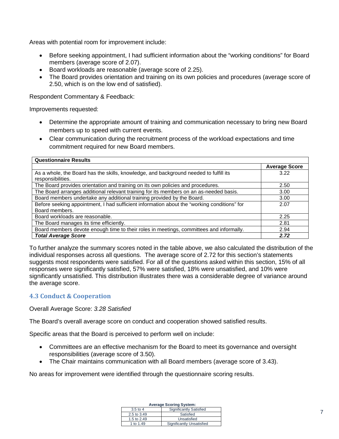Areas with potential room for improvement include:

- Before seeking appointment, I had sufficient information about the "working conditions" for Board members (average score of 2.07).
- Board workloads are reasonable (average score of 2.25).
- The Board provides orientation and training on its own policies and procedures (average score of 2.50, which is on the low end of satisfied).

Respondent Commentary & Feedback:

Improvements requested:

- Determine the appropriate amount of training and communication necessary to bring new Board members up to speed with current events.
- Clear communication during the recruitment process of the workload expectations and time commitment required for new Board members.

| <b>Questionnaire Results</b>                                                                |                      |
|---------------------------------------------------------------------------------------------|----------------------|
|                                                                                             | <b>Average Score</b> |
| As a whole, the Board has the skills, knowledge, and background needed to fulfill its       | 3.22                 |
| responsibilities.                                                                           |                      |
| The Board provides orientation and training on its own policies and procedures.             | 2.50                 |
| The Board arranges additional relevant training for its members on an as-needed basis.      | 3.00                 |
| Board members undertake any additional training provided by the Board.                      | 3.00                 |
| Before seeking appointment, I had sufficient information about the "working conditions" for | 2.07                 |
| Board members.                                                                              |                      |
| Board workloads are reasonable.                                                             | 2.25                 |
| The Board manages its time efficiently.                                                     | 2.81                 |
| Board members devote enough time to their roles in meetings, committees and informally.     | 2.94                 |
| <b>Total Average Score</b>                                                                  | 2.72                 |

To further analyze the summary scores noted in the table above, we also calculated the distribution of the individual responses across all questions. The average score of 2.72 for this section's statements suggests most respondents were satisfied. For all of the questions asked within this section, 15% of all responses were significantly satisfied, 57% were satisfied, 18% were unsatisfied, and 10% were significantly unsatisfied. This distribution illustrates there was a considerable degree of variance around the average score.

#### **4.3 Conduct & Cooperation**

Overall Average Score: *3.28 Satisfied*

The Board's overall average score on conduct and cooperation showed satisfied results.

Specific areas that the Board is perceived to perform well on include:

- Committees are an effective mechanism for the Board to meet its governance and oversight responsibilities (average score of 3.50).
- The Chair maintains communication with all Board members (average score of 3.43).

No areas for improvement were identified through the questionnaire scoring results.

| <b>Average Scoring System:</b> |                           |
|--------------------------------|---------------------------|
| $3.5$ to 4                     | Significantly Satisfied   |
| 2.5 to 3.49                    | Satisfied                 |
| 1.5 to 2.49                    | Unsatisfied               |
| 1 to 1.49                      | Significantly Unsatisfied |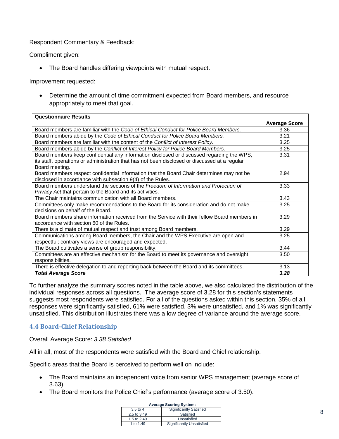#### Respondent Commentary & Feedback:

Compliment given:

• The Board handles differing viewpoints with mutual respect.

Improvement requested:

• Determine the amount of time commitment expected from Board members, and resource appropriately to meet that goal.

| <b>Questionnaire Results</b>                                                                                                                                                                                 |                      |
|--------------------------------------------------------------------------------------------------------------------------------------------------------------------------------------------------------------|----------------------|
|                                                                                                                                                                                                              | <b>Average Score</b> |
| Board members are familiar with the Code of Ethical Conduct for Police Board Members.                                                                                                                        | 3.36                 |
| Board members abide by the Code of Ethical Conduct for Police Board Members.                                                                                                                                 | 3.21                 |
| Board members are familiar with the content of the Conflict of Interest Policy.                                                                                                                              | 3.25                 |
| Board members abide by the Conflict of Interest Policy for Police Board Members.                                                                                                                             | 3.25                 |
| Board members keep confidential any information disclosed or discussed regarding the WPS,<br>its staff, operations or administration that has not been disclosed or discussed at a regular<br>Board meeting. | 3.31                 |
| Board members respect confidential information that the Board Chair determines may not be<br>disclosed in accordance with subsection 9(4) of the Rules.                                                      | 2.94                 |
| Board members understand the sections of the Freedom of Information and Protection of<br>Privacy Act that pertain to the Board and its activities.                                                           | 3.33                 |
| The Chair maintains communication with all Board members.                                                                                                                                                    | 3.43                 |
| Committees only make recommendations to the Board for its consideration and do not make<br>decisions on behalf of the Board.                                                                                 | 3.25                 |
| Board members share information received from the Service with their fellow Board members in<br>accordance with section 60 of the Rules.                                                                     | 3.29                 |
| There is a climate of mutual respect and trust among Board members.                                                                                                                                          | 3.29                 |
| Communications among Board members, the Chair and the WPS Executive are open and<br>respectful; contrary views are encouraged and expected.                                                                  | 3.25                 |
| The Board cultivates a sense of group responsibility.                                                                                                                                                        | 3.44                 |
| Committees are an effective mechanism for the Board to meet its governance and oversight<br>responsibilities.                                                                                                | 3.50                 |
| There is effective delegation to and reporting back between the Board and its committees.                                                                                                                    | 3.13                 |
| <b>Total Average Score</b>                                                                                                                                                                                   | 3.28                 |

To further analyze the summary scores noted in the table above, we also calculated the distribution of the individual responses across all questions. The average score of 3.28 for this section's statements suggests most respondents were satisfied. For all of the questions asked within this section, 35% of all responses were significantly satisfied, 61% were satisfied, 3% were unsatisfied, and 1% was significantly unsatisfied. This distribution illustrates there was a low degree of variance around the average score.

#### **4.4 Board-Chief Relationship**

Overall Average Score: *3.38 Satisfied*

All in all, most of the respondents were satisfied with the Board and Chief relationship.

Specific areas that the Board is perceived to perform well on include:

- The Board maintains an independent voice from senior WPS management (average score of 3.63).
- The Board monitors the Police Chief's performance (average score of 3.50).

|  | <b>Average Scoring System:</b> |
|--|--------------------------------|
|  |                                |

| $3.5$ to 4  | <b>Significantly Satisfied</b> |  |
|-------------|--------------------------------|--|
| 2.5 to 3.49 | Satisfied                      |  |
| 1.5 to 2.49 | Unsatisfied                    |  |
| 1 to 1.49   | Significantly Unsatisfied      |  |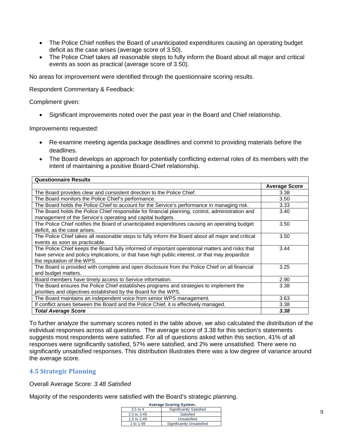- The Police Chief notifies the Board of unanticipated expenditures causing an operating budget deficit as the case arises (average score of 3.50).
- The Police Chief takes all reasonable steps to fully inform the Board about all major and critical events as soon as practical (average score of 3.50).

No areas for improvement were identified through the questionnaire scoring results.

Respondent Commentary & Feedback:

Compliment given:

• Significant improvements noted over the past year in the Board and Chief relationship.

Improvements requested:

- Re-examine meeting agenda package deadlines and commit to providing materials before the deadlines.
- The Board develops an approach for potentially conflicting external roles of its members with the intent of maintaining a positive Board-Chief relationship.

| <b>Questionnaire Results</b>                                                                                                                                                                                                     |                      |
|----------------------------------------------------------------------------------------------------------------------------------------------------------------------------------------------------------------------------------|----------------------|
|                                                                                                                                                                                                                                  | <b>Average Score</b> |
| The Board provides clear and consistent direction to the Police Chief.                                                                                                                                                           | 3.38                 |
| The Board monitors the Police Chief's performance.                                                                                                                                                                               | 3.50                 |
| The Board holds the Police Chief to account for the Service's performance in managing risk.                                                                                                                                      | 3.33                 |
| The Board holds the Police Chief responsible for financial planning, control, administration and<br>management of the Service's operating and capital budgets.                                                                   | 3.40                 |
| The Police Chief notifies the Board of unanticipated expenditures causing an operating budget<br>deficit, as the case arises.                                                                                                    | 3.50                 |
| The Police Chief takes all reasonable steps to fully inform the Board about all major and critical<br>events as soon as practicable.                                                                                             | 3.50                 |
| The Police Chief keeps the Board fully informed of important operational matters and risks that<br>have service and policy implications, or that have high public interest, or that may jeopardize<br>the reputation of the WPS. | 3.44                 |
| The Board is provided with complete and open disclosure from the Police Chief on all financial<br>and budget matters.                                                                                                            | 3.25                 |
| Board members have timely access to Service information.                                                                                                                                                                         | 2.90                 |
| The Board ensures the Police Chief establishes programs and strategies to implement the<br>priorities and objectives established by the Board for the WPS.                                                                       | 3.38                 |
| The Board maintains an independent voice from senior WPS management.                                                                                                                                                             | 3.63                 |
| If conflict arises between the Board and the Police Chief, it is effectively managed.                                                                                                                                            | 3.38                 |
| <b>Total Average Score</b>                                                                                                                                                                                                       | 3,38                 |

To further analyze the summary scores noted in the table above, we also calculated the distribution of the individual responses across all questions. The average score of 3.38 for this section's statements suggests most respondents were satisfied. For all of questions asked within this section, 41% of all responses were significantly satisfied, 57% were satisfied, and 2% were unsatisfied. There were no significantly unsatisfied responses. This distribution illustrates there was a low degree of variance around the average score.

#### **4.5 Strategic Planning**

Overall Average Score: *3.48 Satisfied*

Majority of the respondents were satisfied with the Board's strategic planning.

| <b>Average Scoring System:</b> |                                |
|--------------------------------|--------------------------------|
| $3.5$ to 4                     | <b>Significantly Satisfied</b> |
| 2.5 to 3.49                    | Satisfied                      |
| 1.5 to 2.49                    | Unsatisfied                    |
| 1 to 1.49                      | Significantly Unsatisfied      |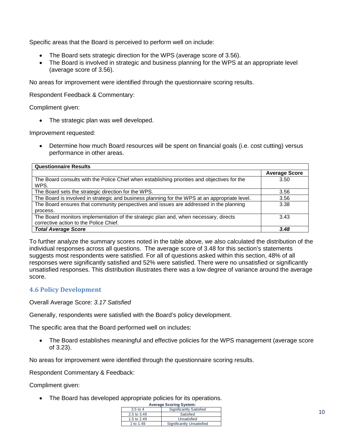Specific areas that the Board is perceived to perform well on include:

- The Board sets strategic direction for the WPS (average score of 3.56).
- The Board is involved in strategic and business planning for the WPS at an appropriate level (average score of 3.56).

No areas for improvement were identified through the questionnaire scoring results.

Respondent Feedback & Commentary:

Compliment given:

• The strategic plan was well developed.

Improvement requested:

• Determine how much Board resources will be spent on financial goals (i.e. cost cutting) versus performance in other areas.

| <b>Questionnaire Results</b>                                                                                                   |                      |  |
|--------------------------------------------------------------------------------------------------------------------------------|----------------------|--|
|                                                                                                                                | <b>Average Score</b> |  |
| The Board consults with the Police Chief when establishing priorities and objectives for the<br>WPS.                           | 3.50                 |  |
| The Board sets the strategic direction for the WPS.                                                                            | 3.56                 |  |
| The Board is involved in strategic and business planning for the WPS at an appropriate level.                                  | 3.56                 |  |
| The Board ensures that community perspectives and issues are addressed in the planning<br>process.                             | 3.38                 |  |
| The Board monitors implementation of the strategic plan and, when necessary, directs<br>corrective action to the Police Chief. | 3.43                 |  |
| <b>Total Average Score</b>                                                                                                     | 3.48                 |  |

To further analyze the summary scores noted in the table above, we also calculated the distribution of the individual responses across all questions. The average score of 3.48 for this section's statements suggests most respondents were satisfied. For all of questions asked within this section, 48% of all responses were significantly satisfied and 52% were satisfied. There were no unsatisfied or significantly unsatisfied responses. This distribution illustrates there was a low degree of variance around the average score.

#### **4.6 Policy Development**

Overall Average Score: *3.17 Satisfied*

Generally, respondents were satisfied with the Board's policy development.

The specific area that the Board performed well on includes:

• The Board establishes meaningful and effective policies for the WPS management (average score of 3.23).

No areas for improvement were identified through the questionnaire scoring results.

Respondent Commentary & Feedback:

Compliment given:

• The Board has developed appropriate policies for its operations.

| <b>Average Scoring System:</b> |                           |
|--------------------------------|---------------------------|
| $3.5$ to 4                     | Significantly Satisfied   |
| 2.5 to 3.49                    | Satisfied                 |
| 1.5 to 2.49                    | Unsatisfied               |
| 1 to 1.49                      | Significantly Unsatisfied |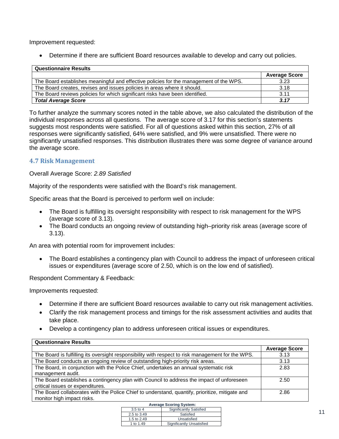Improvement requested:

• Determine if there are sufficient Board resources available to develop and carry out policies.

| <b>Questionnaire Results</b>                                                           |                      |  |
|----------------------------------------------------------------------------------------|----------------------|--|
|                                                                                        | <b>Average Score</b> |  |
| The Board establishes meaningful and effective policies for the management of the WPS. | 3.23                 |  |
| The Board creates, revises and issues policies in areas where it should.               | 3.18                 |  |
| The Board reviews policies for which significant risks have been identified.           | 3.11                 |  |
| <b>Total Average Score</b>                                                             | 3.17                 |  |

To further analyze the summary scores noted in the table above, we also calculated the distribution of the individual responses across all questions. The average score of 3.17 for this section's statements suggests most respondents were satisfied. For all of questions asked within this section, 27% of all responses were significantly satisfied, 64% were satisfied, and 9% were unsatisfied. There were no significantly unsatisfied responses. This distribution illustrates there was some degree of variance around the average score.

#### **4.7 Risk Management**

Overall Average Score: *2.89 Satisfied*

Majority of the respondents were satisfied with the Board's risk management.

Specific areas that the Board is perceived to perform well on include:

- The Board is fulfilling its oversight responsibility with respect to risk management for the WPS (average score of 3.13).
- The Board conducts an ongoing review of outstanding high–priority risk areas (average score of 3.13).

An area with potential room for improvement includes:

• The Board establishes a contingency plan with Council to address the impact of unforeseen critical issues or expenditures (average score of 2.50, which is on the low end of satisfied).

Respondent Commentary & Feedback:

Improvements requested:

- Determine if there are sufficient Board resources available to carry out risk management activities.
- Clarify the risk management process and timings for the risk assessment activities and audits that take place.
- Develop a contingency plan to address unforeseen critical issues or expenditures.

| <b>Questionnaire Results</b>                                                                                                  |                      |  |
|-------------------------------------------------------------------------------------------------------------------------------|----------------------|--|
|                                                                                                                               | <b>Average Score</b> |  |
| The Board is fulfilling its oversight responsibility with respect to risk management for the WPS.                             | 3.13                 |  |
| The Board conducts an ongoing review of outstanding high-priority risk areas.                                                 | 3.13                 |  |
| The Board, in conjunction with the Police Chief, undertakes an annual systematic risk<br>management audit.                    | 2.83                 |  |
| The Board establishes a contingency plan with Council to address the impact of unforeseen<br>critical issues or expenditures. | 2.50                 |  |
| The Board collaborates with the Police Chief to understand, quantify, prioritize, mitigate and<br>monitor high impact risks.  | 2.86                 |  |
| <b>Average Scoring System:</b>                                                                                                |                      |  |

| <b>Average Scoring System:</b> |                                  |
|--------------------------------|----------------------------------|
| $3.5$ to 4                     | <b>Significantly Satisfied</b>   |
| 2.5 to 3.49                    | Satisfied                        |
| 1.5 to 2.49                    | Unsatisfied                      |
| 1 to 1.49                      | <b>Significantly Unsatisfied</b> |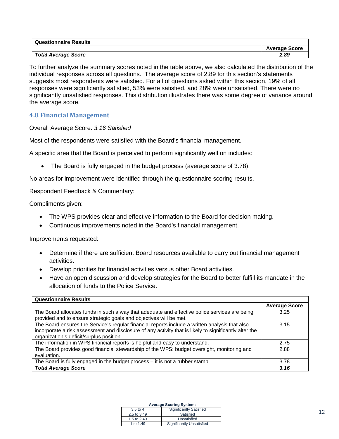| <b>Questionnaire Results</b> |                      |
|------------------------------|----------------------|
|                              | <b>Average Score</b> |
| <b>Total Average Score</b>   | 2.89                 |

To further analyze the summary scores noted in the table above, we also calculated the distribution of the individual responses across all questions. The average score of 2.89 for this section's statements suggests most respondents were satisfied. For all of questions asked within this section, 19% of all responses were significantly satisfied, 53% were satisfied, and 28% were unsatisfied. There were no significantly unsatisfied responses. This distribution illustrates there was some degree of variance around the average score.

#### **4.8 Financial Management**

Overall Average Score: *3.16 Satisfied*

Most of the respondents were satisfied with the Board's financial management.

A specific area that the Board is perceived to perform significantly well on includes:

• The Board is fully engaged in the budget process (average score of 3.78).

No areas for improvement were identified through the questionnaire scoring results.

Respondent Feedback & Commentary:

Compliments given:

- The WPS provides clear and effective information to the Board for decision making.
- Continuous improvements noted in the Board's financial management.

Improvements requested:

- Determine if there are sufficient Board resources available to carry out financial management activities.
- Develop priorities for financial activities versus other Board activities.
- Have an open discussion and develop strategies for the Board to better fulfill its mandate in the allocation of funds to the Police Service.

| <b>Questionnaire Results</b>                                                                                                                                                                                                                         |                      |
|------------------------------------------------------------------------------------------------------------------------------------------------------------------------------------------------------------------------------------------------------|----------------------|
|                                                                                                                                                                                                                                                      | <b>Average Score</b> |
| The Board allocates funds in such a way that adequate and effective police services are being<br>provided and to ensure strategic goals and objectives will be met.                                                                                  | 3.25                 |
| The Board ensures the Service's regular financial reports include a written analysis that also<br>incorporate a risk assessment and disclosure of any activity that is likely to significantly alter the<br>organization's deficit/surplus position. | 3.15                 |
| The information in WPS financial reports is helpful and easy to understand.                                                                                                                                                                          | 2.75                 |
| The Board provides good financial stewardship of the WPS: budget oversight, monitoring and<br>evaluation.                                                                                                                                            | 2.88                 |
| The Board is fully engaged in the budget process - it is not a rubber stamp.                                                                                                                                                                         | 3.78                 |
| <b>Total Average Score</b>                                                                                                                                                                                                                           | 3.16                 |

| $3.5$ to 4  | <b>Significantly Satisfied</b>   |
|-------------|----------------------------------|
| 2.5 to 3.49 | Satisfied                        |
| 1.5 to 2.49 | Unsatisfied                      |
| 1 to 1.49   | <b>Significantly Unsatisfied</b> |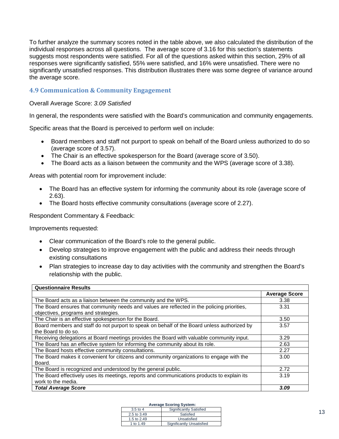To further analyze the summary scores noted in the table above, we also calculated the distribution of the individual responses across all questions. The average score of 3.16 for this section's statements suggests most respondents were satisfied. For all of the questions asked within this section, 29% of all responses were significantly satisfied, 55% were satisfied, and 16% were unsatisfied. There were no significantly unsatisfied responses. This distribution illustrates there was some degree of variance around the average score.

#### **4.9 Communication & Community Engagement**

Overall Average Score: *3.09 Satisfied*

In general, the respondents were satisfied with the Board's communication and community engagements.

Specific areas that the Board is perceived to perform well on include:

- Board members and staff not purport to speak on behalf of the Board unless authorized to do so (average score of 3.57).
- The Chair is an effective spokesperson for the Board (average score of 3.50).
- The Board acts as a liaison between the community and the WPS (average score of 3.38).

Areas with potential room for improvement include:

- The Board has an effective system for informing the community about its role (average score of 2.63).
- The Board hosts effective community consultations (average score of 2.27).

Respondent Commentary & Feedback:

Improvements requested:

- Clear communication of the Board's role to the general public.
- Develop strategies to improve engagement with the public and address their needs through existing consultations
- Plan strategies to increase day to day activities with the community and strengthen the Board's relationship with the public.

| <b>Questionnaire Results</b>                                                                |                      |  |
|---------------------------------------------------------------------------------------------|----------------------|--|
|                                                                                             | <b>Average Score</b> |  |
| The Board acts as a liaison between the community and the WPS.                              | 3.38                 |  |
| The Board ensures that community needs and values are reflected in the policing priorities, | 3.31                 |  |
| objectives, programs and strategies.                                                        |                      |  |
| The Chair is an effective spokesperson for the Board.                                       | 3.50                 |  |
| Board members and staff do not purport to speak on behalf of the Board unless authorized by | 3.57                 |  |
| the Board to do so.                                                                         |                      |  |
| Receiving delegations at Board meetings provides the Board with valuable community input.   | 3.29                 |  |
| The Board has an effective system for informing the community about its role.               | 2.63                 |  |
| The Board hosts effective community consultations.                                          | 2.27                 |  |
| The Board makes it convenient for citizens and community organizations to engage with the   | 3.00                 |  |
| Board.                                                                                      |                      |  |
| The Board is recognized and understood by the general public.                               | 2.72                 |  |
| The Board effectively uses its meetings, reports and communications products to explain its | 3.19                 |  |
| work to the media.                                                                          |                      |  |
| <b>Total Average Score</b>                                                                  | 3.09                 |  |

| $3.5$ to 4  | <b>Significantly Satisfied</b> |
|-------------|--------------------------------|
| 2.5 to 3.49 | Satisfied                      |
| 1.5 to 2.49 | Unsatisfied                    |
| 1 to 1.49   | Significantly Unsatisfied      |
|             |                                |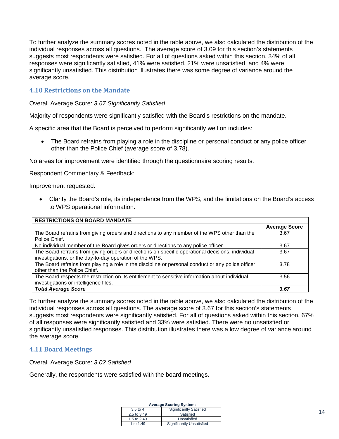To further analyze the summary scores noted in the table above, we also calculated the distribution of the individual responses across all questions. The average score of 3.09 for this section's statements suggests most respondents were satisfied. For all of questions asked within this section, 34% of all responses were significantly satisfied, 41% were satisfied, 21% were unsatisfied, and 4% were significantly unsatisfied. This distribution illustrates there was some degree of variance around the average score.

#### **4.10 Restrictions on the Mandate**

Overall Average Score: *3.67 Significantly Satisfied*

Majority of respondents were significantly satisfied with the Board's restrictions on the mandate.

A specific area that the Board is perceived to perform significantly well on includes:

• The Board refrains from playing a role in the discipline or personal conduct or any police officer other than the Police Chief (average score of 3.78).

No areas for improvement were identified through the questionnaire scoring results.

Respondent Commentary & Feedback:

Improvement requested:

• Clarify the Board's role, its independence from the WPS, and the limitations on the Board's access to WPS operational information.

| <b>RESTRICTIONS ON BOARD MANDATE</b>                                                                                                     |                      |
|------------------------------------------------------------------------------------------------------------------------------------------|----------------------|
|                                                                                                                                          | <b>Average Score</b> |
| The Board refrains from giving orders and directions to any member of the WPS other than the                                             | 3.67                 |
| Police Chief.                                                                                                                            |                      |
| No individual member of the Board gives orders or directions to any police officer.                                                      | 3.67                 |
| The Board refrains from giving orders or directions on specific operational decisions, individual                                        | 3.67                 |
| investigations, or the day-to-day operation of the WPS.                                                                                  |                      |
| The Board refrains from playing a role in the discipline or personal conduct or any police officer<br>other than the Police Chief.       | 3.78                 |
| The Board respects the restriction on its entitlement to sensitive information about individual<br>investigations or intelligence files. | 3.56                 |
| <b>Total Average Score</b>                                                                                                               | 3.67                 |

To further analyze the summary scores noted in the table above, we also calculated the distribution of the individual responses across all questions. The average score of 3.67 for this section's statements suggests most respondents were significantly satisfied. For all of questions asked within this section, 67% of all responses were significantly satisfied and 33% were satisfied. There were no unsatisfied or significantly unsatisfied responses. This distribution illustrates there was a low degree of variance around the average score.

#### **4.11 Board Meetings**

Overall Average Score: *3.02 Satisfied*

Generally, the respondents were satisfied with the board meetings.

| <b>Average Scoring System:</b> |                           |  |  |
|--------------------------------|---------------------------|--|--|
| $3.5$ to 4                     | Significantly Satisfied   |  |  |
| 2.5 to 3.49                    | Satisfied                 |  |  |
| 1.5 to 2.49                    | Unsatisfied               |  |  |
| 1 to 1.49                      | Significantly Unsatisfied |  |  |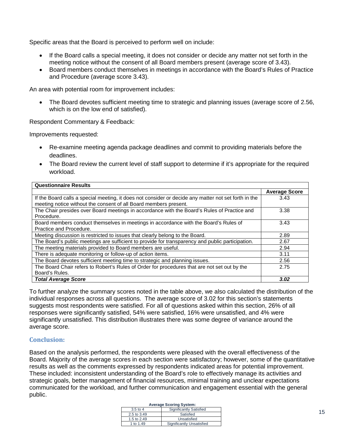Specific areas that the Board is perceived to perform well on include:

- If the Board calls a special meeting, it does not consider or decide any matter not set forth in the meeting notice without the consent of all Board members present (average score of 3.43).
- Board members conduct themselves in meetings in accordance with the Board's Rules of Practice and Procedure (average score 3.43).

An area with potential room for improvement includes:

• The Board devotes sufficient meeting time to strategic and planning issues (average score of 2.56, which is on the low end of satisfied).

Respondent Commentary & Feedback:

Improvements requested:

- Re-examine meeting agenda package deadlines and commit to providing materials before the deadlines.
- The Board review the current level of staff support to determine if it's appropriate for the required workload.

| <b>Questionnaire Results</b>                                                                                                                                             |                      |
|--------------------------------------------------------------------------------------------------------------------------------------------------------------------------|----------------------|
|                                                                                                                                                                          | <b>Average Score</b> |
| If the Board calls a special meeting, it does not consider or decide any matter not set forth in the<br>meeting notice without the consent of all Board members present. | 3.43                 |
| The Chair presides over Board meetings in accordance with the Board's Rules of Practice and<br>Procedure.                                                                | 3.38                 |
| Board members conduct themselves in meetings in accordance with the Board's Rules of<br>Practice and Procedure.                                                          | 3.43                 |
| Meeting discussion is restricted to issues that clearly belong to the Board.                                                                                             | 2.89                 |
| The Board's public meetings are sufficient to provide for transparency and public participation.                                                                         | 2.67                 |
| The meeting materials provided to Board members are useful.                                                                                                              | 2.94                 |
| There is adequate monitoring or follow-up of action items.                                                                                                               | 3.11                 |
| The Board devotes sufficient meeting time to strategic and planning issues.                                                                                              | 2.56                 |
| The Board Chair refers to Robert's Rules of Order for procedures that are not set out by the<br>Board's Rules.                                                           | 2.75                 |
| <b>Total Average Score</b>                                                                                                                                               | 3.02                 |

To further analyze the summary scores noted in the table above, we also calculated the distribution of the individual responses across all questions. The average score of 3.02 for this section's statements suggests most respondents were satisfied. For all of questions asked within this section, 26% of all responses were significantly satisfied, 54% were satisfied, 16% were unsatisfied, and 4% were significantly unsatisfied. This distribution illustrates there was some degree of variance around the average score.

#### **Conclusion:**

Based on the analysis performed, the respondents were pleased with the overall effectiveness of the Board. Majority of the average scores in each section were satisfactory; however, some of the quantitative results as well as the comments expressed by respondents indicated areas for potential improvement. These included: inconsistent understanding of the Board's role to effectively manage its activities and strategic goals, better management of financial resources, minimal training and unclear expectations communicated for the workload, and further communication and engagement essential with the general public.

|             | <b>Average Scoring System:</b> |
|-------------|--------------------------------|
| $3.5$ to 4  | Significantly Satisfied        |
| 2.5 to 3.49 | Satisfied                      |

**Unsatisfied** Significantly Unsatisfi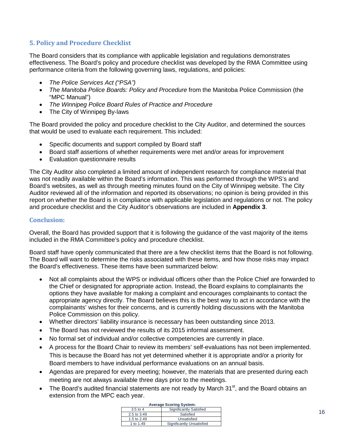## **5. Policy and Procedure Checklist**

The Board considers that its compliance with applicable legislation and regulations demonstrates effectiveness. The Board's policy and procedure checklist was developed by the RMA Committee using performance criteria from the following governing laws, regulations, and policies:

- *The Police Services Act ("PSA")*
- *The Manitoba Police Boards: Policy and Procedure* from the Manitoba Police Commission (the "MPC Manual")
- *The Winnipeg Police Board Rules of Practice and Procedure*
- The City of Winnipeg By-laws

The Board provided the policy and procedure checklist to the City Auditor, and determined the sources that would be used to evaluate each requirement. This included:

- Specific documents and support compiled by Board staff
- Board staff assertions of whether requirements were met and/or areas for improvement
- Evaluation questionnaire results

The City Auditor also completed a limited amount of independent research for compliance material that was not readily available within the Board's information. This was performed through the WPS's and Board's websites, as well as through meeting minutes found on the City of Winnipeg website. The City Auditor reviewed all of the information and reported its observations; no opinion is being provided in this report on whether the Board is in compliance with applicable legislation and regulations or not. The policy and procedure checklist and the City Auditor's observations are included in **Appendix 3**.

#### **Conclusion:**

Overall, the Board has provided support that it is following the guidance of the vast majority of the items included in the RMA Committee's policy and procedure checklist.

Board staff have openly communicated that there are a few checklist items that the Board is not following. The Board will want to determine the risks associated with these items, and how those risks may impact the Board's effectiveness. These items have been summarized below:

- Not all complaints about the WPS or individual officers other than the Police Chief are forwarded to the Chief or designated for appropriate action. Instead, the Board explains to complainants the options they have available for making a complaint and encourages complainants to contact the appropriate agency directly. The Board believes this is the best way to act in accordance with the complainants' wishes for their concerns, and is currently holding discussions with the Manitoba Police Commission on this policy.
- Whether directors' liability insurance is necessary has been outstanding since 2013.
- The Board has not reviewed the results of its 2015 informal assessment.
- No formal set of individual and/or collective competencies are currently in place.
- A process for the Board Chair to review its members' self-evaluations has not been implemented. This is because the Board has not yet determined whether it is appropriate and/or a priority for Board members to have individual performance evaluations on an annual basis.
- Agendas are prepared for every meeting; however, the materials that are presented during each meeting are not always available three days prior to the meetings.
- The Board's audited financial statements are not ready by March  $31<sup>st</sup>$ , and the Board obtains an extension from the MPC each year.

| <b>Average Scoring System:</b> |                           |  |  |
|--------------------------------|---------------------------|--|--|
| $3.5$ to 4                     | Significantly Satisfied   |  |  |
| 2.5 to 3.49                    | Satisfied                 |  |  |
| 1.5 to 2.49                    | Unsatisfied               |  |  |
| 1 to 1.49                      | Significantly Unsatisfied |  |  |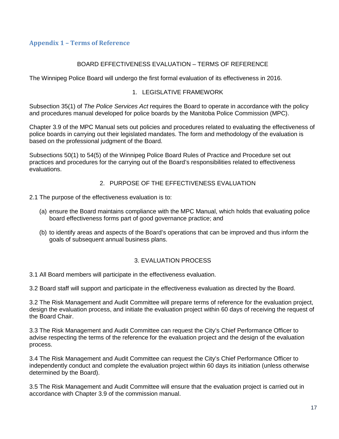#### **Appendix 1 – Terms of Reference**

#### BOARD EFFECTIVENESS EVALUATION – TERMS OF REFERENCE

The Winnipeg Police Board will undergo the first formal evaluation of its effectiveness in 2016.

#### 1. LEGISLATIVE FRAMEWORK

Subsection 35(1) of *The Police Services Act* requires the Board to operate in accordance with the policy and procedures manual developed for police boards by the Manitoba Police Commission (MPC).

Chapter 3.9 of the MPC Manual sets out policies and procedures related to evaluating the effectiveness of police boards in carrying out their legislated mandates. The form and methodology of the evaluation is based on the professional judgment of the Board.

Subsections 50(1) to 54(5) of the Winnipeg Police Board Rules of Practice and Procedure set out practices and procedures for the carrying out of the Board's responsibilities related to effectiveness evaluations.

#### 2. PURPOSE OF THE EFFECTIVENESS EVALUATION

- 2.1 The purpose of the effectiveness evaluation is to:
	- (a) ensure the Board maintains compliance with the MPC Manual, which holds that evaluating police board effectiveness forms part of good governance practice; and
	- (b) to identify areas and aspects of the Board's operations that can be improved and thus inform the goals of subsequent annual business plans.

#### 3. EVALUATION PROCESS

3.1 All Board members will participate in the effectiveness evaluation.

3.2 Board staff will support and participate in the effectiveness evaluation as directed by the Board.

3.2 The Risk Management and Audit Committee will prepare terms of reference for the evaluation project, design the evaluation process, and initiate the evaluation project within 60 days of receiving the request of the Board Chair.

3.3 The Risk Management and Audit Committee can request the City's Chief Performance Officer to advise respecting the terms of the reference for the evaluation project and the design of the evaluation process.

3.4 The Risk Management and Audit Committee can request the City's Chief Performance Officer to independently conduct and complete the evaluation project within 60 days its initiation (unless otherwise determined by the Board).

3.5 The Risk Management and Audit Committee will ensure that the evaluation project is carried out in accordance with Chapter 3.9 of the commission manual.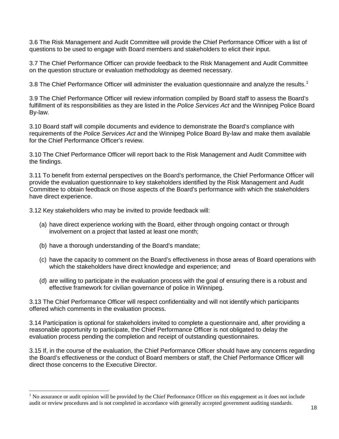3.6 The Risk Management and Audit Committee will provide the Chief Performance Officer with a list of questions to be used to engage with Board members and stakeholders to elicit their input.

3.7 The Chief Performance Officer can provide feedback to the Risk Management and Audit Committee on the question structure or evaluation methodology as deemed necessary.

3.8 The Chief Performance Officer will administer the evaluation questionnaire and analyze the results.<sup>[1](#page-3-0)</sup>

3.9 The Chief Performance Officer will review information compiled by Board staff to assess the Board's fulfillment of its responsibilities as they are listed in the *Police Services Act* and the Winnipeg Police Board By-law.

3.10 Board staff will compile documents and evidence to demonstrate the Board's compliance with requirements of the *Police Services Act* and the Winnipeg Police Board By-law and make them available for the Chief Performance Officer's review.

3.10 The Chief Performance Officer will report back to the Risk Management and Audit Committee with the findings.

3.11 To benefit from external perspectives on the Board's performance, the Chief Performance Officer will provide the evaluation questionnaire to key stakeholders identified by the Risk Management and Audit Committee to obtain feedback on those aspects of the Board's performance with which the stakeholders have direct experience.

3.12 Key stakeholders who may be invited to provide feedback will:

- (a) have direct experience working with the Board, either through ongoing contact or through involvement on a project that lasted at least one month;
- (b) have a thorough understanding of the Board's mandate;

 $\overline{a}$ 

- (c) have the capacity to comment on the Board's effectiveness in those areas of Board operations with which the stakeholders have direct knowledge and experience; and
- (d) are willing to participate in the evaluation process with the goal of ensuring there is a robust and effective framework for civilian governance of police in Winnipeg.

3.13 The Chief Performance Officer will respect confidentiality and will not identify which participants offered which comments in the evaluation process.

3.14 Participation is optional for stakeholders invited to complete a questionnaire and, after providing a reasonable opportunity to participate, the Chief Performance Officer is not obligated to delay the evaluation process pending the completion and receipt of outstanding questionnaires.

3.15 If, in the course of the evaluation, the Chief Performance Officer should have any concerns regarding the Board's effectiveness or the conduct of Board members or staff, the Chief Performance Officer will direct those concerns to the Executive Director.

 $<sup>1</sup>$  No assurance or audit opinion will be provided by the Chief Performance Officer on this engagement as it does not include</sup> audit or review procedures and is not completed in accordance with generally accepted government auditing standards.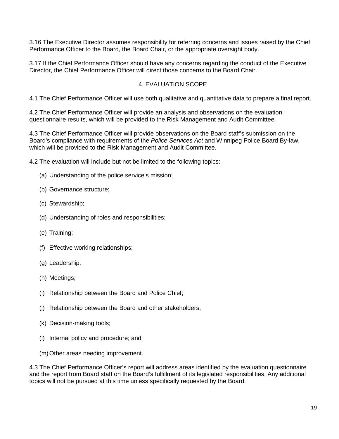3.16 The Executive Director assumes responsibility for referring concerns and issues raised by the Chief Performance Officer to the Board, the Board Chair, or the appropriate oversight body.

3.17 If the Chief Performance Officer should have any concerns regarding the conduct of the Executive Director, the Chief Performance Officer will direct those concerns to the Board Chair.

#### 4. EVALUATION SCOPE

4.1 The Chief Performance Officer will use both qualitative and quantitative data to prepare a final report.

4.2 The Chief Performance Officer will provide an analysis and observations on the evaluation questionnaire results, which will be provided to the Risk Management and Audit Committee.

4.3 The Chief Performance Officer will provide observations on the Board staff's submission on the Board's compliance with requirements of the *Police Services Act* and Winnipeg Police Board By-law, which will be provided to the Risk Management and Audit Committee.

4.2 The evaluation will include but not be limited to the following topics:

- (a) Understanding of the police service's mission;
- (b) Governance structure;
- (c) Stewardship;
- (d) Understanding of roles and responsibilities;
- (e) Training;
- (f) Effective working relationships;
- (g) Leadership;
- (h) Meetings;
- (i) Relationship between the Board and Police Chief;
- (j) Relationship between the Board and other stakeholders;
- (k) Decision-making tools;
- (l) Internal policy and procedure; and
- (m)Other areas needing improvement.

4.3 The Chief Performance Officer's report will address areas identified by the evaluation questionnaire and the report from Board staff on the Board's fulfillment of its legislated responsibilities. Any additional topics will not be pursued at this time unless specifically requested by the Board.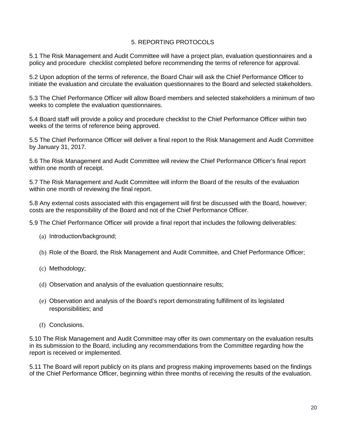#### 5. REPORTING PROTOCOLS

5.1 The Risk Management and Audit Committee will have a project plan, evaluation questionnaires and a policy and procedure checklist completed before recommending the terms of reference for approval.

5.2 Upon adoption of the terms of reference, the Board Chair will ask the Chief Performance Officer to initiate the evaluation and circulate the evaluation questionnaires to the Board and selected stakeholders.

5.3 The Chief Performance Officer will allow Board members and selected stakeholders a minimum of two weeks to complete the evaluation questionnaires.

5.4 Board staff will provide a policy and procedure checklist to the Chief Performance Officer within two weeks of the terms of reference being approved.

5.5 The Chief Performance Officer will deliver a final report to the Risk Management and Audit Committee by January 31, 2017.

5.6 The Risk Management and Audit Committee will review the Chief Performance Officer's final report within one month of receipt.

5.7 The Risk Management and Audit Committee will inform the Board of the results of the evaluation within one month of reviewing the final report.

5.8 Any external costs associated with this engagement will first be discussed with the Board, however; costs are the responsibility of the Board and not of the Chief Performance Officer.

5.9 The Chief Performance Officer will provide a final report that includes the following deliverables:

- (a) Introduction/background;
- (b) Role of the Board, the Risk Management and Audit Committee, and Chief Performance Officer;
- (c) Methodology;
- (d) Observation and analysis of the evaluation questionnaire results;
- (e) Observation and analysis of the Board's report demonstrating fulfillment of its legislated responsibilities; and
- (f) Conclusions.

5.10 The Risk Management and Audit Committee may offer its own commentary on the evaluation results in its submission to the Board, including any recommendations from the Committee regarding how the report is received or implemented.

5.11 The Board will report publicly on its plans and progress making improvements based on the findings of the Chief Performance Officer, beginning within three months of receiving the results of the evaluation.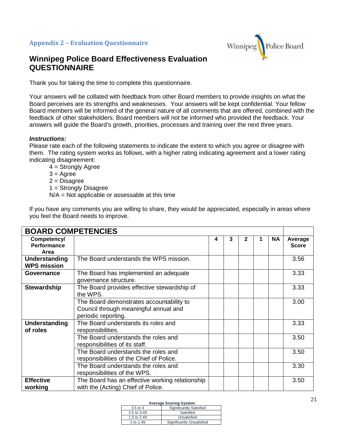#### **Appendix 2 – Evaluation Questionnaire**



# **Winnipeg Police Board Effectiveness Evaluation QUESTIONNAIRE**

Thank you for taking the time to complete this questionnaire.

Your answers will be collated with feedback from other Board members to provide insights on what the Board perceives are its strengths and weaknesses. Your answers will be kept confidential. Your fellow Board members will be informed of the general nature of all comments that are offered, combined with the feedback of other stakeholders. Board members will not be informed who provided the feedback. Your answers will guide the Board's growth, priorities, processes and training over the next three years.

#### *Instructions:*

Please rate each of the following statements to indicate the extent to which you agree or disagree with them. The rating system works as follows, with a higher rating indicating agreement and a lower rating indicating disagreement:

 $4 =$  Strongly Agree

- $3 = \text{A}$ gree
- $2$  = Disagree

1 = Strongly Disagree

N/A = Not applicable or assessable at this time

| <b>BOARD COMPETENCIES</b>                 |                                                                                                          |   |   |   |   |           |                         |
|-------------------------------------------|----------------------------------------------------------------------------------------------------------|---|---|---|---|-----------|-------------------------|
| Competency/<br><b>Performance</b><br>Area |                                                                                                          | 4 | 3 | 2 | 1 | <b>NA</b> | Average<br><b>Score</b> |
| Understanding<br><b>WPS mission</b>       | The Board understands the WPS mission.                                                                   |   |   |   |   |           | 3.56                    |
| Governance                                | The Board has implemented an adequate<br>governance structure.                                           |   |   |   |   |           | 3.33                    |
| <b>Stewardship</b>                        | The Board provides effective stewardship of<br>the WPS.                                                  |   |   |   |   |           | 3.33                    |
|                                           | The Board demonstrates accountability to<br>Council through meaningful annual and<br>periodic reporting. |   |   |   |   |           | 3.00                    |
| Understanding<br>of roles                 | The Board understands its roles and<br>responsibilities.                                                 |   |   |   |   |           | 3.33                    |
|                                           | The Board understands the roles and<br>responsibilities of its staff.                                    |   |   |   |   |           | 3.50                    |
|                                           | The Board understands the roles and<br>responsibilities of the Chief of Police.                          |   |   |   |   |           | 3.50                    |
|                                           | The Board understands the roles and<br>responsibilities of the WPS.                                      |   |   |   |   |           | 3.30                    |
| <b>Effective</b><br>working               | The Board has an effective working relationship<br>with the (Acting) Chief of Police.                    |   |   |   |   |           | 3.50                    |

If you have any comments you are willing to share, they would be appreciated, especially in areas where you feel the Board needs to improve.

| $3.5$ to 4  | <b>Significantly Satisfied</b> |
|-------------|--------------------------------|
| 2.5 to 3.49 | Satisfied                      |
| 1.5 to 2.49 | Unsatisfied                    |
| 1 to 1.49   | Significantly Unsatisfied      |
|             |                                |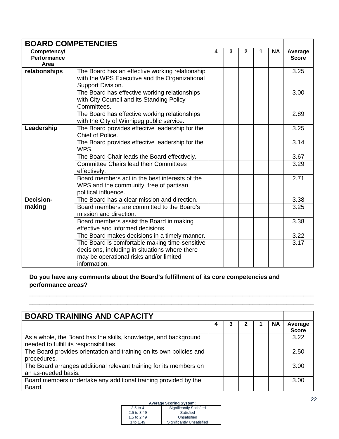| <b>BOARD COMPETENCIES</b>                 |                                                                                                                       |   |   |              |   |           |                         |
|-------------------------------------------|-----------------------------------------------------------------------------------------------------------------------|---|---|--------------|---|-----------|-------------------------|
| Competency/<br><b>Performance</b><br>Area |                                                                                                                       | 4 | 3 | $\mathbf{2}$ | 1 | <b>NA</b> | Average<br><b>Score</b> |
| relationships                             | The Board has an effective working relationship<br>with the WPS Executive and the Organizational<br>Support Division. |   |   |              |   |           | 3.25                    |
|                                           | The Board has effective working relationships<br>with City Council and its Standing Policy<br>Committees.             |   |   |              |   |           | 3.00                    |
|                                           | The Board has effective working relationships<br>with the City of Winnipeg public service.                            |   |   |              |   |           | 2.89                    |
| Leadership                                | The Board provides effective leadership for the<br>Chief of Police.                                                   |   |   |              |   |           | 3.25                    |
|                                           | The Board provides effective leadership for the<br>WPS.                                                               |   |   |              |   |           | 3.14                    |
|                                           | The Board Chair leads the Board effectively.                                                                          |   |   |              |   |           | 3.67                    |
|                                           | <b>Committee Chairs lead their Committees</b><br>effectively.                                                         |   |   |              |   |           | 3.29                    |
|                                           | Board members act in the best interests of the<br>WPS and the community, free of partisan<br>political influence.     |   |   |              |   |           | 2.71                    |
| <b>Decision-</b>                          | The Board has a clear mission and direction.                                                                          |   |   |              |   |           | 3.38                    |
| making                                    | Board members are committed to the Board's<br>mission and direction.                                                  |   |   |              |   |           | 3.25                    |
|                                           | Board members assist the Board in making<br>effective and informed decisions.                                         |   |   |              |   |           | 3.38                    |
|                                           | The Board makes decisions in a timely manner.                                                                         |   |   |              |   |           | 3.22                    |
|                                           | The Board is comfortable making time-sensitive                                                                        |   |   |              |   |           | 3.17                    |
|                                           | decisions, including in situations where there                                                                        |   |   |              |   |           |                         |
|                                           | may be operational risks and/or limited<br>information.                                                               |   |   |              |   |           |                         |

# **Do you have any comments about the Board's fulfillment of its core competencies and performance areas?**

| <b>BOARD TRAINING AND CAPACITY</b>                                                                         |   |  |           |                         |
|------------------------------------------------------------------------------------------------------------|---|--|-----------|-------------------------|
|                                                                                                            | 4 |  | <b>NA</b> | Average<br><b>Score</b> |
| As a whole, the Board has the skills, knowledge, and background<br>needed to fulfill its responsibilities. |   |  |           | 3.22                    |
| The Board provides orientation and training on its own policies and<br>procedures.                         |   |  |           | 2.50                    |
| The Board arranges additional relevant training for its members on<br>an as-needed basis.                  |   |  |           | 3.00                    |
| Board members undertake any additional training provided by the<br>Board.                                  |   |  |           | 3.00                    |

\_\_\_\_\_\_\_\_\_\_\_\_\_\_\_\_\_\_\_\_\_\_\_\_\_\_\_\_\_\_\_\_\_\_\_\_\_\_\_\_\_\_\_\_\_\_\_\_\_\_\_\_\_\_\_\_\_\_\_\_\_\_\_\_\_\_\_\_\_\_\_\_\_\_\_\_\_\_\_\_\_\_\_\_ \_\_\_\_\_\_\_\_\_\_\_\_\_\_\_\_\_\_\_\_\_\_\_\_\_\_\_\_\_\_\_\_\_\_\_\_\_\_\_\_\_\_\_\_\_\_\_\_\_\_\_\_\_\_\_\_\_\_\_\_\_\_\_\_\_\_\_\_\_\_\_\_\_\_\_\_\_\_\_\_\_\_\_\_

| $3.5$ to 4  | <b>Significantly Satisfied</b> |
|-------------|--------------------------------|
| 2.5 to 3.49 | Satisfied                      |
| 1.5 to 2.49 | Unsatisfied                    |
| 1 to 1.49   | Significantly Unsatisfied      |
|             |                                |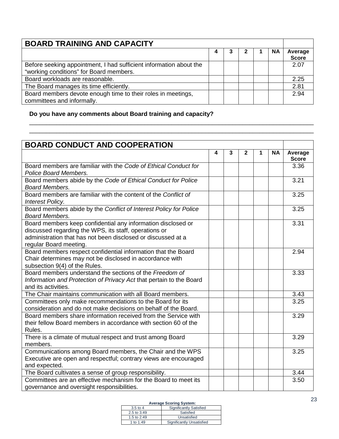| <b>BOARD TRAINING AND CAPACITY</b>                                                                            |   |  |           |                         |
|---------------------------------------------------------------------------------------------------------------|---|--|-----------|-------------------------|
|                                                                                                               | 4 |  | <b>NA</b> | Average<br><b>Score</b> |
| Before seeking appointment, I had sufficient information about the<br>"working conditions" for Board members. |   |  |           | 2.07                    |
| Board workloads are reasonable.                                                                               |   |  |           | 2.25                    |
| The Board manages its time efficiently.                                                                       |   |  |           | 2.81                    |
| Board members devote enough time to their roles in meetings,<br>committees and informally.                    |   |  |           | 2.94                    |

\_\_\_\_\_\_\_\_\_\_\_\_\_\_\_\_\_\_\_\_\_\_\_\_\_\_\_\_\_\_\_\_\_\_\_\_\_\_\_\_\_\_\_\_\_\_\_\_\_\_\_\_\_\_\_\_\_\_\_\_\_\_\_\_\_\_\_\_\_\_\_\_\_\_\_\_\_\_\_\_\_\_\_\_ \_\_\_\_\_\_\_\_\_\_\_\_\_\_\_\_\_\_\_\_\_\_\_\_\_\_\_\_\_\_\_\_\_\_\_\_\_\_\_\_\_\_\_\_\_\_\_\_\_\_\_\_\_\_\_\_\_\_\_\_\_\_\_\_\_\_\_\_\_\_\_\_\_\_\_\_\_\_\_\_\_\_\_\_

# **Do you have any comments about Board training and capacity?**

| <b>BOARD CONDUCT AND COOPERATION</b>                                                                                                                                                                            |   |   |              |   |           |                         |
|-----------------------------------------------------------------------------------------------------------------------------------------------------------------------------------------------------------------|---|---|--------------|---|-----------|-------------------------|
|                                                                                                                                                                                                                 | 4 | 3 | $\mathbf{2}$ | 1 | <b>NA</b> | Average<br><b>Score</b> |
| Board members are familiar with the Code of Ethical Conduct for<br>Police Board Members.                                                                                                                        |   |   |              |   |           | 3.36                    |
| Board members abide by the Code of Ethical Conduct for Police<br><b>Board Members.</b>                                                                                                                          |   |   |              |   |           | 3.21                    |
| Board members are familiar with the content of the Conflict of<br><b>Interest Policy.</b>                                                                                                                       |   |   |              |   |           | 3.25                    |
| Board members abide by the Conflict of Interest Policy for Police<br><b>Board Members.</b>                                                                                                                      |   |   |              |   |           | 3.25                    |
| Board members keep confidential any information disclosed or<br>discussed regarding the WPS, its staff, operations or<br>administration that has not been disclosed or discussed at a<br>regular Board meeting. |   |   |              |   |           | 3.31                    |
| Board members respect confidential information that the Board<br>Chair determines may not be disclosed in accordance with<br>subsection 9(4) of the Rules.                                                      |   |   |              |   |           | 2.94                    |
| Board members understand the sections of the Freedom of<br>Information and Protection of Privacy Act that pertain to the Board<br>and its activities.                                                           |   |   |              |   |           | 3.33                    |
| The Chair maintains communication with all Board members.                                                                                                                                                       |   |   |              |   |           | 3.43                    |
| Committees only make recommendations to the Board for its<br>consideration and do not make decisions on behalf of the Board.                                                                                    |   |   |              |   |           | 3.25                    |
| Board members share information received from the Service with<br>their fellow Board members in accordance with section 60 of the<br>Rules.                                                                     |   |   |              |   |           | 3.29                    |
| There is a climate of mutual respect and trust among Board<br>members.                                                                                                                                          |   |   |              |   |           | 3.29                    |
| Communications among Board members, the Chair and the WPS<br>Executive are open and respectful; contrary views are encouraged<br>and expected.                                                                  |   |   |              |   |           | 3.25                    |
| The Board cultivates a sense of group responsibility.                                                                                                                                                           |   |   |              |   |           | 3.44                    |
| Committees are an effective mechanism for the Board to meet its<br>governance and oversight responsibilities.                                                                                                   |   |   |              |   |           | 3.50                    |

| $3.5$ to 4  | <b>Significantly Satisfied</b> |
|-------------|--------------------------------|
| 2.5 to 3.49 | Satisfied                      |
| 1.5 to 2.49 | Unsatisfied                    |
| 1 to 1.49   | Significantly Unsatisfied      |
|             |                                |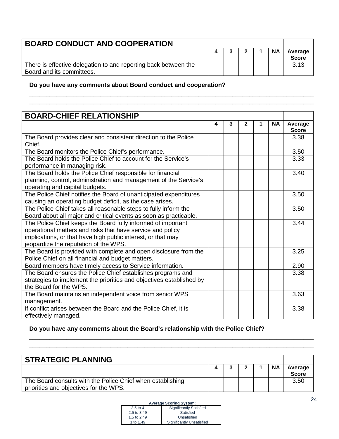| <b>BOARD CONDUCT AND COOPERATION</b>                                                         |  |  |  |  |           |                         |
|----------------------------------------------------------------------------------------------|--|--|--|--|-----------|-------------------------|
|                                                                                              |  |  |  |  | <b>NA</b> | Average<br><b>Score</b> |
| There is effective delegation to and reporting back between the<br>Board and its committees. |  |  |  |  |           | 3.13                    |

\_\_\_\_\_\_\_\_\_\_\_\_\_\_\_\_\_\_\_\_\_\_\_\_\_\_\_\_\_\_\_\_\_\_\_\_\_\_\_\_\_\_\_\_\_\_\_\_\_\_\_\_\_\_\_\_\_\_\_\_\_\_\_\_\_\_\_\_\_\_\_\_\_\_\_\_\_\_\_\_\_\_\_\_

**Do you have any comments about Board conduct and cooperation?** 

| <b>BOARD-CHIEF RELATIONSHIP</b>                                                                                                                                                                                                     |   |   |              |   |           |                         |
|-------------------------------------------------------------------------------------------------------------------------------------------------------------------------------------------------------------------------------------|---|---|--------------|---|-----------|-------------------------|
|                                                                                                                                                                                                                                     | 4 | 3 | $\mathbf{2}$ | 1 | <b>NA</b> | Average<br><b>Score</b> |
| The Board provides clear and consistent direction to the Police<br>Chief.                                                                                                                                                           |   |   |              |   |           | 3.38                    |
| The Board monitors the Police Chief's performance.                                                                                                                                                                                  |   |   |              |   |           | 3.50                    |
| The Board holds the Police Chief to account for the Service's<br>performance in managing risk.                                                                                                                                      |   |   |              |   |           | 3.33                    |
| The Board holds the Police Chief responsible for financial<br>planning, control, administration and management of the Service's<br>operating and capital budgets.                                                                   |   |   |              |   |           | 3.40                    |
| The Police Chief notifies the Board of unanticipated expenditures<br>causing an operating budget deficit, as the case arises.                                                                                                       |   |   |              |   |           | 3.50                    |
| The Police Chief takes all reasonable steps to fully inform the<br>Board about all major and critical events as soon as practicable.                                                                                                |   |   |              |   |           | 3.50                    |
| The Police Chief keeps the Board fully informed of important<br>operational matters and risks that have service and policy<br>implications, or that have high public interest, or that may<br>jeopardize the reputation of the WPS. |   |   |              |   |           | 3.44                    |
| The Board is provided with complete and open disclosure from the<br>Police Chief on all financial and budget matters.                                                                                                               |   |   |              |   |           | 3.25                    |
| Board members have timely access to Service information.                                                                                                                                                                            |   |   |              |   |           | 2.90                    |
| The Board ensures the Police Chief establishes programs and<br>strategies to implement the priorities and objectives established by<br>the Board for the WPS.                                                                       |   |   |              |   |           | 3.38                    |
| The Board maintains an independent voice from senior WPS<br>management.                                                                                                                                                             |   |   |              |   |           | 3.63                    |
| If conflict arises between the Board and the Police Chief, it is<br>effectively managed.                                                                                                                                            |   |   |              |   |           | 3.38                    |

#### **Do you have any comments about the Board's relationship with the Police Chief?**

| <b>STRATEGIC PLANNING</b>                                                                            |  |  |  |  |           |                         |  |
|------------------------------------------------------------------------------------------------------|--|--|--|--|-----------|-------------------------|--|
|                                                                                                      |  |  |  |  | <b>NA</b> | Average<br><b>Score</b> |  |
| The Board consults with the Police Chief when establishing<br>priorities and objectives for the WPS. |  |  |  |  |           | 3.50                    |  |

\_\_\_\_\_\_\_\_\_\_\_\_\_\_\_\_\_\_\_\_\_\_\_\_\_\_\_\_\_\_\_\_\_\_\_\_\_\_\_\_\_\_\_\_\_\_\_\_\_\_\_\_\_\_\_\_\_\_\_\_\_\_\_\_\_\_\_\_\_\_\_\_\_\_\_\_\_\_\_\_\_\_\_\_ \_\_\_\_\_\_\_\_\_\_\_\_\_\_\_\_\_\_\_\_\_\_\_\_\_\_\_\_\_\_\_\_\_\_\_\_\_\_\_\_\_\_\_\_\_\_\_\_\_\_\_\_\_\_\_\_\_\_\_\_\_\_\_\_\_\_\_\_\_\_\_\_\_\_\_\_\_\_\_\_\_\_\_\_

| $3.5$ to 4  | <b>Significantly Satisfied</b> |
|-------------|--------------------------------|
| 2.5 to 3.49 | Satisfied                      |
| 1.5 to 2.49 | Unsatisfied                    |
| 1 to 1.49   | Significantly Unsatisfied      |
|             |                                |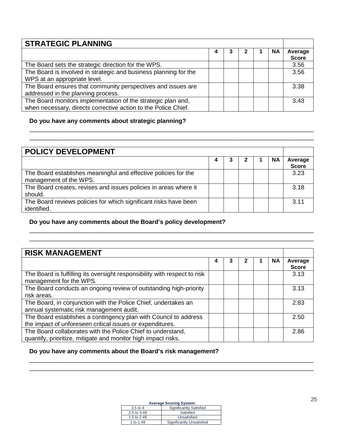| <b>STRATEGIC PLANNING</b>                                        |   |  |  |  |           |                         |
|------------------------------------------------------------------|---|--|--|--|-----------|-------------------------|
|                                                                  | 4 |  |  |  | <b>NA</b> | Average<br><b>Score</b> |
| The Board sets the strategic direction for the WPS.              |   |  |  |  |           | 3.56                    |
| The Board is involved in strategic and business planning for the |   |  |  |  |           | 3.56                    |
| WPS at an appropriate level.                                     |   |  |  |  |           |                         |
| The Board ensures that community perspectives and issues are     |   |  |  |  |           | 3.38                    |
| addressed in the planning process.                               |   |  |  |  |           |                         |
| The Board monitors implementation of the strategic plan and,     |   |  |  |  |           | 3.43                    |
| when necessary, directs corrective action to the Police Chief.   |   |  |  |  |           |                         |

#### **Do you have any comments about strategic planning?**

| <b>POLICY DEVELOPMENT</b>                                                                 |  |  |  |  |    |                         |  |
|-------------------------------------------------------------------------------------------|--|--|--|--|----|-------------------------|--|
|                                                                                           |  |  |  |  |    |                         |  |
|                                                                                           |  |  |  |  | ΝA | Average<br><b>Score</b> |  |
| The Board establishes meaningful and effective policies for the<br>management of the WPS. |  |  |  |  |    | 3.23                    |  |
| The Board creates, revises and issues policies in areas where it<br>should.               |  |  |  |  |    | 3.18                    |  |
| The Board reviews policies for which significant risks have been<br>identified.           |  |  |  |  |    | 3.11                    |  |

\_\_\_\_\_\_\_\_\_\_\_\_\_\_\_\_\_\_\_\_\_\_\_\_\_\_\_\_\_\_\_\_\_\_\_\_\_\_\_\_\_\_\_\_\_\_\_\_\_\_\_\_\_\_\_\_\_\_\_\_\_\_\_\_\_\_\_\_\_\_\_\_\_\_\_\_\_\_\_\_\_\_\_\_

\_\_\_\_\_\_\_\_\_\_\_\_\_\_\_\_\_\_\_\_\_\_\_\_\_\_\_\_\_\_\_\_\_\_\_\_\_\_\_\_\_\_\_\_\_\_\_\_\_\_\_\_\_\_\_\_\_\_\_\_\_\_\_\_\_\_\_\_\_\_\_\_\_\_\_\_\_\_\_\_\_\_\_\_ \_\_\_\_\_\_\_\_\_\_\_\_\_\_\_\_\_\_\_\_\_\_\_\_\_\_\_\_\_\_\_\_\_\_\_\_\_\_\_\_\_\_\_\_\_\_\_\_\_\_\_\_\_\_\_\_\_\_\_\_\_\_\_\_\_\_\_\_\_\_\_\_\_\_\_\_\_\_\_\_\_\_\_\_

#### **Do you have any comments about the Board's policy development?**

| <b>RISK MANAGEMENT</b>                                                                                                        |   |   |  |  |           |                         |
|-------------------------------------------------------------------------------------------------------------------------------|---|---|--|--|-----------|-------------------------|
|                                                                                                                               | 4 | 3 |  |  | <b>NA</b> | Average<br><b>Score</b> |
| The Board is fulfilling its oversight responsibility with respect to risk<br>management for the WPS.                          |   |   |  |  |           | 3.13                    |
| The Board conducts an ongoing review of outstanding high-priority<br>risk areas.                                              |   |   |  |  |           | 3.13                    |
| The Board, in conjunction with the Police Chief, undertakes an<br>annual systematic risk management audit.                    |   |   |  |  |           | 2.83                    |
| The Board establishes a contingency plan with Council to address<br>the impact of unforeseen critical issues or expenditures. |   |   |  |  |           | 2.50                    |
| The Board collaborates with the Police Chief to understand,<br>quantify, prioritize, mitigate and monitor high impact risks.  |   |   |  |  |           | 2.86                    |

#### **Do you have any comments about the Board's risk management?**

#### **Average Scoring System:**

\_\_\_\_\_\_\_\_\_\_\_\_\_\_\_\_\_\_\_\_\_\_\_\_\_\_\_\_\_\_\_\_\_\_\_\_\_\_\_\_\_\_\_\_\_\_\_\_\_\_\_\_\_\_\_\_\_\_\_\_\_\_\_\_\_\_\_\_\_\_\_\_\_\_\_\_\_\_\_\_\_\_\_\_ \_\_\_\_\_\_\_\_\_\_\_\_\_\_\_\_\_\_\_\_\_\_\_\_\_\_\_\_\_\_\_\_\_\_\_\_\_\_\_\_\_\_\_\_\_\_\_\_\_\_\_\_\_\_\_\_\_\_\_\_\_\_\_\_\_\_\_\_\_\_\_\_\_\_\_\_\_\_\_\_\_\_\_\_

| $3.5$ to 4  | <b>Significantly Satisfied</b> |
|-------------|--------------------------------|
| 2.5 to 3.49 | Satisfied                      |
| 1.5 to 2.49 | Unsatisfied                    |
| 1 to 1.49   | Significantly Unsatisfied      |
|             |                                |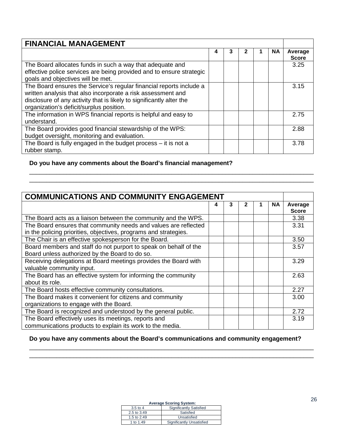| <b>FINANCIAL MANAGEMENT</b>                                                                                                                                                                                                                             |   |   |   |  |           |                         |  |
|---------------------------------------------------------------------------------------------------------------------------------------------------------------------------------------------------------------------------------------------------------|---|---|---|--|-----------|-------------------------|--|
|                                                                                                                                                                                                                                                         | 4 | 3 | 2 |  | <b>NA</b> | Average<br><b>Score</b> |  |
| The Board allocates funds in such a way that adequate and<br>effective police services are being provided and to ensure strategic<br>goals and objectives will be met.                                                                                  |   |   |   |  |           | 3.25                    |  |
| The Board ensures the Service's regular financial reports include a<br>written analysis that also incorporate a risk assessment and<br>disclosure of any activity that is likely to significantly alter the<br>organization's deficit/surplus position. |   |   |   |  |           | 3.15                    |  |
| The information in WPS financial reports is helpful and easy to<br>understand.                                                                                                                                                                          |   |   |   |  |           | 2.75                    |  |
| The Board provides good financial stewardship of the WPS:<br>budget oversight, monitoring and evaluation.                                                                                                                                               |   |   |   |  |           | 2.88                    |  |
| The Board is fully engaged in the budget process $-$ it is not a<br>rubber stamp.                                                                                                                                                                       |   |   |   |  |           | 3.78                    |  |

\_\_\_\_\_\_\_\_\_\_\_\_\_\_\_\_\_\_\_\_\_\_\_\_\_\_\_\_\_\_\_\_\_\_\_\_\_\_\_\_\_\_\_\_\_\_\_\_\_\_\_\_\_\_\_\_\_\_\_\_\_\_\_\_\_\_\_\_\_\_\_\_\_\_\_\_\_\_\_\_\_\_\_\_ \_\_\_\_\_\_\_\_\_\_\_\_\_\_\_\_\_\_\_\_\_\_\_\_\_\_\_\_\_\_\_\_\_\_\_\_\_\_\_\_\_\_\_\_\_\_\_\_\_\_\_\_\_\_\_\_\_\_\_\_\_\_\_\_\_\_\_\_\_\_\_\_\_\_\_\_\_\_\_\_\_\_\_\_

# **Do you have any comments about the Board's financial management?**

| <b>COMMUNICATIONS AND COMMUNITY ENGAGEMENT</b>                   |   |   |   |  |           |              |
|------------------------------------------------------------------|---|---|---|--|-----------|--------------|
|                                                                  | 4 | 3 | 2 |  | <b>NA</b> | Average      |
|                                                                  |   |   |   |  |           | <b>Score</b> |
| The Board acts as a liaison between the community and the WPS.   |   |   |   |  |           | 3.38         |
| The Board ensures that community needs and values are reflected  |   |   |   |  |           | 3.31         |
| in the policing priorities, objectives, programs and strategies. |   |   |   |  |           |              |
| The Chair is an effective spokesperson for the Board.            |   |   |   |  |           | 3.50         |
| Board members and staff do not purport to speak on behalf of the |   |   |   |  |           | 3.57         |
| Board unless authorized by the Board to do so.                   |   |   |   |  |           |              |
| Receiving delegations at Board meetings provides the Board with  |   |   |   |  |           | 3.29         |
| valuable community input.                                        |   |   |   |  |           |              |
| The Board has an effective system for informing the community    |   |   |   |  |           | 2.63         |
| about its role.                                                  |   |   |   |  |           |              |
| The Board hosts effective community consultations.               |   |   |   |  |           | 2.27         |
| The Board makes it convenient for citizens and community         |   |   |   |  |           | 3.00         |
| organizations to engage with the Board.                          |   |   |   |  |           |              |
| The Board is recognized and understood by the general public.    |   |   |   |  |           | 2.72         |
| The Board effectively uses its meetings, reports and             |   |   |   |  |           | 3.19         |
| communications products to explain its work to the media.        |   |   |   |  |           |              |

#### **Do you have any comments about the Board's communications and community engagement?**

\_\_\_\_\_\_\_\_\_\_\_\_\_\_\_\_\_\_\_\_\_\_\_\_\_\_\_\_\_\_\_\_\_\_\_\_\_\_\_\_\_\_\_\_\_\_\_\_\_\_\_\_\_\_\_\_\_\_\_\_\_\_\_\_\_\_\_\_\_\_\_\_\_\_\_\_\_\_\_\_\_\_\_\_ \_\_\_\_\_\_\_\_\_\_\_\_\_\_\_\_\_\_\_\_\_\_\_\_\_\_\_\_\_\_\_\_\_\_\_\_\_\_\_\_\_\_\_\_\_\_\_\_\_\_\_\_\_\_\_\_\_\_\_\_\_\_\_\_\_\_\_\_\_\_\_\_\_\_\_\_\_\_\_\_\_\_\_\_

| $3.5$ to 4  | <b>Significantly Satisfied</b> |
|-------------|--------------------------------|
| 2.5 to 3.49 | Satisfied                      |
| 1.5 to 2.49 | Unsatisfied                    |
| 1 to 1.49   | Significantly Unsatisfied      |
|             |                                |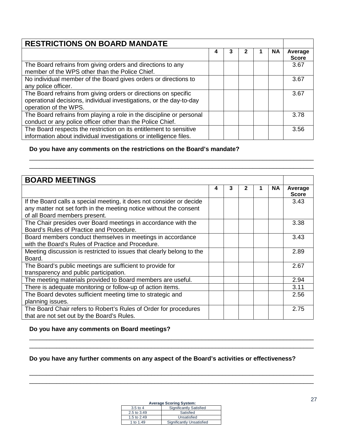| <b>RESTRICTIONS ON BOARD MANDATE</b>                                                                                                                            |   |  |  |  |           |                         |  |
|-----------------------------------------------------------------------------------------------------------------------------------------------------------------|---|--|--|--|-----------|-------------------------|--|
|                                                                                                                                                                 | 4 |  |  |  | <b>NA</b> | Average<br><b>Score</b> |  |
| The Board refrains from giving orders and directions to any<br>member of the WPS other than the Police Chief.                                                   |   |  |  |  |           | 3.67                    |  |
| No individual member of the Board gives orders or directions to<br>any police officer.                                                                          |   |  |  |  |           | 3.67                    |  |
| The Board refrains from giving orders or directions on specific<br>operational decisions, individual investigations, or the day-to-day<br>operation of the WPS. |   |  |  |  |           | 3.67                    |  |
| The Board refrains from playing a role in the discipline or personal<br>conduct or any police officer other than the Police Chief.                              |   |  |  |  |           | 3.78                    |  |
| The Board respects the restriction on its entitlement to sensitive<br>information about individual investigations or intelligence files.                        |   |  |  |  |           | 3.56                    |  |

\_\_\_\_\_\_\_\_\_\_\_\_\_\_\_\_\_\_\_\_\_\_\_\_\_\_\_\_\_\_\_\_\_\_\_\_\_\_\_\_\_\_\_\_\_\_\_\_\_\_\_\_\_\_\_\_\_\_\_\_\_\_\_\_\_\_\_\_\_\_\_\_\_\_\_\_\_\_\_\_\_\_\_\_ \_\_\_\_\_\_\_\_\_\_\_\_\_\_\_\_\_\_\_\_\_\_\_\_\_\_\_\_\_\_\_\_\_\_\_\_\_\_\_\_\_\_\_\_\_\_\_\_\_\_\_\_\_\_\_\_\_\_\_\_\_\_\_\_\_\_\_\_\_\_\_\_\_\_\_\_\_\_\_\_\_\_\_\_

#### **Do you have any comments on the restrictions on the Board's mandate?**

| <b>BOARD MEETINGS</b>                                                 |   |   |   |  |           |                         |
|-----------------------------------------------------------------------|---|---|---|--|-----------|-------------------------|
|                                                                       | 4 | 3 | 2 |  | <b>NA</b> | Average<br><b>Score</b> |
| If the Board calls a special meeting, it does not consider or decide  |   |   |   |  |           | 3.43                    |
| any matter not set forth in the meeting notice without the consent    |   |   |   |  |           |                         |
| of all Board members present.                                         |   |   |   |  |           |                         |
| The Chair presides over Board meetings in accordance with the         |   |   |   |  |           | 3.38                    |
| Board's Rules of Practice and Procedure.                              |   |   |   |  |           |                         |
| Board members conduct themselves in meetings in accordance            |   |   |   |  |           | 3.43                    |
| with the Board's Rules of Practice and Procedure.                     |   |   |   |  |           |                         |
| Meeting discussion is restricted to issues that clearly belong to the |   |   |   |  |           | 2.89                    |
| Board.                                                                |   |   |   |  |           |                         |
| The Board's public meetings are sufficient to provide for             |   |   |   |  |           | 2.67                    |
| transparency and public participation.                                |   |   |   |  |           |                         |
| The meeting materials provided to Board members are useful.           |   |   |   |  |           | 2.94                    |
| There is adequate monitoring or follow-up of action items.            |   |   |   |  |           | 3.11                    |
| The Board devotes sufficient meeting time to strategic and            |   |   |   |  |           | 2.56                    |
| planning issues.                                                      |   |   |   |  |           |                         |
| The Board Chair refers to Robert's Rules of Order for procedures      |   |   |   |  |           | 2.75                    |
| that are not set out by the Board's Rules.                            |   |   |   |  |           |                         |

#### **Do you have any comments on Board meetings?**

#### **Do you have any further comments on any aspect of the Board's activities or effectiveness?**

\_\_\_\_\_\_\_\_\_\_\_\_\_\_\_\_\_\_\_\_\_\_\_\_\_\_\_\_\_\_\_\_\_\_\_\_\_\_\_\_\_\_\_\_\_\_\_\_\_\_\_\_\_\_\_\_\_\_\_\_\_\_\_\_\_\_\_\_\_\_\_\_\_\_\_\_\_\_\_\_\_\_\_\_ \_\_\_\_\_\_\_\_\_\_\_\_\_\_\_\_\_\_\_\_\_\_\_\_\_\_\_\_\_\_\_\_\_\_\_\_\_\_\_\_\_\_\_\_\_\_\_\_\_\_\_\_\_\_\_\_\_\_\_\_\_\_\_\_\_\_\_\_\_\_\_\_\_\_\_\_\_\_\_\_\_\_\_\_

\_\_\_\_\_\_\_\_\_\_\_\_\_\_\_\_\_\_\_\_\_\_\_\_\_\_\_\_\_\_\_\_\_\_\_\_\_\_\_\_\_\_\_\_\_\_\_\_\_\_\_\_\_\_\_\_\_\_\_\_\_\_\_\_\_\_\_\_\_\_\_\_\_\_\_\_\_\_\_\_\_\_\_\_ \_\_\_\_\_\_\_\_\_\_\_\_\_\_\_\_\_\_\_\_\_\_\_\_\_\_\_\_\_\_\_\_\_\_\_\_\_\_\_\_\_\_\_\_\_\_\_\_\_\_\_\_\_\_\_\_\_\_\_\_\_\_\_\_\_\_\_\_\_\_\_\_\_\_\_\_\_\_\_\_\_\_\_\_

| <b>Average Scoring System:</b> |                                |  |  |
|--------------------------------|--------------------------------|--|--|
| $3.5$ to 4                     | <b>Significantly Satisfied</b> |  |  |
| 2.5 to 3.49                    | Satisfied                      |  |  |
| 1.5 to 2.49                    | Unsatisfied                    |  |  |
| 1 to 1.49                      | Significantly Unsatisfied      |  |  |
|                                |                                |  |  |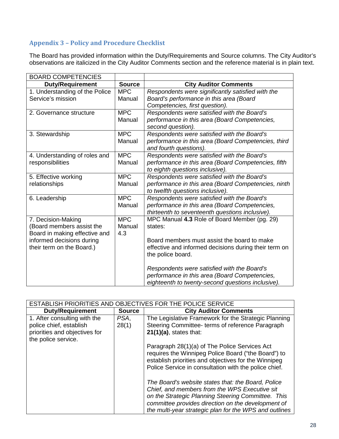# **Appendix 3 – Policy and Procedure Checklist**

The Board has provided information within the Duty/Requirements and Source columns. The City Auditor's observations are italicized in the City Auditor Comments section and the reference material is in plain text.

| <b>BOARD COMPETENCIES</b>                                                                                                                  |                             |                                                                                                                                                                                      |
|--------------------------------------------------------------------------------------------------------------------------------------------|-----------------------------|--------------------------------------------------------------------------------------------------------------------------------------------------------------------------------------|
| <b>Duty/Requirement</b>                                                                                                                    | <b>Source</b>               | <b>City Auditor Comments</b>                                                                                                                                                         |
| 1. Understanding of the Police<br>Service's mission                                                                                        | <b>MPC</b><br>Manual        | Respondents were significantly satisfied with the<br>Board's performance in this area (Board<br>Competencies, first question).                                                       |
| 2. Governance structure                                                                                                                    | <b>MPC</b><br>Manual        | Respondents were satisfied with the Board's<br>performance in this area (Board Competencies,<br>second question).                                                                    |
| 3. Stewardship                                                                                                                             | <b>MPC</b><br>Manual        | Respondents were satisfied with the Board's<br>performance in this area (Board Competencies, third<br>and fourth questions).                                                         |
| 4. Understanding of roles and<br>responsibilities                                                                                          | <b>MPC</b><br>Manual        | Respondents were satisfied with the Board's<br>performance in this area (Board Competencies, fifth<br>to eighth questions inclusive).                                                |
| 5. Effective working<br>relationships                                                                                                      | <b>MPC</b><br>Manual        | Respondents were satisfied with the Board's<br>performance in this area (Board Competencies, ninth<br>to twelfth questions inclusive).                                               |
| 6. Leadership                                                                                                                              | <b>MPC</b><br>Manual        | Respondents were satisfied with the Board's<br>performance in this area (Board Competencies,<br>thirteenth to seventeenth questions inclusive).                                      |
| 7. Decision-Making<br>(Board members assist the<br>Board in making effective and<br>informed decisions during<br>their term on the Board.) | <b>MPC</b><br>Manual<br>4.3 | MPC Manual 4.3 Role of Board Member (pg. 29)<br>states:<br>Board members must assist the board to make<br>effective and informed decisions during their term on<br>the police board. |
|                                                                                                                                            |                             | Respondents were satisfied with the Board's<br>performance in this area (Board Competencies,<br>eighteenth to twenty-second questions inclusive).                                    |

| DBJECTIVES FOR THE POLICE SERVICE<br><b>ESTABLISH PRIORITIES AND</b> |               |                                                                                                                                                                                                                                                                           |  |
|----------------------------------------------------------------------|---------------|---------------------------------------------------------------------------------------------------------------------------------------------------------------------------------------------------------------------------------------------------------------------------|--|
| <b>Duty/Requirement</b>                                              | <b>Source</b> | <b>City Auditor Comments</b>                                                                                                                                                                                                                                              |  |
| 1. After consulting with the                                         | PSA,          | The Legislative Framework for the Strategic Planning                                                                                                                                                                                                                      |  |
| police chief, establish                                              | 28(1)         | Steering Committee- terms of reference Paragraph                                                                                                                                                                                                                          |  |
| priorities and objectives for                                        |               | $21(1)(a)$ , states that:                                                                                                                                                                                                                                                 |  |
| the police service.                                                  |               |                                                                                                                                                                                                                                                                           |  |
|                                                                      |               | Paragraph 28(1)(a) of The Police Services Act<br>requires the Winnipeg Police Board ("the Board") to<br>establish priorities and objectives for the Winnipeg<br>Police Service in consultation with the police chief.                                                     |  |
|                                                                      |               | The Board's website states that: the Board, Police<br>Chief, and members from the WPS Executive sit<br>on the Strategic Planning Steering Committee. This<br>committee provides direction on the development of<br>the multi-year strategic plan for the WPS and outlines |  |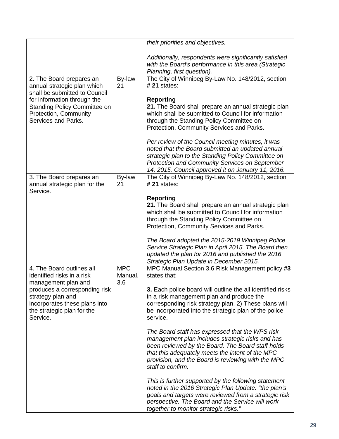|                                                                                                                               |                              | their priorities and objectives.                                                                                                                                                                                                                                                        |
|-------------------------------------------------------------------------------------------------------------------------------|------------------------------|-----------------------------------------------------------------------------------------------------------------------------------------------------------------------------------------------------------------------------------------------------------------------------------------|
|                                                                                                                               |                              | Additionally, respondents were significantly satisfied<br>with the Board's performance in this area (Strategic<br>Planning, first question).                                                                                                                                            |
| 2. The Board prepares an<br>annual strategic plan which<br>shall be submitted to Council                                      | By-law<br>21                 | The City of Winnipeg By-Law No. 148/2012, section<br>$# 21$ states:                                                                                                                                                                                                                     |
| for information through the<br><b>Standing Policy Committee on</b><br>Protection, Community<br>Services and Parks.            |                              | <b>Reporting</b><br>21. The Board shall prepare an annual strategic plan<br>which shall be submitted to Council for information<br>through the Standing Policy Committee on                                                                                                             |
|                                                                                                                               |                              | Protection, Community Services and Parks.                                                                                                                                                                                                                                               |
|                                                                                                                               |                              | Per review of the Council meeting minutes, it was<br>noted that the Board submitted an updated annual<br>strategic plan to the Standing Policy Committee on<br>Protection and Community Services on September                                                                           |
|                                                                                                                               |                              | 14, 2015. Council approved it on January 11, 2016.                                                                                                                                                                                                                                      |
| 3. The Board prepares an<br>annual strategic plan for the<br>Service.                                                         | By-law<br>21                 | The City of Winnipeg By-Law No. 148/2012, section<br>$#21$ states:                                                                                                                                                                                                                      |
|                                                                                                                               |                              | <b>Reporting</b><br>21. The Board shall prepare an annual strategic plan<br>which shall be submitted to Council for information<br>through the Standing Policy Committee on<br>Protection, Community Services and Parks.                                                                |
|                                                                                                                               |                              | The Board adopted the 2015-2019 Winnipeg Police<br>Service Strategic Plan in April 2015. The Board then<br>updated the plan for 2016 and published the 2016<br>Strategic Plan Update in December 2015.                                                                                  |
| 4. The Board outlines all<br>identified risks in a risk<br>management plan and                                                | <b>MPC</b><br>Manual,<br>3.6 | MPC Manual Section 3.6 Risk Management policy #3<br>states that:                                                                                                                                                                                                                        |
| produces a corresponding risk<br>strategy plan and<br>incorporates these plans into<br>the strategic plan for the<br>Service. |                              | 3. Each police board will outline the all identified risks<br>in a risk management plan and produce the<br>corresponding risk strategy plan. 2) These plans will<br>be incorporated into the strategic plan of the police<br>service.                                                   |
|                                                                                                                               |                              | The Board staff has expressed that the WPS risk<br>management plan includes strategic risks and has<br>been reviewed by the Board. The Board staff holds<br>that this adequately meets the intent of the MPC<br>provision, and the Board is reviewing with the MPC<br>staff to confirm. |
|                                                                                                                               |                              | This is further supported by the following statement<br>noted in the 2016 Strategic Plan Update: "the plan's<br>goals and targets were reviewed from a strategic risk<br>perspective. The Board and the Service will work<br>together to monitor strategic risks."                      |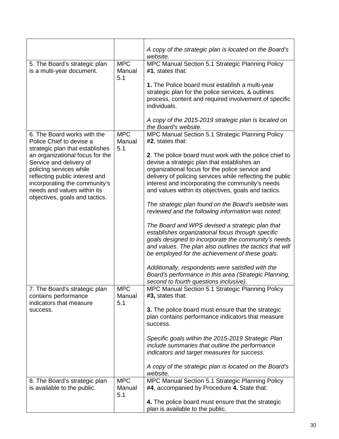|                                                                                                                                                                                                                           |                             | A copy of the strategic plan is located on the Board's<br>website.                                                                                                                                                                                                                                                                |
|---------------------------------------------------------------------------------------------------------------------------------------------------------------------------------------------------------------------------|-----------------------------|-----------------------------------------------------------------------------------------------------------------------------------------------------------------------------------------------------------------------------------------------------------------------------------------------------------------------------------|
| 5. The Board's strategic plan<br>is a multi-year document.                                                                                                                                                                | <b>MPC</b><br>Manual<br>5.1 | MPC Manual Section 5.1 Strategic Planning Policy<br>#1, states that:                                                                                                                                                                                                                                                              |
|                                                                                                                                                                                                                           |                             | 1. The Police board must establish a multi-year<br>strategic plan for the police services, & outlines<br>process, content and required involvement of specific<br>individuals.                                                                                                                                                    |
|                                                                                                                                                                                                                           |                             | A copy of the 2015-2019 strategic plan is located on<br>the Board's website.                                                                                                                                                                                                                                                      |
| 6. The Board works with the<br>Police Chief to devise a<br>strategic plan that establishes                                                                                                                                | <b>MPC</b><br>Manual<br>5.1 | MPC Manual Section 5.1 Strategic Planning Policy<br>#2, states that:                                                                                                                                                                                                                                                              |
| an organizational focus for the<br>Service and delivery of<br>policing services while<br>reflecting public interest and<br>incorporating the community's<br>needs and values within its<br>objectives, goals and tactics. |                             | 2. The police board must work with the police chief to<br>devise a strategic plan that establishes an<br>organizational focus for the police service and<br>delivery of policing services while reflecting the public<br>interest and incorporating the community's needs<br>and values within its objectives, goals and tactics. |
|                                                                                                                                                                                                                           |                             | The strategic plan found on the Board's website was<br>reviewed and the following information was noted:                                                                                                                                                                                                                          |
|                                                                                                                                                                                                                           |                             | The Board and WPS devised a strategic plan that<br>establishes organizational focus through specific<br>goals designed to incorporate the community's needs<br>and values. The plan also outlines the tactics that will<br>be employed for the achievement of these goals.                                                        |
|                                                                                                                                                                                                                           |                             | Additionally, respondents were satisfied with the<br>Board's performance in this area (Strategic Planning,<br>second to fourth questions inclusive).                                                                                                                                                                              |
| 7. The Board's strategic plan<br>contains performance<br>indicators that measure                                                                                                                                          | <b>MPC</b><br>Manual<br>5.1 | MPC Manual Section 5.1 Strategic Planning Policy<br>#3, states that:                                                                                                                                                                                                                                                              |
| success.                                                                                                                                                                                                                  |                             | 3. The police board must ensure that the strategic<br>plan contains performance indicators that measure<br>success.                                                                                                                                                                                                               |
|                                                                                                                                                                                                                           |                             | Specific goals within the 2015-2019 Strategic Plan<br>include summaries that outline the performance<br>indicators and target measures for success.                                                                                                                                                                               |
|                                                                                                                                                                                                                           |                             | A copy of the strategic plan is located on the Board's<br>website.                                                                                                                                                                                                                                                                |
| 8. The Board's strategic plan<br>is available to the public.                                                                                                                                                              | <b>MPC</b><br>Manual<br>5.1 | MPC Manual Section 5.1 Strategic Planning Policy<br>#4, accompanied by Procedure 4. State that:                                                                                                                                                                                                                                   |
|                                                                                                                                                                                                                           |                             | 4. The police board must ensure that the strategic<br>plan is available to the public.                                                                                                                                                                                                                                            |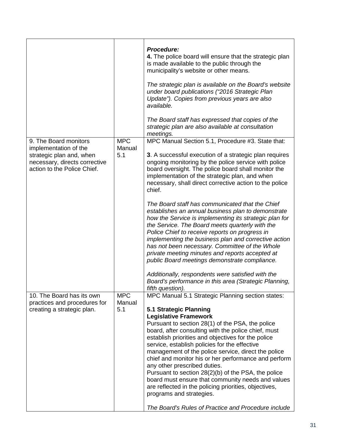|                                                                                                                                            |                             | <b>Procedure:</b><br>4. The police board will ensure that the strategic plan<br>is made available to the public through the<br>municipality's website or other means.<br>The strategic plan is available on the Board's website<br>under board publications ("2016 Strategic Plan<br>Update"). Copies from previous years are also<br>available.<br>The Board staff has expressed that copies of the<br>strategic plan are also available at consultation<br>meetings.                                                                                                                                                                                                          |
|--------------------------------------------------------------------------------------------------------------------------------------------|-----------------------------|---------------------------------------------------------------------------------------------------------------------------------------------------------------------------------------------------------------------------------------------------------------------------------------------------------------------------------------------------------------------------------------------------------------------------------------------------------------------------------------------------------------------------------------------------------------------------------------------------------------------------------------------------------------------------------|
| 9. The Board monitors<br>implementation of the<br>strategic plan and, when<br>necessary, directs corrective<br>action to the Police Chief. | <b>MPC</b><br>Manual<br>5.1 | MPC Manual Section 5.1, Procedure #3. State that:<br>3. A successful execution of a strategic plan requires<br>ongoing monitoring by the police service with police<br>board oversight. The police board shall monitor the<br>implementation of the strategic plan, and when<br>necessary, shall direct corrective action to the police<br>chief.                                                                                                                                                                                                                                                                                                                               |
|                                                                                                                                            |                             | The Board staff has communicated that the Chief<br>establishes an annual business plan to demonstrate<br>how the Service is implementing its strategic plan for<br>the Service. The Board meets quarterly with the<br>Police Chief to receive reports on progress in<br>implementing the business plan and corrective action<br>has not been necessary. Committee of the Whole<br>private meeting minutes and reports accepted at<br>public Board meetings demonstrate compliance.<br>Additionally, respondents were satisfied with the<br>Board's performance in this area (Strategic Planning,                                                                                |
| 10. The Board has its own                                                                                                                  | <b>MPC</b>                  | fifth question).<br>MPC Manual 5.1 Strategic Planning section states:                                                                                                                                                                                                                                                                                                                                                                                                                                                                                                                                                                                                           |
| practices and procedures for<br>creating a strategic plan.                                                                                 | Manual<br>5.1               | 5.1 Strategic Planning<br><b>Legislative Framework</b><br>Pursuant to section 28(1) of the PSA, the police<br>board, after consulting with the police chief, must<br>establish priorities and objectives for the police<br>service, establish policies for the effective<br>management of the police service, direct the police<br>chief and monitor his or her performance and perform<br>any other prescribed duties.<br>Pursuant to section 28(2)(b) of the PSA, the police<br>board must ensure that community needs and values<br>are reflected in the policing priorities, objectives,<br>programs and strategies.<br>The Board's Rules of Practice and Procedure include |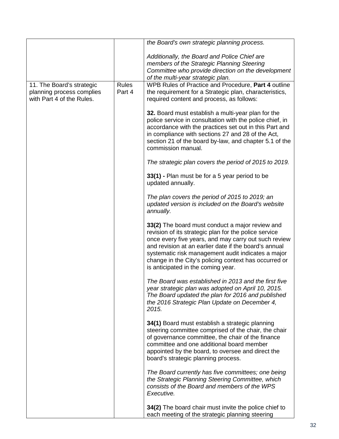|                           |              | the Board's own strategic planning process.                                              |
|---------------------------|--------------|------------------------------------------------------------------------------------------|
|                           |              | Additionally, the Board and Police Chief are                                             |
|                           |              | members of the Strategic Planning Steering                                               |
|                           |              | Committee who provide direction on the development                                       |
|                           |              | of the multi-year strategic plan.                                                        |
| 11. The Board's strategic | <b>Rules</b> | WPB Rules of Practice and Procedure, Part 4 outline                                      |
| planning process complies | Part 4       | the requirement for a Strategic plan, characteristics,                                   |
| with Part 4 of the Rules. |              | required content and process, as follows:                                                |
|                           |              | 32. Board must establish a multi-year plan for the                                       |
|                           |              | police service in consultation with the police chief, in                                 |
|                           |              | accordance with the practices set out in this Part and                                   |
|                           |              | in compliance with sections 27 and 28 of the Act,                                        |
|                           |              | section 21 of the board by-law, and chapter 5.1 of the<br>commission manual.             |
|                           |              | The strategic plan covers the period of 2015 to 2019.                                    |
|                           |              | 33(1) - Plan must be for a 5 year period to be<br>updated annually.                      |
|                           |              |                                                                                          |
|                           |              | The plan covers the period of 2015 to 2019; an                                           |
|                           |              | updated version is included on the Board's website<br>annually.                          |
|                           |              | 33(2) The board must conduct a major review and                                          |
|                           |              | revision of its strategic plan for the police service                                    |
|                           |              | once every five years, and may carry out such review                                     |
|                           |              | and revision at an earlier date if the board's annual                                    |
|                           |              | systematic risk management audit indicates a major                                       |
|                           |              | change in the City's policing context has occurred or                                    |
|                           |              | is anticipated in the coming year.                                                       |
|                           |              | The Board was established in 2013 and the first five                                     |
|                           |              | year strategic plan was adopted on April 10, 2015.                                       |
|                           |              | The Board updated the plan for 2016 and published                                        |
|                           |              | the 2016 Strategic Plan Update on December 4,                                            |
|                           |              | 2015.                                                                                    |
|                           |              | 34(1) Board must establish a strategic planning                                          |
|                           |              | steering committee comprised of the chair, the chair                                     |
|                           |              | of governance committee, the chair of the finance                                        |
|                           |              | committee and one additional board member                                                |
|                           |              | appointed by the board, to oversee and direct the<br>board's strategic planning process. |
|                           |              | The Board currently has five committees; one being                                       |
|                           |              | the Strategic Planning Steering Committee, which                                         |
|                           |              | consists of the Board and members of the WPS                                             |
|                           |              | Executive.                                                                               |
|                           |              | 34(2) The board chair must invite the police chief to                                    |
|                           |              | each meeting of the strategic planning steering                                          |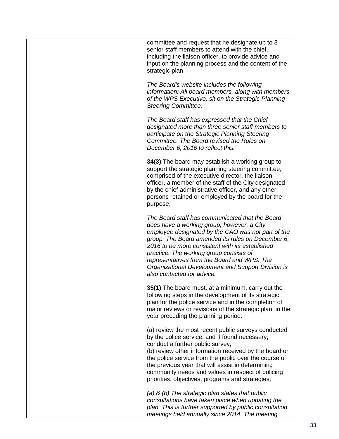| committee and request that he designate up to 3<br>senior staff members to attend with the chief,<br>including the liaison officer, to provide advice and<br>input on the planning process and the content of the<br>strategic plan.                                                                                                                                                                                                      |
|-------------------------------------------------------------------------------------------------------------------------------------------------------------------------------------------------------------------------------------------------------------------------------------------------------------------------------------------------------------------------------------------------------------------------------------------|
| The Board's website includes the following<br>information: All board members, along with members<br>of the WPS Executive, sit on the Strategic Planning<br><b>Steering Committee.</b>                                                                                                                                                                                                                                                     |
| The Board staff has expressed that the Chief<br>designated more than three senior staff members to<br>participate on the Strategic Planning Steering<br>Committee. The Board revised the Rules on<br>December 6, 2016 to reflect this.                                                                                                                                                                                                    |
| 34(3) The board may establish a working group to<br>support the strategic planning steering committee,<br>comprised of the executive director, the liaison<br>officer, a member of the staff of the City designated<br>by the chief administrative officer, and any other<br>persons retained or employed by the board for the<br>purpose.                                                                                                |
| The Board staff has communicated that the Board<br>does have a working group; however, a City<br>employee designated by the CAO was not part of the<br>group. The Board amended its rules on December 6,<br>2016 to be more consistent with its established<br>practice. The working group consists of<br>representatives from the Board and WPS. The<br>Organizational Development and Support Division is<br>also contacted for advice. |
| 35(1) The board must, at a minimum, carry out the<br>following steps in the development of its strategic<br>plan for the police service and in the completion of<br>major reviews or revisions of the strategic plan, in the<br>year preceding the planning period:                                                                                                                                                                       |
| (a) review the most recent public surveys conducted<br>by the police service, and if found necessary,<br>conduct a further public survey;<br>(b) review other information received by the board or<br>the police service from the public over the course of<br>the previous year that will assist in determining<br>community needs and values in respect of policing<br>priorities, objectives, programs and strategies;                 |
| (a) & (b) The strategic plan states that public<br>consultations have taken place when updating the<br>plan. This is further supported by public consultation<br>meetings held annually since 2014. The meeting                                                                                                                                                                                                                           |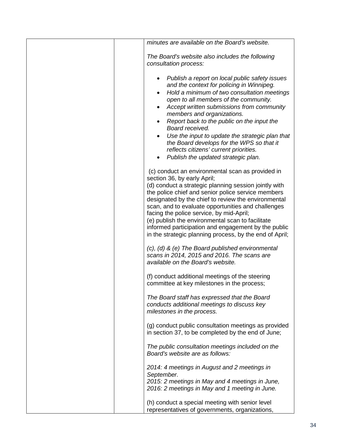| minutes are available on the Board's website.                                                                                                                                                                                                                                                                                                                                                                                                                                                                                                        |
|------------------------------------------------------------------------------------------------------------------------------------------------------------------------------------------------------------------------------------------------------------------------------------------------------------------------------------------------------------------------------------------------------------------------------------------------------------------------------------------------------------------------------------------------------|
| The Board's website also includes the following<br>consultation process:                                                                                                                                                                                                                                                                                                                                                                                                                                                                             |
| Publish a report on local public safety issues<br>٠<br>and the context for policing in Winnipeg.<br>Hold a minimum of two consultation meetings<br>$\bullet$<br>open to all members of the community.<br>Accept written submissions from community<br>members and organizations.<br>Report back to the public on the input the<br>$\bullet$<br>Board received.<br>Use the input to update the strategic plan that<br>the Board develops for the WPS so that it<br>reflects citizens' current priorities.<br>Publish the updated strategic plan.<br>٠ |
| (c) conduct an environmental scan as provided in<br>section 36, by early April;<br>(d) conduct a strategic planning session jointly with<br>the police chief and senior police service members<br>designated by the chief to review the environmental<br>scan, and to evaluate opportunities and challenges<br>facing the police service, by mid-April;<br>(e) publish the environmental scan to facilitate<br>informed participation and engagement by the public<br>in the strategic planning process, by the end of April;                        |
| (c), (d) & (e) The Board published environmental<br>scans in 2014, 2015 and 2016. The scans are<br>available on the Board's website.                                                                                                                                                                                                                                                                                                                                                                                                                 |
| (f) conduct additional meetings of the steering<br>committee at key milestones in the process;                                                                                                                                                                                                                                                                                                                                                                                                                                                       |
| The Board staff has expressed that the Board<br>conducts additional meetings to discuss key<br>milestones in the process.                                                                                                                                                                                                                                                                                                                                                                                                                            |
| (g) conduct public consultation meetings as provided<br>in section 37, to be completed by the end of June;                                                                                                                                                                                                                                                                                                                                                                                                                                           |
| The public consultation meetings included on the<br>Board's website are as follows:                                                                                                                                                                                                                                                                                                                                                                                                                                                                  |
| 2014: 4 meetings in August and 2 meetings in<br>September.<br>2015: 2 meetings in May and 4 meetings in June,<br>2016: 2 meetings in May and 1 meeting in June.                                                                                                                                                                                                                                                                                                                                                                                      |
| (h) conduct a special meeting with senior level<br>representatives of governments, organizations,                                                                                                                                                                                                                                                                                                                                                                                                                                                    |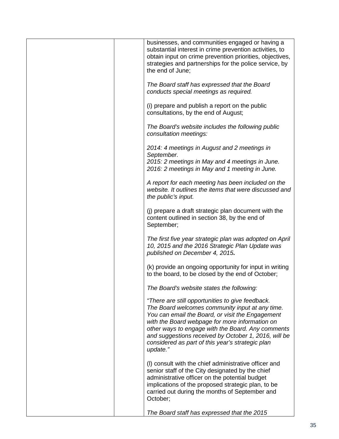| businesses, and communities engaged or having a<br>substantial interest in crime prevention activities, to<br>obtain input on crime prevention priorities, objectives,<br>strategies and partnerships for the police service, by<br>the end of June:                                                                                                                                   |
|----------------------------------------------------------------------------------------------------------------------------------------------------------------------------------------------------------------------------------------------------------------------------------------------------------------------------------------------------------------------------------------|
| The Board staff has expressed that the Board<br>conducts special meetings as required.                                                                                                                                                                                                                                                                                                 |
| (i) prepare and publish a report on the public<br>consultations, by the end of August;                                                                                                                                                                                                                                                                                                 |
| The Board's website includes the following public<br>consultation meetings:                                                                                                                                                                                                                                                                                                            |
| 2014: 4 meetings in August and 2 meetings in<br>September.                                                                                                                                                                                                                                                                                                                             |
| 2015: 2 meetings in May and 4 meetings in June.<br>2016: 2 meetings in May and 1 meeting in June.                                                                                                                                                                                                                                                                                      |
| A report for each meeting has been included on the<br>website. It outlines the items that were discussed and<br>the public's input.                                                                                                                                                                                                                                                    |
| (j) prepare a draft strategic plan document with the<br>content outlined in section 38, by the end of<br>September;                                                                                                                                                                                                                                                                    |
| The first five year strategic plan was adopted on April<br>10, 2015 and the 2016 Strategic Plan Update was<br>published on December 4, 2015.                                                                                                                                                                                                                                           |
| (k) provide an ongoing opportunity for input in writing<br>to the board, to be closed by the end of October;                                                                                                                                                                                                                                                                           |
| The Board's website states the following:                                                                                                                                                                                                                                                                                                                                              |
| "There are still opportunities to give feedback.<br>The Board welcomes community input at any time.<br>You can email the Board, or visit the Engagement<br>with the Board webpage for more information on<br>other ways to engage with the Board. Any comments<br>and suggestions received by October 1, 2016, will be<br>considered as part of this year's strategic plan<br>update." |
| (I) consult with the chief administrative officer and<br>senior staff of the City designated by the chief<br>administrative officer on the potential budget<br>implications of the proposed strategic plan, to be<br>carried out during the months of September and<br>October;                                                                                                        |
| The Board staff has expressed that the 2015                                                                                                                                                                                                                                                                                                                                            |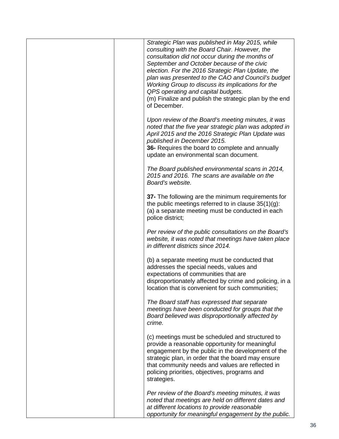|  | Strategic Plan was published in May 2015, while<br>consulting with the Board Chair. However, the<br>consultation did not occur during the months of<br>September and October because of the civic<br>election. For the 2016 Strategic Plan Update, the<br>plan was presented to the CAO and Council's budget<br>Working Group to discuss its implications for the<br>QPS operating and capital budgets.<br>(m) Finalize and publish the strategic plan by the end<br>of December. |
|--|-----------------------------------------------------------------------------------------------------------------------------------------------------------------------------------------------------------------------------------------------------------------------------------------------------------------------------------------------------------------------------------------------------------------------------------------------------------------------------------|
|  | Upon review of the Board's meeting minutes, it was<br>noted that the five year strategic plan was adopted in<br>April 2015 and the 2016 Strategic Plan Update was<br>published in December 2015.<br>36- Requires the board to complete and annually<br>update an environmental scan document.                                                                                                                                                                                     |
|  | The Board published environmental scans in 2014,<br>2015 and 2016. The scans are available on the<br>Board's website.                                                                                                                                                                                                                                                                                                                                                             |
|  | 37- The following are the minimum requirements for<br>the public meetings referred to in clause $35(1)(g)$ :<br>(a) a separate meeting must be conducted in each<br>police district;                                                                                                                                                                                                                                                                                              |
|  | Per review of the public consultations on the Board's<br>website, it was noted that meetings have taken place<br>in different districts since 2014.                                                                                                                                                                                                                                                                                                                               |
|  | (b) a separate meeting must be conducted that<br>addresses the special needs, values and<br>expectations of communities that are<br>disproportionately affected by crime and policing, in a<br>location that is convenient for such communities;                                                                                                                                                                                                                                  |
|  | The Board staff has expressed that separate<br>meetings have been conducted for groups that the<br>Board believed was disproportionally affected by<br>crime.                                                                                                                                                                                                                                                                                                                     |
|  | (c) meetings must be scheduled and structured to<br>provide a reasonable opportunity for meaningful<br>engagement by the public in the development of the<br>strategic plan, in order that the board may ensure<br>that community needs and values are reflected in<br>policing priorities, objectives, programs and<br>strategies.                                                                                                                                               |
|  | Per review of the Board's meeting minutes, it was<br>noted that meetings are held on different dates and<br>at different locations to provide reasonable<br>opportunity for meaningful engagement by the public.                                                                                                                                                                                                                                                                  |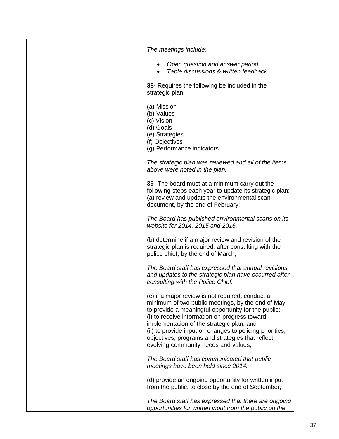| The meetings include:                                                                                                                                                                                                                                                                                                                                                                                               |
|---------------------------------------------------------------------------------------------------------------------------------------------------------------------------------------------------------------------------------------------------------------------------------------------------------------------------------------------------------------------------------------------------------------------|
| Open question and answer period<br>Table discussions & written feedback                                                                                                                                                                                                                                                                                                                                             |
| 38- Requires the following be included in the<br>strategic plan:                                                                                                                                                                                                                                                                                                                                                    |
| (a) Mission<br>(b) Values<br>(c) Vision<br>(d) Goals<br>(e) Strategies<br>(f) Objectives<br>(g) Performance indicators                                                                                                                                                                                                                                                                                              |
| The strategic plan was reviewed and all of the items<br>above were noted in the plan.                                                                                                                                                                                                                                                                                                                               |
| 39- The board must at a minimum carry out the<br>following steps each year to update its strategic plan:<br>(a) review and update the environmental scan<br>document, by the end of February;                                                                                                                                                                                                                       |
| The Board has published environmental scans on its<br>website for 2014, 2015 and 2016.                                                                                                                                                                                                                                                                                                                              |
| (b) determine if a major review and revision of the<br>strategic plan is required, after consulting with the<br>police chief, by the end of March;                                                                                                                                                                                                                                                                  |
| The Board staff has expressed that annual revisions<br>and updates to the strategic plan have occurred after<br>consulting with the Police Chief.                                                                                                                                                                                                                                                                   |
| (c) if a major review is not required, conduct a<br>minimum of two public meetings, by the end of May,<br>to provide a meaningful opportunity for the public:<br>(i) to receive information on progress toward<br>implementation of the strategic plan, and<br>(ii) to provide input on changes to policing priorities,<br>objectives, programs and strategies that reflect<br>evolving community needs and values; |
| The Board staff has communicated that public<br>meetings have been held since 2014.                                                                                                                                                                                                                                                                                                                                 |
| (d) provide an ongoing opportunity for written input<br>from the public, to close by the end of September;                                                                                                                                                                                                                                                                                                          |
| The Board staff has expressed that there are ongoing<br>opportunities for written input from the public on the                                                                                                                                                                                                                                                                                                      |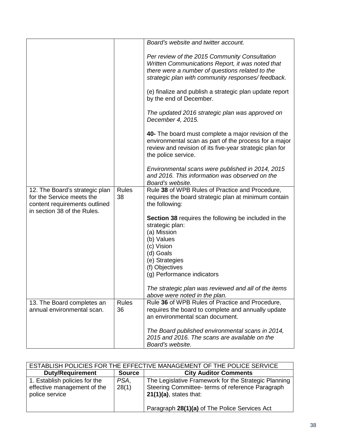|                                                                                                                             |                    | Board's website and twitter account.                                                                                                                                                                      |
|-----------------------------------------------------------------------------------------------------------------------------|--------------------|-----------------------------------------------------------------------------------------------------------------------------------------------------------------------------------------------------------|
|                                                                                                                             |                    | Per review of the 2015 Community Consultation<br>Written Communications Report, it was noted that<br>there were a number of questions related to the<br>strategic plan with community responses/feedback. |
|                                                                                                                             |                    | (e) finalize and publish a strategic plan update report<br>by the end of December.                                                                                                                        |
|                                                                                                                             |                    | The updated 2016 strategic plan was approved on<br>December 4, 2015.                                                                                                                                      |
|                                                                                                                             |                    | 40- The board must complete a major revision of the<br>environmental scan as part of the process for a major<br>review and revision of its five-year strategic plan for<br>the police service.            |
|                                                                                                                             |                    | Environmental scans were published in 2014, 2015<br>and 2016. This information was observed on the<br>Board's website.                                                                                    |
| 12. The Board's strategic plan<br>for the Service meets the<br>content requirements outlined<br>in section 38 of the Rules. | <b>Rules</b><br>38 | Rule 38 of WPB Rules of Practice and Procedure,<br>requires the board strategic plan at minimum contain<br>the following:                                                                                 |
|                                                                                                                             |                    | <b>Section 38 requires the following be included in the</b><br>strategic plan:<br>(a) Mission<br>(b) Values<br>(c) Vision<br>(d) Goals<br>(e) Strategies<br>(f) Objectives<br>(g) Performance indicators  |
|                                                                                                                             |                    | The strategic plan was reviewed and all of the items<br>above were noted in the plan.                                                                                                                     |
| 13. The Board completes an                                                                                                  | <b>Rules</b>       | Rule 36 of WPB Rules of Practice and Procedure,                                                                                                                                                           |
| annual environmental scan.                                                                                                  | 36                 | requires the board to complete and annually update<br>an environmental scan document.                                                                                                                     |
|                                                                                                                             |                    | The Board published environmental scans in 2014,<br>2015 and 2016. The scans are available on the<br>Board's website.                                                                                     |

| ESTABLISH POLICIES FOR THE EFFECTIVE MANAGEMENT OF THE POLICE SERVICE          |               |                                                                                                                                       |
|--------------------------------------------------------------------------------|---------------|---------------------------------------------------------------------------------------------------------------------------------------|
| <b>Duty/Requirement</b>                                                        | <b>Source</b> | <b>City Auditor Comments</b>                                                                                                          |
| 1. Establish policies for the<br>effective management of the<br>police service | PSA.<br>28(1) | The Legislative Framework for the Strategic Planning<br>Steering Committee- terms of reference Paragraph<br>$21(1)(a)$ , states that: |
|                                                                                |               | Paragraph 28(1)(a) of The Police Services Act                                                                                         |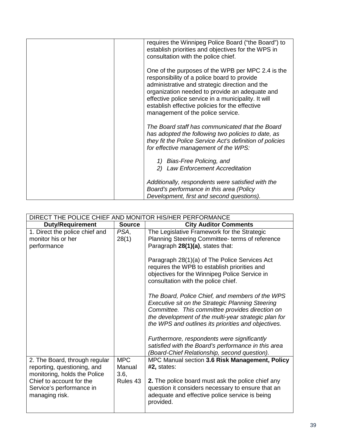| requires the Winnipeg Police Board ("the Board") to<br>establish priorities and objectives for the WPS in<br>consultation with the police chief.                                                                                                                                                                                                   |
|----------------------------------------------------------------------------------------------------------------------------------------------------------------------------------------------------------------------------------------------------------------------------------------------------------------------------------------------------|
| One of the purposes of the WPB per MPC 2.4 is the<br>responsibility of a police board to provide<br>administrative and strategic direction and the<br>organization needed to provide an adequate and<br>effective police service in a municipality. It will<br>establish effective policies for the effective<br>management of the police service. |
| The Board staff has communicated that the Board<br>has adopted the following two policies to date, as<br>they fit the Police Service Act's definition of policies<br>for effective management of the WPS:                                                                                                                                          |
| 1) Bias-Free Policing, and<br>2) Law Enforcement Accreditation                                                                                                                                                                                                                                                                                     |
| Additionally, respondents were satisfied with the<br>Board's performance in this area (Policy<br>Development, first and second questions).                                                                                                                                                                                                         |

| DIRECT THE POLICE CHIEF AND MONITOR HIS/HER PERFORMANCE                                      |                |                                                                                                                                                                                                                                          |  |
|----------------------------------------------------------------------------------------------|----------------|------------------------------------------------------------------------------------------------------------------------------------------------------------------------------------------------------------------------------------------|--|
| <b>Duty/Requirement</b>                                                                      | <b>Source</b>  | <b>City Auditor Comments</b>                                                                                                                                                                                                             |  |
| 1. Direct the police chief and                                                               | PSA,           | The Legislative Framework for the Strategic                                                                                                                                                                                              |  |
| monitor his or her                                                                           | 28(1)          | Planning Steering Committee- terms of reference                                                                                                                                                                                          |  |
| performance                                                                                  |                | Paragraph 28(1)(a), states that:                                                                                                                                                                                                         |  |
|                                                                                              |                | Paragraph 28(1)(a) of The Police Services Act<br>requires the WPB to establish priorities and<br>objectives for the Winnipeg Police Service in<br>consultation with the police chief.<br>The Board, Police Chief, and members of the WPS |  |
|                                                                                              |                | Executive sit on the Strategic Planning Steering<br>Committee. This committee provides direction on<br>the development of the multi-year strategic plan for<br>the WPS and outlines its priorities and objectives.                       |  |
|                                                                                              |                | Furthermore, respondents were significantly                                                                                                                                                                                              |  |
|                                                                                              |                | satisfied with the Board's performance in this area                                                                                                                                                                                      |  |
|                                                                                              | <b>MPC</b>     | (Board-Chief Relationship, second question).                                                                                                                                                                                             |  |
| 2. The Board, through regular<br>reporting, questioning, and<br>monitoring, holds the Police | Manual<br>3.6. | MPC Manual section 3.6 Risk Management, Policy<br>#2, states:                                                                                                                                                                            |  |
| Chief to account for the<br>Service's performance in<br>managing risk.                       | Rules 43       | 2. The police board must ask the police chief any<br>question it considers necessary to ensure that an<br>adequate and effective police service is being<br>provided.                                                                    |  |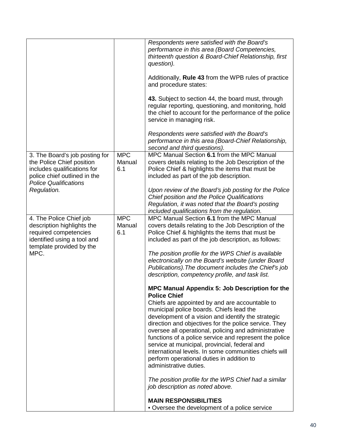|                                                                                                                                                                           |                             | Respondents were satisfied with the Board's<br>performance in this area (Board Competencies,<br>thirteenth question & Board-Chief Relationship, first<br>question).<br>Additionally, Rule 43 from the WPB rules of practice<br>and procedure states:<br>43. Subject to section 44, the board must, through<br>regular reporting, questioning, and monitoring, hold<br>the chief to account for the performance of the police<br>service in managing risk.                                                                                                                                                                                                                        |
|---------------------------------------------------------------------------------------------------------------------------------------------------------------------------|-----------------------------|----------------------------------------------------------------------------------------------------------------------------------------------------------------------------------------------------------------------------------------------------------------------------------------------------------------------------------------------------------------------------------------------------------------------------------------------------------------------------------------------------------------------------------------------------------------------------------------------------------------------------------------------------------------------------------|
|                                                                                                                                                                           |                             | Respondents were satisfied with the Board's<br>performance in this area (Board-Chief Relationship,<br>second and third questions).                                                                                                                                                                                                                                                                                                                                                                                                                                                                                                                                               |
| 3. The Board's job posting for<br>the Police Chief position<br>includes qualifications for<br>police chief outlined in the<br><b>Police Qualifications</b><br>Regulation. | <b>MPC</b><br>Manual<br>6.1 | MPC Manual Section 6.1 from the MPC Manual<br>covers details relating to the Job Description of the<br>Police Chief & highlights the items that must be<br>included as part of the job description.<br>Upon review of the Board's job posting for the Police                                                                                                                                                                                                                                                                                                                                                                                                                     |
|                                                                                                                                                                           |                             | Chief position and the Police Qualifications<br>Regulation, it was noted that the Board's posting<br>included qualifications from the regulation.                                                                                                                                                                                                                                                                                                                                                                                                                                                                                                                                |
| 4. The Police Chief job<br>description highlights the<br>required competencies<br>identified using a tool and<br>template provided by the<br>MPC.                         | <b>MPC</b><br>Manual<br>6.1 | MPC Manual Section 6.1 from the MPC Manual<br>covers details relating to the Job Description of the<br>Police Chief & highlights the items that must be<br>included as part of the job description, as follows:<br>The position profile for the WPS Chief is available<br>electronically on the Board's website (under Board<br>Publications). The document includes the Chief's job<br>description, competency profile, and task list.                                                                                                                                                                                                                                          |
|                                                                                                                                                                           |                             | MPC Manual Appendix 5: Job Description for the<br><b>Police Chief</b><br>Chiefs are appointed by and are accountable to<br>municipal police boards. Chiefs lead the<br>development of a vision and identify the strategic<br>direction and objectives for the police service. They<br>oversee all operational, policing and administrative<br>functions of a police service and represent the police<br>service at municipal, provincial, federal and<br>international levels. In some communities chiefs will<br>perform operational duties in addition to<br>administrative duties.<br>The position profile for the WPS Chief had a similar<br>job description as noted above. |
|                                                                                                                                                                           |                             | <b>MAIN RESPONSIBILITIES</b><br>• Oversee the development of a police service                                                                                                                                                                                                                                                                                                                                                                                                                                                                                                                                                                                                    |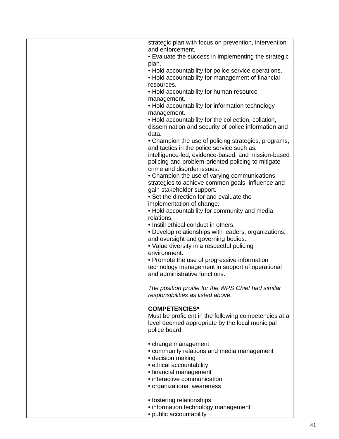| strategic plan with focus on prevention, intervention                                                        |
|--------------------------------------------------------------------------------------------------------------|
| and enforcement.                                                                                             |
| • Evaluate the success in implementing the strategic                                                         |
| plan.                                                                                                        |
| • Hold accountability for police service operations.                                                         |
| • Hold accountability for management of financial                                                            |
| resources.                                                                                                   |
| . Hold accountability for human resource                                                                     |
| management.                                                                                                  |
| • Hold accountability for information technology                                                             |
| management.                                                                                                  |
| • Hold accountability for the collection, collation,<br>dissemination and security of police information and |
| data.                                                                                                        |
| • Champion the use of policing strategies, programs,                                                         |
| and tactics in the police service such as:                                                                   |
| intelligence-led, evidence-based, and mission-based                                                          |
| policing and problem-oriented policing to mitigate                                                           |
| crime and disorder issues.                                                                                   |
| • Champion the use of varying communications                                                                 |
| strategies to achieve common goals, influence and                                                            |
| gain stakeholder support.                                                                                    |
| • Set the direction for and evaluate the                                                                     |
| implementation of change.                                                                                    |
| . Hold accountability for community and media                                                                |
| relations.                                                                                                   |
| • Instill ethical conduct in others.                                                                         |
| • Develop relationships with leaders, organizations,                                                         |
| and oversight and governing bodies.                                                                          |
| • Value diversity in a respectful policing                                                                   |
| environment.                                                                                                 |
| • Promote the use of progressive information                                                                 |
| technology management in support of operational                                                              |
| and administrative functions.                                                                                |
|                                                                                                              |
| The position profile for the WPS Chief had similar                                                           |
| responsibilities as listed above.                                                                            |
|                                                                                                              |
| <b>COMPETENCIES*</b>                                                                                         |
| Must be proficient in the following competencies at a                                                        |
| level deemed appropriate by the local municipal                                                              |
| police board:                                                                                                |
| • change management                                                                                          |
| • community relations and media management                                                                   |
| · decision making                                                                                            |
| • ethical accountability                                                                                     |
| • financial management                                                                                       |
| • interactive communication                                                                                  |
| • organizational awareness                                                                                   |
|                                                                                                              |
| • fostering relationships                                                                                    |
| • information technology management                                                                          |
| · public accountability                                                                                      |
|                                                                                                              |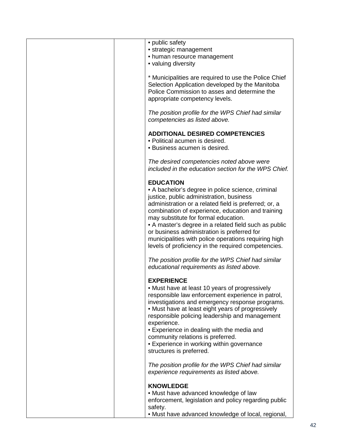| • public safety<br>• strategic management<br>• human resource management<br>• valuing diversity                                                                                                                                                                                                                                                                                                                                                                                                |
|------------------------------------------------------------------------------------------------------------------------------------------------------------------------------------------------------------------------------------------------------------------------------------------------------------------------------------------------------------------------------------------------------------------------------------------------------------------------------------------------|
| * Municipalities are required to use the Police Chief<br>Selection Application developed by the Manitoba<br>Police Commission to asses and determine the<br>appropriate competency levels.                                                                                                                                                                                                                                                                                                     |
| The position profile for the WPS Chief had similar<br>competencies as listed above.                                                                                                                                                                                                                                                                                                                                                                                                            |
| <b>ADDITIONAL DESIRED COMPETENCIES</b><br>• Political acumen is desired.<br>• Business acumen is desired.                                                                                                                                                                                                                                                                                                                                                                                      |
| The desired competencies noted above were<br>included in the education section for the WPS Chief.                                                                                                                                                                                                                                                                                                                                                                                              |
| <b>EDUCATION</b><br>• A bachelor's degree in police science, criminal<br>justice, public administration, business<br>administration or a related field is preferred; or, a<br>combination of experience, education and training<br>may substitute for formal education.<br>• A master's degree in a related field such as public<br>or business administration is preferred for<br>municipalities with police operations requiring high<br>levels of proficiency in the required competencies. |
| The position profile for the WPS Chief had similar<br>educational requirements as listed above.                                                                                                                                                                                                                                                                                                                                                                                                |
| <b>EXPERIENCE</b><br>• Must have at least 10 years of progressively<br>responsible law enforcement experience in patrol,<br>investigations and emergency response programs.<br>• Must have at least eight years of progressively<br>responsible policing leadership and management<br>experience.<br>• Experience in dealing with the media and<br>community relations is preferred.<br>• Experience in working within governance<br>structures is preferred.                                  |
| The position profile for the WPS Chief had similar<br>experience requirements as listed above.                                                                                                                                                                                                                                                                                                                                                                                                 |
| <b>KNOWLEDGE</b><br>. Must have advanced knowledge of law<br>enforcement, legislation and policy regarding public<br>safety.<br>• Must have advanced knowledge of local, regional,                                                                                                                                                                                                                                                                                                             |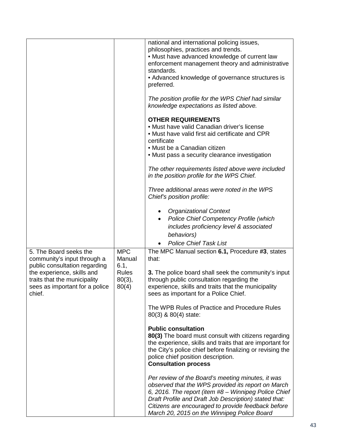|                                                                                                        |                                    | national and international policing issues,<br>philosophies, practices and trends.<br>• Must have advanced knowledge of current law<br>enforcement management theory and administrative<br>standards.<br>• Advanced knowledge of governance structures is<br>preferred.<br>The position profile for the WPS Chief had similar<br>knowledge expectations as listed above.<br><b>OTHER REQUIREMENTS</b><br>• Must have valid Canadian driver's license<br>• Must have valid first aid certificate and CPR<br>certificate<br>• Must be a Canadian citizen |
|--------------------------------------------------------------------------------------------------------|------------------------------------|--------------------------------------------------------------------------------------------------------------------------------------------------------------------------------------------------------------------------------------------------------------------------------------------------------------------------------------------------------------------------------------------------------------------------------------------------------------------------------------------------------------------------------------------------------|
|                                                                                                        |                                    | • Must pass a security clearance investigation<br>The other requirements listed above were included                                                                                                                                                                                                                                                                                                                                                                                                                                                    |
|                                                                                                        |                                    | in the position profile for the WPS Chief.                                                                                                                                                                                                                                                                                                                                                                                                                                                                                                             |
|                                                                                                        |                                    | Three additional areas were noted in the WPS<br>Chief's position profile:                                                                                                                                                                                                                                                                                                                                                                                                                                                                              |
|                                                                                                        |                                    | <b>Organizational Context</b>                                                                                                                                                                                                                                                                                                                                                                                                                                                                                                                          |
|                                                                                                        |                                    | Police Chief Competency Profile (which                                                                                                                                                                                                                                                                                                                                                                                                                                                                                                                 |
|                                                                                                        |                                    | includes proficiency level & associated<br>behaviors)                                                                                                                                                                                                                                                                                                                                                                                                                                                                                                  |
|                                                                                                        |                                    | <b>Police Chief Task List</b>                                                                                                                                                                                                                                                                                                                                                                                                                                                                                                                          |
| 5. The Board seeks the<br>community's input through a<br>public consultation regarding                 | <b>MPC</b><br>Manual<br>6.1,       | The MPC Manual section 6.1, Procedure #3, states<br>that:                                                                                                                                                                                                                                                                                                                                                                                                                                                                                              |
| the experience, skills and<br>traits that the municipality<br>sees as important for a police<br>chief. | <b>Rules</b><br>$80(3)$ ,<br>80(4) | 3. The police board shall seek the community's input<br>through public consultation regarding the<br>experience, skills and traits that the municipality<br>sees as important for a Police Chief.                                                                                                                                                                                                                                                                                                                                                      |
|                                                                                                        |                                    | The WPB Rules of Practice and Procedure Rules<br>80(3) & 80(4) state:                                                                                                                                                                                                                                                                                                                                                                                                                                                                                  |
|                                                                                                        |                                    | <b>Public consultation</b><br>80(3) The board must consult with citizens regarding<br>the experience, skills and traits that are important for<br>the City's police chief before finalizing or revising the<br>police chief position description.<br><b>Consultation process</b>                                                                                                                                                                                                                                                                       |
|                                                                                                        |                                    | Per review of the Board's meeting minutes, it was<br>observed that the WPS provided its report on March<br>6, 2016. The report (item #8 - Winnipeg Police Chief<br>Draft Profile and Draft Job Description) stated that:<br>Citizens are encouraged to provide feedback before<br>March 20, 2015 on the Winnipeg Police Board                                                                                                                                                                                                                          |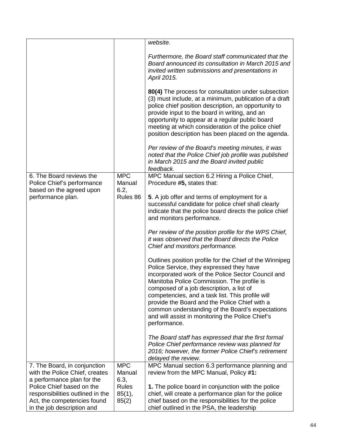|                                                                                              |                              | website.                                                                                                                                                                                                                                                                                                                                                                                                                                                                         |
|----------------------------------------------------------------------------------------------|------------------------------|----------------------------------------------------------------------------------------------------------------------------------------------------------------------------------------------------------------------------------------------------------------------------------------------------------------------------------------------------------------------------------------------------------------------------------------------------------------------------------|
|                                                                                              |                              |                                                                                                                                                                                                                                                                                                                                                                                                                                                                                  |
|                                                                                              |                              | Furthermore, the Board staff communicated that the<br>Board announced its consultation in March 2015 and<br>invited written submissions and presentations in<br>April 2015.                                                                                                                                                                                                                                                                                                      |
|                                                                                              |                              | 80(4) The process for consultation under subsection<br>(3) must include, at a minimum, publication of a draft<br>police chief position description, an opportunity to<br>provide input to the board in writing, and an<br>opportunity to appear at a regular public board<br>meeting at which consideration of the police chief<br>position description has been placed on the agenda.                                                                                           |
|                                                                                              |                              | Per review of the Board's meeting minutes, it was<br>noted that the Police Chief job profile was published<br>in March 2015 and the Board invited public<br>feedback.                                                                                                                                                                                                                                                                                                            |
| 6. The Board reviews the<br>Police Chief's performance                                       | <b>MPC</b><br>Manual         | MPC Manual section 6.2 Hiring a Police Chief,<br>Procedure #5, states that:                                                                                                                                                                                                                                                                                                                                                                                                      |
| based on the agreed upon<br>performance plan.                                                | 6.2,<br>Rules 86             | 5. A job offer and terms of employment for a<br>successful candidate for police chief shall clearly<br>indicate that the police board directs the police chief<br>and monitors performance.                                                                                                                                                                                                                                                                                      |
|                                                                                              |                              | Per review of the position profile for the WPS Chief,<br>it was observed that the Board directs the Police<br>Chief and monitors performance.                                                                                                                                                                                                                                                                                                                                    |
|                                                                                              |                              | Outlines position profile for the Chief of the Winnipeg<br>Police Service, they expressed they have<br>incorporated work of the Police Sector Council and<br>Manitoba Police Commission. The profile is<br>composed of a job description, a list of<br>competencies, and a task list. This profile will<br>provide the Board and the Police Chief with a<br>common understanding of the Board's expectations<br>and will assist in monitoring the Police Chief's<br>performance. |
|                                                                                              |                              | The Board staff has expressed that the first formal<br>Police Chief performance review was planned for<br>2016; however, the former Police Chief's retirement<br>delayed the review.                                                                                                                                                                                                                                                                                             |
| 7. The Board, in conjunction<br>with the Police Chief, creates<br>a performance plan for the | <b>MPC</b><br>Manual<br>6.3, | MPC Manual section 6.3 performance planning and<br>review from the MPC Manual, Policy #1:                                                                                                                                                                                                                                                                                                                                                                                        |
| Police Chief based on the                                                                    | <b>Rules</b>                 | 1. The police board in conjunction with the police                                                                                                                                                                                                                                                                                                                                                                                                                               |
| responsibilities outlined in the                                                             | 85(1),                       | chief, will create a performance plan for the police                                                                                                                                                                                                                                                                                                                                                                                                                             |
| Act, the competencies found                                                                  | 85(2)                        | chief based on the responsibilities for the police                                                                                                                                                                                                                                                                                                                                                                                                                               |
| in the job description and                                                                   |                              | chief outlined in the PSA, the leadership                                                                                                                                                                                                                                                                                                                                                                                                                                        |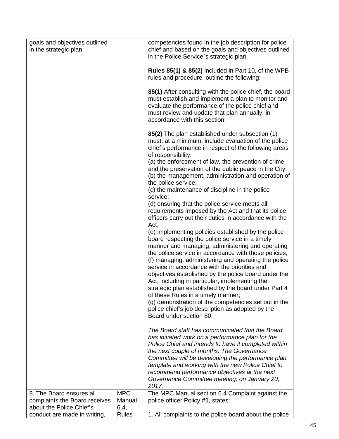| goals and objectives outlined<br>in the strategic plan.                               |                              | competencies found in the job description for police<br>chief and based on the goals and objectives outlined<br>in the Police Service's strategic plan.                                                                                                                                                                                                                                                                     |
|---------------------------------------------------------------------------------------|------------------------------|-----------------------------------------------------------------------------------------------------------------------------------------------------------------------------------------------------------------------------------------------------------------------------------------------------------------------------------------------------------------------------------------------------------------------------|
|                                                                                       |                              | Rules 85(1) & 85(2) included in Part 10, of the WPB<br>rules and procedure, outline the following:                                                                                                                                                                                                                                                                                                                          |
|                                                                                       |                              | 85(1) After consulting with the police chief, the board<br>must establish and implement a plan to monitor and<br>evaluate the performance of the police chief and<br>must review and update that plan annually, in<br>accordance with this section.                                                                                                                                                                         |
|                                                                                       |                              | 85(2) The plan established under subsection (1)<br>must, at a minimum, include evaluation of the police<br>chief's performance in respect of the following areas<br>of responsibility:                                                                                                                                                                                                                                      |
|                                                                                       |                              | (a) the enforcement of law, the prevention of crime<br>and the preservation of the public peace in the City;<br>(b) the management, administration and operation of<br>the police service;<br>(c) the maintenance of discipline in the police                                                                                                                                                                               |
|                                                                                       |                              | service;<br>(d) ensuring that the police service meets all<br>requirements imposed by the Act and that its police<br>officers carry out their duties in accordance with the<br>Act;                                                                                                                                                                                                                                         |
|                                                                                       |                              | (e) implementing policies established by the police<br>board respecting the police service in a timely<br>manner and managing, administering and operating<br>the police service in accordance with those policies;<br>(f) managing, administering and operating the police                                                                                                                                                 |
|                                                                                       |                              | service in accordance with the priorities and<br>objectives established by the police board under the<br>Act, including in particular, implementing the<br>strategic plan established by the board under Part 4<br>of these Rules in a timely manner;<br>(g) demonstration of the competencies set out in the<br>police chief's job description as adopted by the                                                           |
|                                                                                       |                              | Board under section 80.                                                                                                                                                                                                                                                                                                                                                                                                     |
|                                                                                       |                              | The Board staff has communicated that the Board<br>has initiated work on a performance plan for the<br>Police Chief and intends to have it completed within<br>the next couple of months. The Governance<br>Committee will be developing the performance plan<br>template and working with the new Police Chief to<br>recommend performance objectives at the next<br>Governance Committee meeting, on January 20,<br>2017. |
| 8. The Board ensures all<br>complaints the Board receives<br>about the Police Chief's | <b>MPC</b><br>Manual<br>6.4, | The MPC Manual section 6.4 Complaint against the<br>police officer Policy #1, states:                                                                                                                                                                                                                                                                                                                                       |
| conduct are made in writing,                                                          | <b>Rules</b>                 | 1. All complaints to the police board about the police                                                                                                                                                                                                                                                                                                                                                                      |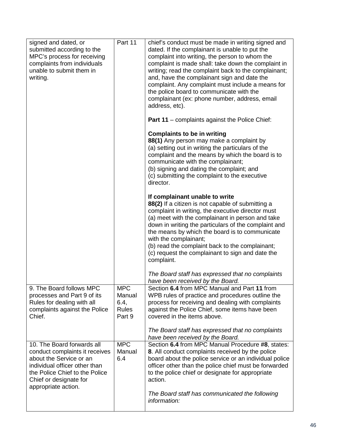| signed and dated, or<br>submitted according to the<br>MPC's process for receiving<br>complaints from individuals<br>unable to submit them in<br>writing.                                                    | Part 11                                                | chief's conduct must be made in writing signed and<br>dated. If the complainant is unable to put the<br>complaint into writing, the person to whom the<br>complaint is made shall: take down the complaint in<br>writing; read the complaint back to the complainant;<br>and, have the complainant sign and date the<br>complaint. Any complaint must include a means for                                                                            |
|-------------------------------------------------------------------------------------------------------------------------------------------------------------------------------------------------------------|--------------------------------------------------------|------------------------------------------------------------------------------------------------------------------------------------------------------------------------------------------------------------------------------------------------------------------------------------------------------------------------------------------------------------------------------------------------------------------------------------------------------|
|                                                                                                                                                                                                             |                                                        | the police board to communicate with the<br>complainant (ex: phone number, address, email<br>address, etc).                                                                                                                                                                                                                                                                                                                                          |
|                                                                                                                                                                                                             |                                                        | <b>Part 11</b> – complaints against the Police Chief:                                                                                                                                                                                                                                                                                                                                                                                                |
|                                                                                                                                                                                                             |                                                        | <b>Complaints to be in writing</b><br>88(1) Any person may make a complaint by<br>(a) setting out in writing the particulars of the<br>complaint and the means by which the board is to<br>communicate with the complainant;<br>(b) signing and dating the complaint; and<br>(c) submitting the complaint to the executive<br>director.                                                                                                              |
|                                                                                                                                                                                                             |                                                        | If complainant unable to write<br>88(2) If a citizen is not capable of submitting a<br>complaint in writing, the executive director must<br>(a) meet with the complainant in person and take<br>down in writing the particulars of the complaint and<br>the means by which the board is to communicate<br>with the complainant;<br>(b) read the complaint back to the complainant;<br>(c) request the complainant to sign and date the<br>complaint. |
|                                                                                                                                                                                                             |                                                        | The Board staff has expressed that no complaints<br>have been received by the Board.                                                                                                                                                                                                                                                                                                                                                                 |
| 9. The Board follows MPC<br>processes and Part 9 of its<br>Rules for dealing with all<br>complaints against the Police<br>Chief.                                                                            | <b>MPC</b><br>Manual<br>6.4,<br><b>Rules</b><br>Part 9 | Section 6.4 from MPC Manual and Part 11 from<br>WPB rules of practice and procedures outline the<br>process for receiving and dealing with complaints<br>against the Police Chief, some items have been<br>covered in the items above.                                                                                                                                                                                                               |
|                                                                                                                                                                                                             |                                                        | The Board staff has expressed that no complaints<br>have been received by the Board.                                                                                                                                                                                                                                                                                                                                                                 |
| 10. The Board forwards all<br>conduct complaints it receives<br>about the Service or an<br>individual officer other than<br>the Police Chief to the Police<br>Chief or designate for<br>appropriate action. | MPC<br>Manual<br>6.4                                   | Section 6.4 from MPC Manual Procedure #8, states:<br>8. All conduct complaints received by the police<br>board about the police service or an individual police<br>officer other than the police chief must be forwarded<br>to the police chief or designate for appropriate<br>action.<br>The Board staff has communicated the following                                                                                                            |
|                                                                                                                                                                                                             |                                                        | information:                                                                                                                                                                                                                                                                                                                                                                                                                                         |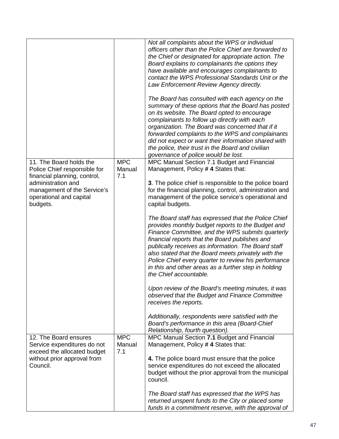|                                                                                                                          |                      | Not all complaints about the WPS or individual<br>officers other than the Police Chief are forwarded to<br>the Chief or designated for appropriate action. The<br>Board explains to complainants the options they<br>have available and encourages complainants to<br>contact the WPS Professional Standards Unit or the<br>Law Enforcement Review Agency directly.<br>The Board has consulted with each agency on the<br>summary of these options that the Board has posted |
|--------------------------------------------------------------------------------------------------------------------------|----------------------|------------------------------------------------------------------------------------------------------------------------------------------------------------------------------------------------------------------------------------------------------------------------------------------------------------------------------------------------------------------------------------------------------------------------------------------------------------------------------|
|                                                                                                                          |                      | on its website. The Board opted to encourage<br>complainants to follow up directly with each<br>organization. The Board was concerned that if it<br>forwarded complaints to the WPS and complainants<br>did not expect or want their information shared with<br>the police, their trust in the Board and civilian<br>governance of police would be lost.                                                                                                                     |
| 11. The Board holds the<br>Police Chief responsible for                                                                  | <b>MPC</b><br>Manual | MPC Manual Section 7.1 Budget and Financial<br>Management, Policy #4 States that:                                                                                                                                                                                                                                                                                                                                                                                            |
| financial planning, control,<br>administration and<br>management of the Service's<br>operational and capital<br>budgets. | 7.1                  | 3. The police chief is responsible to the police board<br>for the financial planning, control, administration and<br>management of the police service's operational and<br>capital budgets.                                                                                                                                                                                                                                                                                  |
|                                                                                                                          |                      | The Board staff has expressed that the Police Chief<br>provides monthly budget reports to the Budget and<br>Finance Committee, and the WPS submits quarterly<br>financial reports that the Board publishes and<br>publically receives as information. The Board staff<br>also stated that the Board meets privately with the<br>Police Chief every quarter to review his performance<br>in this and other areas as a further step in holding<br>the Chief accountable.       |
|                                                                                                                          |                      | Upon review of the Board's meeting minutes, it was<br>observed that the Budget and Finance Committee<br>receives the reports.                                                                                                                                                                                                                                                                                                                                                |
|                                                                                                                          |                      | Additionally, respondents were satisfied with the<br>Board's performance in this area (Board-Chief<br>Relationship, fourth question).                                                                                                                                                                                                                                                                                                                                        |
| 12. The Board ensures<br>Service expenditures do not                                                                     | <b>MPC</b><br>Manual | MPC Manual Section 7.1 Budget and Financial<br>Management, Policy #4 States that:                                                                                                                                                                                                                                                                                                                                                                                            |
| exceed the allocated budget<br>without prior approval from                                                               | 7.1                  | 4. The police board must ensure that the police                                                                                                                                                                                                                                                                                                                                                                                                                              |
| Council.                                                                                                                 |                      | service expenditures do not exceed the allocated<br>budget without the prior approval from the municipal<br>council.                                                                                                                                                                                                                                                                                                                                                         |
|                                                                                                                          |                      | The Board staff has expressed that the WPS has<br>returned unspent funds to the City or placed some                                                                                                                                                                                                                                                                                                                                                                          |
|                                                                                                                          |                      | funds in a commitment reserve, with the approval of                                                                                                                                                                                                                                                                                                                                                                                                                          |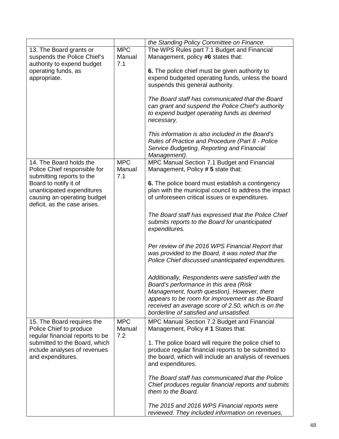|                                                           |            | the Standing Policy Committee on Finance.             |
|-----------------------------------------------------------|------------|-------------------------------------------------------|
| 13. The Board grants or                                   | <b>MPC</b> | The WPS Rules part 7.1 Budget and Financial           |
| suspends the Police Chief's                               | Manual     | Management, policy #6 states that:                    |
| authority to expend budget                                | 7.1        |                                                       |
| operating funds, as                                       |            | 6. The police chief must be given authority to        |
| appropriate.                                              |            | expend budgeted operating funds, unless the board     |
|                                                           |            | suspends this general authority.                      |
|                                                           |            |                                                       |
|                                                           |            | The Board staff has communicated that the Board       |
|                                                           |            | can grant and suspend the Police Chief's authority    |
|                                                           |            | to expend budget operating funds as deemed            |
|                                                           |            | necessary.                                            |
|                                                           |            |                                                       |
|                                                           |            | This information is also included in the Board's      |
|                                                           |            | Rules of Practice and Procedure (Part 8 - Police      |
|                                                           |            | Service Budgeting, Reporting and Financial            |
|                                                           | <b>MPC</b> | Management).                                          |
| 14. The Board holds the                                   | Manual     | MPC Manual Section 7.1 Budget and Financial           |
| Police Chief responsible for<br>submitting reports to the | 7.1        | Management, Policy # 5 state that:                    |
| Board to notify it of                                     |            | 6. The police board must establish a contingency      |
| unanticipated expenditures                                |            | plan with the municipal council to address the impact |
| causing an operating budget                               |            | of unforeseen critical issues or expenditures.        |
| deficit, as the case arises.                              |            |                                                       |
|                                                           |            |                                                       |
|                                                           |            | The Board staff has expressed that the Police Chief   |
|                                                           |            | submits reports to the Board for unanticipated        |
|                                                           |            | expenditures.                                         |
|                                                           |            |                                                       |
|                                                           |            | Per review of the 2016 WPS Financial Report that      |
|                                                           |            | was provided to the Board, it was noted that the      |
|                                                           |            | Police Chief discussed unanticipated expenditures.    |
|                                                           |            |                                                       |
|                                                           |            | Additionally, Respondents were satisfied with the     |
|                                                           |            | Board's performance in this area (Risk                |
|                                                           |            | Management, fourth question). However, there          |
|                                                           |            | appears to be room for improvement as the Board       |
|                                                           |            | received an average score of 2.50, which is on the    |
|                                                           |            | borderline of satisfied and unsatisfied.              |
| 15. The Board requires the                                | <b>MPC</b> | MPC Manual Section 7.2 Budget and Financial           |
| Police Chief to produce                                   | Manual     | Management, Policy #1 States that:                    |
| regular financial reports to be                           | 7.2        |                                                       |
| submitted to the Board, which                             |            | 1. The police board will require the police chief to  |
| include analyses of revenues                              |            | produce regular financial reports to be submitted to  |
| and expenditures.                                         |            | the board, which will include an analysis of revenues |
|                                                           |            | and expenditures.                                     |
|                                                           |            |                                                       |
|                                                           |            | The Board staff has communicated that the Police      |
|                                                           |            | Chief produces regular financial reports and submits  |
|                                                           |            | them to the Board.                                    |
|                                                           |            |                                                       |
|                                                           |            | The 2015 and 2016 WPS Financial reports were          |
|                                                           |            | reviewed. They included information on revenues,      |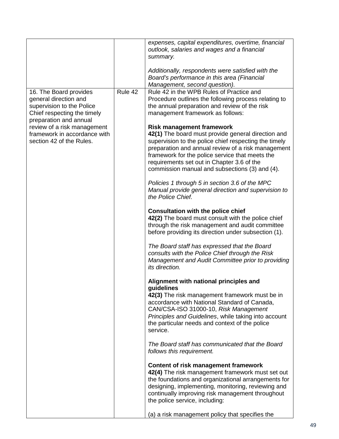|                              |         | expenses, capital expenditures, overtime, financial<br>outlook, salaries and wages and a financial<br>summary.                    |
|------------------------------|---------|-----------------------------------------------------------------------------------------------------------------------------------|
|                              |         | Additionally, respondents were satisfied with the<br>Board's performance in this area (Financial<br>Management, second question). |
| 16. The Board provides       | Rule 42 | Rule 42 in the WPB Rules of Practice and                                                                                          |
| general direction and        |         | Procedure outlines the following process relating to                                                                              |
|                              |         |                                                                                                                                   |
| supervision to the Police    |         | the annual preparation and review of the risk                                                                                     |
| Chief respecting the timely  |         | management framework as follows:                                                                                                  |
| preparation and annual       |         |                                                                                                                                   |
| review of a risk management  |         | <b>Risk management framework</b>                                                                                                  |
| framework in accordance with |         | 42(1) The board must provide general direction and                                                                                |
| section 42 of the Rules.     |         | supervision to the police chief respecting the timely                                                                             |
|                              |         | preparation and annual review of a risk management                                                                                |
|                              |         | framework for the police service that meets the                                                                                   |
|                              |         | requirements set out in Chapter 3.6 of the                                                                                        |
|                              |         | commission manual and subsections (3) and (4).                                                                                    |
|                              |         |                                                                                                                                   |
|                              |         | Policies 1 through 5 in section 3.6 of the MPC                                                                                    |
|                              |         | Manual provide general direction and supervision to                                                                               |
|                              |         | the Police Chief.                                                                                                                 |
|                              |         |                                                                                                                                   |
|                              |         | <b>Consultation with the police chief</b>                                                                                         |
|                              |         | 42(2) The board must consult with the police chief                                                                                |
|                              |         | through the risk management and audit committee                                                                                   |
|                              |         | before providing its direction under subsection (1).                                                                              |
|                              |         |                                                                                                                                   |
|                              |         | The Board staff has expressed that the Board                                                                                      |
|                              |         | consults with the Police Chief through the Risk                                                                                   |
|                              |         | Management and Audit Committee prior to providing                                                                                 |
|                              |         | its direction.                                                                                                                    |
|                              |         |                                                                                                                                   |
|                              |         | Alignment with national principles and                                                                                            |
|                              |         | guidelines                                                                                                                        |
|                              |         | 42(3) The risk management framework must be in                                                                                    |
|                              |         | accordance with National Standard of Canada,                                                                                      |
|                              |         | CAN/CSA-ISO 31000-10, Risk Management                                                                                             |
|                              |         | Principles and Guidelines, while taking into account                                                                              |
|                              |         | the particular needs and context of the police                                                                                    |
|                              |         | service.                                                                                                                          |
|                              |         | The Board staff has communicated that the Board                                                                                   |
|                              |         |                                                                                                                                   |
|                              |         | follows this requirement.                                                                                                         |
|                              |         | Content of risk management framework                                                                                              |
|                              |         | 42(4) The risk management framework must set out                                                                                  |
|                              |         | the foundations and organizational arrangements for                                                                               |
|                              |         |                                                                                                                                   |
|                              |         | designing, implementing, monitoring, reviewing and                                                                                |
|                              |         | continually improving risk management throughout                                                                                  |
|                              |         | the police service, including:                                                                                                    |
|                              |         | (a) a risk management policy that specifies the                                                                                   |
|                              |         |                                                                                                                                   |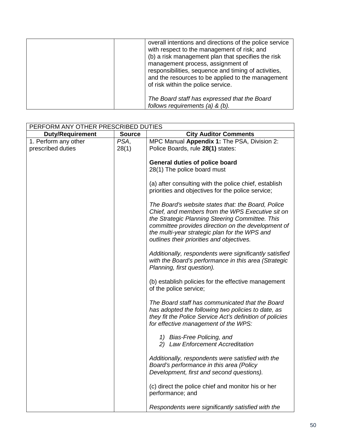| overall intentions and directions of the police service<br>with respect to the management of risk; and<br>(b) a risk management plan that specifies the risk<br>management process, assignment of<br>responsibilities, sequence and timing of activities,<br>and the resources to be applied to the management<br>of risk within the police service. |
|------------------------------------------------------------------------------------------------------------------------------------------------------------------------------------------------------------------------------------------------------------------------------------------------------------------------------------------------------|
| The Board staff has expressed that the Board<br>follows requirements (a) $&$ (b).                                                                                                                                                                                                                                                                    |

| PERFORM ANY OTHER PRESCRIBED DUTIES       |               |                                                                                                                                                                                                                                                                                                               |
|-------------------------------------------|---------------|---------------------------------------------------------------------------------------------------------------------------------------------------------------------------------------------------------------------------------------------------------------------------------------------------------------|
| <b>Duty/Requirement</b>                   | <b>Source</b> | <b>City Auditor Comments</b>                                                                                                                                                                                                                                                                                  |
| 1. Perform any other<br>prescribed duties | PSA,<br>28(1) | MPC Manual Appendix 1: The PSA, Division 2:<br>Police Boards, rule 28(1) states:                                                                                                                                                                                                                              |
|                                           |               | General duties of police board<br>28(1) The police board must                                                                                                                                                                                                                                                 |
|                                           |               | (a) after consulting with the police chief, establish<br>priorities and objectives for the police service;                                                                                                                                                                                                    |
|                                           |               | The Board's website states that: the Board, Police<br>Chief, and members from the WPS Executive sit on<br>the Strategic Planning Steering Committee. This<br>committee provides direction on the development of<br>the multi-year strategic plan for the WPS and<br>outlines their priorities and objectives. |
|                                           |               | Additionally, respondents were significantly satisfied<br>with the Board's performance in this area (Strategic<br>Planning, first question).                                                                                                                                                                  |
|                                           |               | (b) establish policies for the effective management<br>of the police service;                                                                                                                                                                                                                                 |
|                                           |               | The Board staff has communicated that the Board<br>has adopted the following two policies to date, as<br>they fit the Police Service Act's definition of policies<br>for effective management of the WPS:                                                                                                     |
|                                           |               | 1) Bias-Free Policing, and<br>2) Law Enforcement Accreditation                                                                                                                                                                                                                                                |
|                                           |               | Additionally, respondents were satisfied with the<br>Board's performance in this area (Policy<br>Development, first and second questions).                                                                                                                                                                    |
|                                           |               | (c) direct the police chief and monitor his or her<br>performance; and                                                                                                                                                                                                                                        |
|                                           |               | Respondents were significantly satisfied with the                                                                                                                                                                                                                                                             |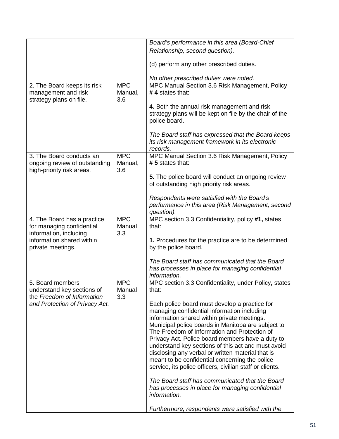|                                                                                        |                              | Board's performance in this area (Board-Chief                                                                                                                                                                                                                                                                                                                                                                                                                                                                                  |
|----------------------------------------------------------------------------------------|------------------------------|--------------------------------------------------------------------------------------------------------------------------------------------------------------------------------------------------------------------------------------------------------------------------------------------------------------------------------------------------------------------------------------------------------------------------------------------------------------------------------------------------------------------------------|
|                                                                                        |                              | Relationship, second question).                                                                                                                                                                                                                                                                                                                                                                                                                                                                                                |
|                                                                                        |                              | (d) perform any other prescribed duties.                                                                                                                                                                                                                                                                                                                                                                                                                                                                                       |
|                                                                                        |                              | No other prescribed duties were noted.                                                                                                                                                                                                                                                                                                                                                                                                                                                                                         |
| 2. The Board keeps its risk                                                            | <b>MPC</b>                   | MPC Manual Section 3.6 Risk Management, Policy                                                                                                                                                                                                                                                                                                                                                                                                                                                                                 |
| management and risk<br>strategy plans on file.                                         | Manual,<br>3.6               | #4 states that:                                                                                                                                                                                                                                                                                                                                                                                                                                                                                                                |
|                                                                                        |                              | 4. Both the annual risk management and risk<br>strategy plans will be kept on file by the chair of the<br>police board.                                                                                                                                                                                                                                                                                                                                                                                                        |
|                                                                                        |                              | The Board staff has expressed that the Board keeps<br>its risk management framework in its electronic<br>records.                                                                                                                                                                                                                                                                                                                                                                                                              |
| 3. The Board conducts an<br>ongoing review of outstanding<br>high-priority risk areas. | <b>MPC</b><br>Manual,<br>3.6 | MPC Manual Section 3.6 Risk Management, Policy<br># 5 states that:                                                                                                                                                                                                                                                                                                                                                                                                                                                             |
|                                                                                        |                              | 5. The police board will conduct an ongoing review<br>of outstanding high priority risk areas.                                                                                                                                                                                                                                                                                                                                                                                                                                 |
|                                                                                        |                              | Respondents were satisfied with the Board's<br>performance in this area (Risk Management, second<br>question).                                                                                                                                                                                                                                                                                                                                                                                                                 |
| 4. The Board has a practice<br>for managing confidential<br>information, including     | <b>MPC</b><br>Manual<br>3.3  | MPC section 3.3 Confidentiality, policy #1, states<br>that:                                                                                                                                                                                                                                                                                                                                                                                                                                                                    |
| information shared within<br>private meetings.                                         |                              | 1. Procedures for the practice are to be determined<br>by the police board.                                                                                                                                                                                                                                                                                                                                                                                                                                                    |
|                                                                                        |                              | The Board staff has communicated that the Board<br>has processes in place for managing confidential<br>information.                                                                                                                                                                                                                                                                                                                                                                                                            |
| 5. Board members<br>understand key sections of<br>the Freedom of Information           | <b>MPC</b><br>Manual<br>3.3  | MPC section 3.3 Confidentiality, under Policy, states<br>that:                                                                                                                                                                                                                                                                                                                                                                                                                                                                 |
| and Protection of Privacy Act.                                                         |                              | Each police board must develop a practice for<br>managing confidential information including<br>information shared within private meetings.<br>Municipal police boards in Manitoba are subject to<br>The Freedom of Information and Protection of<br>Privacy Act. Police board members have a duty to<br>understand key sections of this act and must avoid<br>disclosing any verbal or written material that is<br>meant to be confidential concerning the police<br>service, its police officers, civilian staff or clients. |
|                                                                                        |                              | The Board staff has communicated that the Board<br>has processes in place for managing confidential<br>information.                                                                                                                                                                                                                                                                                                                                                                                                            |
|                                                                                        |                              | Furthermore, respondents were satisfied with the                                                                                                                                                                                                                                                                                                                                                                                                                                                                               |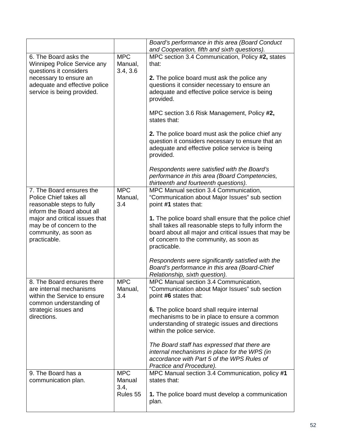|                                                                                                                                                                                                                      |                                          | Board's performance in this area (Board Conduct<br>and Cooperation, fifth and sixth questions).                                                                                                                                                                                                                                                                                                                                                                                                                       |
|----------------------------------------------------------------------------------------------------------------------------------------------------------------------------------------------------------------------|------------------------------------------|-----------------------------------------------------------------------------------------------------------------------------------------------------------------------------------------------------------------------------------------------------------------------------------------------------------------------------------------------------------------------------------------------------------------------------------------------------------------------------------------------------------------------|
| 6. The Board asks the<br>Winnipeg Police Service any<br>questions it considers<br>necessary to ensure an<br>adequate and effective police<br>service is being provided.                                              | <b>MPC</b><br>Manual,<br>3.4, 3.6        | MPC section 3.4 Communication, Policy #2, states<br>that:<br>2. The police board must ask the police any<br>questions it consider necessary to ensure an<br>adequate and effective police service is being<br>provided.<br>MPC section 3.6 Risk Management, Policy #2,<br>states that:<br><b>2.</b> The police board must ask the police chief any<br>question it considers necessary to ensure that an<br>adequate and effective police service is being<br>provided.<br>Respondents were satisfied with the Board's |
|                                                                                                                                                                                                                      |                                          | performance in this area (Board Competencies,<br>thirteenth and fourteenth questions).                                                                                                                                                                                                                                                                                                                                                                                                                                |
| 7. The Board ensures the<br>Police Chief takes all<br>reasonable steps to fully<br>inform the Board about all<br>major and critical issues that<br>may be of concern to the<br>community, as soon as<br>practicable. | <b>MPC</b><br>Manual,<br>3.4             | MPC Manual section 3.4 Communication,<br>"Communication about Major Issues" sub section<br>point #1 states that:<br>1. The police board shall ensure that the police chief<br>shall takes all reasonable steps to fully inform the<br>board about all major and critical issues that may be<br>of concern to the community, as soon as<br>practicable.<br>Respondents were significantly satisfied with the<br>Board's performance in this area (Board-Chief                                                          |
| 8. The Board ensures there<br>are internal mechanisms<br>within the Service to ensure<br>common understanding of<br>strategic issues and<br>directions.                                                              | <b>MPC</b><br>Manual,<br>3.4             | Relationship, sixth question).<br>MPC Manual section 3.4 Communication,<br>"Communication about Major Issues" sub section<br>point #6 states that:<br>6. The police board shall require internal<br>mechanisms to be in place to ensure a common                                                                                                                                                                                                                                                                      |
|                                                                                                                                                                                                                      |                                          | understanding of strategic issues and directions<br>within the police service.<br>The Board staff has expressed that there are<br>internal mechanisms in place for the WPS (in<br>accordance with Part 5 of the WPS Rules of<br>Practice and Procedure).                                                                                                                                                                                                                                                              |
| 9. The Board has a<br>communication plan.                                                                                                                                                                            | <b>MPC</b><br>Manual<br>3.4,<br>Rules 55 | MPC Manual section 3.4 Communication, policy #1<br>states that:<br>1. The police board must develop a communication<br>plan.                                                                                                                                                                                                                                                                                                                                                                                          |
|                                                                                                                                                                                                                      |                                          |                                                                                                                                                                                                                                                                                                                                                                                                                                                                                                                       |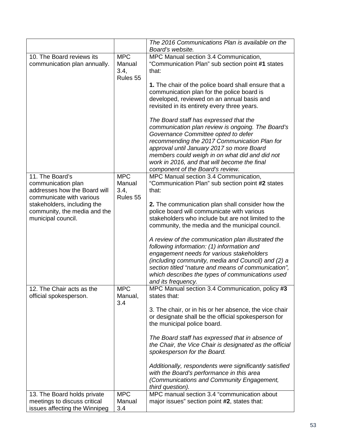|                                                                                                   |                                          | The 2016 Communications Plan is available on the                                                                                                                                                                                                                                                                                                                      |
|---------------------------------------------------------------------------------------------------|------------------------------------------|-----------------------------------------------------------------------------------------------------------------------------------------------------------------------------------------------------------------------------------------------------------------------------------------------------------------------------------------------------------------------|
|                                                                                                   |                                          | Board's website.                                                                                                                                                                                                                                                                                                                                                      |
| 10. The Board reviews its<br>communication plan annually.                                         | <b>MPC</b><br>Manual<br>3.4,<br>Rules 55 | MPC Manual section 3.4 Communication,<br>"Communication Plan" sub section point #1 states<br>that:                                                                                                                                                                                                                                                                    |
|                                                                                                   |                                          | 1. The chair of the police board shall ensure that a<br>communication plan for the police board is<br>developed, reviewed on an annual basis and<br>revisited in its entirety every three years.                                                                                                                                                                      |
|                                                                                                   |                                          | The Board staff has expressed that the<br>communication plan review is ongoing. The Board's<br>Governance Committee opted to defer<br>recommending the 2017 Communication Plan for<br>approval until January 2017 so more Board<br>members could weigh in on what did and did not<br>work in 2016, and that will become the final<br>component of the Board's review. |
| 11. The Board's<br>communication plan<br>addresses how the Board will<br>communicate with various | <b>MPC</b><br>Manual<br>3.4,<br>Rules 55 | MPC Manual section 3.4 Communication,<br>"Communication Plan" sub section point #2 states<br>that:                                                                                                                                                                                                                                                                    |
| stakeholders, including the<br>community, the media and the<br>municipal council.                 |                                          | 2. The communication plan shall consider how the<br>police board will communicate with various<br>stakeholders who include but are not limited to the<br>community, the media and the municipal council.                                                                                                                                                              |
|                                                                                                   |                                          | A review of the communication plan illustrated the<br>following information: (1) information and<br>engagement needs for various stakeholders<br>(including community, media and Council) and (2) a<br>section titled "nature and means of communication",<br>which describes the types of communications used<br>and its frequency.                                  |
| 12. The Chair acts as the<br>official spokesperson.                                               | <b>MPC</b><br>Manual,<br>3.4             | MPC Manual section 3.4 Communication, policy #3<br>states that:                                                                                                                                                                                                                                                                                                       |
|                                                                                                   |                                          | 3. The chair, or in his or her absence, the vice chair<br>or designate shall be the official spokesperson for<br>the municipal police board.                                                                                                                                                                                                                          |
|                                                                                                   |                                          | The Board staff has expressed that in absence of<br>the Chair, the Vice Chair is designated as the official<br>spokesperson for the Board.                                                                                                                                                                                                                            |
|                                                                                                   |                                          | Additionally, respondents were significantly satisfied<br>with the Board's performance in this area<br>(Communications and Community Engagement,<br>third question).                                                                                                                                                                                                  |
| 13. The Board holds private                                                                       | <b>MPC</b>                               | MPC manual section 3.4 "communication about                                                                                                                                                                                                                                                                                                                           |
| meetings to discuss critical<br>issues affecting the Winnipeg                                     | Manual<br>3.4                            | major issues" section point #2, states that:                                                                                                                                                                                                                                                                                                                          |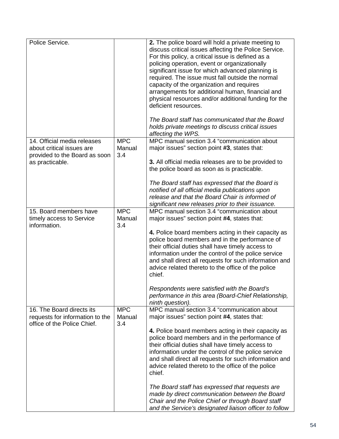| Police Service.                                                                                              |                             | 2. The police board will hold a private meeting to<br>discuss critical issues affecting the Police Service.<br>For this policy, a critical issue is defined as a<br>policing operation, event or organizationally<br>significant issue for which advanced planning is<br>required. The issue must fall outside the normal<br>capacity of the organization and requires<br>arrangements for additional human, financial and<br>physical resources and/or additional funding for the<br>deficient resources.<br>The Board staff has communicated that the Board<br>holds private meetings to discuss critical issues<br>affecting the WPS.                       |
|--------------------------------------------------------------------------------------------------------------|-----------------------------|----------------------------------------------------------------------------------------------------------------------------------------------------------------------------------------------------------------------------------------------------------------------------------------------------------------------------------------------------------------------------------------------------------------------------------------------------------------------------------------------------------------------------------------------------------------------------------------------------------------------------------------------------------------|
| 14. Official media releases<br>about critical issues are<br>provided to the Board as soon<br>as practicable. | <b>MPC</b><br>Manual<br>3.4 | MPC manual section 3.4 "communication about<br>major issues" section point #3, states that:<br>3. All official media releases are to be provided to<br>the police board as soon as is practicable.<br>The Board staff has expressed that the Board is<br>notified of all official media publications upon<br>release and that the Board Chair is informed of<br>significant new releases prior to their issuance.                                                                                                                                                                                                                                              |
| 15. Board members have<br>timely access to Service<br>information.                                           | <b>MPC</b><br>Manual<br>3.4 | MPC manual section 3.4 "communication about<br>major issues" section point #4, states that:<br>4. Police board members acting in their capacity as<br>police board members and in the performance of<br>their official duties shall have timely access to<br>information under the control of the police service<br>and shall direct all requests for such information and<br>advice related thereto to the office of the police<br>chief.<br>Respondents were satisfied with the Board's<br>performance in this area (Board-Chief Relationship,<br>ninth question).                                                                                           |
| 16. The Board directs its<br>requests for information to the<br>office of the Police Chief.                  | <b>MPC</b><br>Manual<br>3.4 | MPC manual section 3.4 "communication about<br>major issues" section point #4, states that:<br>4. Police board members acting in their capacity as<br>police board members and in the performance of<br>their official duties shall have timely access to<br>information under the control of the police service<br>and shall direct all requests for such information and<br>advice related thereto to the office of the police<br>chief.<br>The Board staff has expressed that requests are<br>made by direct communication between the Board<br>Chair and the Police Chief or through Board staff<br>and the Service's designated liaison officer to follow |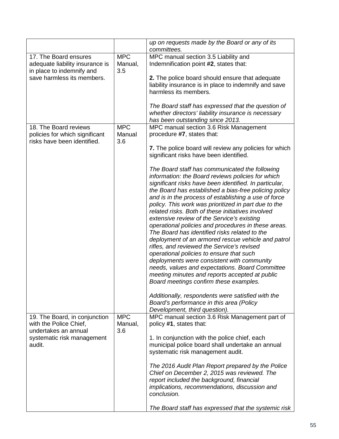|                                                                                        |                              | up on requests made by the Board or any of its<br>committees.                                                                                                                                                                                                                                                                                                                                                                                                                                                                                                                                                                                                                                                                                                                                                                                                                                                                                                                                                                    |
|----------------------------------------------------------------------------------------|------------------------------|----------------------------------------------------------------------------------------------------------------------------------------------------------------------------------------------------------------------------------------------------------------------------------------------------------------------------------------------------------------------------------------------------------------------------------------------------------------------------------------------------------------------------------------------------------------------------------------------------------------------------------------------------------------------------------------------------------------------------------------------------------------------------------------------------------------------------------------------------------------------------------------------------------------------------------------------------------------------------------------------------------------------------------|
| 17. The Board ensures<br>adequate liability insurance is<br>in place to indemnify and  | <b>MPC</b><br>Manual,<br>3.5 | MPC manual section 3.5 Liability and<br>Indemnification point #2, states that:                                                                                                                                                                                                                                                                                                                                                                                                                                                                                                                                                                                                                                                                                                                                                                                                                                                                                                                                                   |
| save harmless its members.                                                             |                              | 2. The police board should ensure that adequate<br>liability insurance is in place to indemnify and save<br>harmless its members.                                                                                                                                                                                                                                                                                                                                                                                                                                                                                                                                                                                                                                                                                                                                                                                                                                                                                                |
|                                                                                        |                              | The Board staff has expressed that the question of<br>whether directors' liability insurance is necessary<br>has been outstanding since 2013.                                                                                                                                                                                                                                                                                                                                                                                                                                                                                                                                                                                                                                                                                                                                                                                                                                                                                    |
| 18. The Board reviews<br>policies for which significant<br>risks have been identified. | <b>MPC</b><br>Manual<br>3.6  | MPC manual section 3.6 Risk Management<br>procedure #7, states that:                                                                                                                                                                                                                                                                                                                                                                                                                                                                                                                                                                                                                                                                                                                                                                                                                                                                                                                                                             |
|                                                                                        |                              | 7. The police board will review any policies for which<br>significant risks have been identified.                                                                                                                                                                                                                                                                                                                                                                                                                                                                                                                                                                                                                                                                                                                                                                                                                                                                                                                                |
|                                                                                        |                              | The Board staff has communicated the following<br>information: the Board reviews policies for which<br>significant risks have been identified. In particular,<br>the Board has established a bias-free policing policy<br>and is in the process of establishing a use of force<br>policy. This work was prioritized in part due to the<br>related risks. Both of these initiatives involved<br>extensive review of the Service's existing<br>operational policies and procedures in these areas.<br>The Board has identified risks related to the<br>deployment of an armored rescue vehicle and patrol<br>rifles, and reviewed the Service's revised<br>operational policies to ensure that such<br>deployments were consistent with community<br>needs, values and expectations. Board Committee<br>meeting minutes and reports accepted at public<br>Board meetings confirm these examples.<br>Additionally, respondents were satisfied with the<br>Board's performance in this area (Policy<br>Development, third question). |
| 19. The Board, in conjunction<br>with the Police Chief,<br>undertakes an annual        | <b>MPC</b><br>Manual,<br>3.6 | MPC manual section 3.6 Risk Management part of<br>policy #1, states that:                                                                                                                                                                                                                                                                                                                                                                                                                                                                                                                                                                                                                                                                                                                                                                                                                                                                                                                                                        |
| systematic risk management<br>audit.                                                   |                              | 1. In conjunction with the police chief, each<br>municipal police board shall undertake an annual<br>systematic risk management audit.                                                                                                                                                                                                                                                                                                                                                                                                                                                                                                                                                                                                                                                                                                                                                                                                                                                                                           |
|                                                                                        |                              | The 2016 Audit Plan Report prepared by the Police<br>Chief on December 2, 2015 was reviewed. The<br>report included the background, financial<br>implications, recommendations, discussion and<br>conclusion.                                                                                                                                                                                                                                                                                                                                                                                                                                                                                                                                                                                                                                                                                                                                                                                                                    |
|                                                                                        |                              | The Board staff has expressed that the systemic risk                                                                                                                                                                                                                                                                                                                                                                                                                                                                                                                                                                                                                                                                                                                                                                                                                                                                                                                                                                             |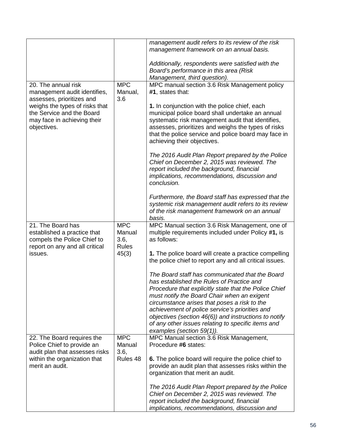|                                                                                                                   |                                              | management audit refers to its review of the risk<br>management framework on an annual basis.                                                                                                                                                                                                        |
|-------------------------------------------------------------------------------------------------------------------|----------------------------------------------|------------------------------------------------------------------------------------------------------------------------------------------------------------------------------------------------------------------------------------------------------------------------------------------------------|
|                                                                                                                   |                                              | Additionally, respondents were satisfied with the<br>Board's performance in this area (Risk<br>Management, third question).                                                                                                                                                                          |
|                                                                                                                   | <b>MPC</b>                                   |                                                                                                                                                                                                                                                                                                      |
| 20. The annual risk<br>management audit identifies,<br>assesses, prioritizes and                                  | Manual,<br>3.6                               | MPC manual section 3.6 Risk Management policy<br>#1, states that:                                                                                                                                                                                                                                    |
| weighs the types of risks that<br>the Service and the Board<br>may face in achieving their<br>objectives.         |                                              | 1. In conjunction with the police chief, each<br>municipal police board shall undertake an annual<br>systematic risk management audit that identifies,<br>assesses, prioritizes and weighs the types of risks<br>that the police service and police board may face in<br>achieving their objectives. |
|                                                                                                                   |                                              | The 2016 Audit Plan Report prepared by the Police<br>Chief on December 2, 2015 was reviewed. The<br>report included the background, financial<br>implications, recommendations, discussion and<br>conclusion.                                                                                        |
|                                                                                                                   |                                              | Furthermore, the Board staff has expressed that the<br>systemic risk management audit refers to its review<br>of the risk management framework on an annual<br>basis.                                                                                                                                |
| 21. The Board has<br>established a practice that<br>compels the Police Chief to<br>report on any and all critical | <b>MPC</b><br>Manual<br>3.6,<br><b>Rules</b> | MPC Manual section 3.6 Risk Management, one of<br>multiple requirements included under Policy #1, is<br>as follows:                                                                                                                                                                                  |
| issues.                                                                                                           | 45(3)                                        | 1. The police board will create a practice compelling<br>the police chief to report any and all critical issues.                                                                                                                                                                                     |
|                                                                                                                   |                                              | The Board staff has communicated that the Board<br>has established the Rules of Practice and<br>Procedure that explicitly state that the Police Chief                                                                                                                                                |
|                                                                                                                   |                                              | must notify the Board Chair when an exigent<br>circumstance arises that poses a risk to the<br>achievement of police service's priorities and                                                                                                                                                        |
|                                                                                                                   |                                              | objectives (section 46(6)) and instructions to notify<br>of any other issues relating to specific items and<br>examples (section 59(1)).                                                                                                                                                             |
| 22. The Board requires the<br>Police Chief to provide an<br>audit plan that assesses risks                        | <b>MPC</b><br>Manual<br>3.6,                 | MPC Manual section 3.6 Risk Management,<br>Procedure #6 states:                                                                                                                                                                                                                                      |
| within the organization that<br>merit an audit.                                                                   | Rules 48                                     | 6. The police board will require the police chief to<br>provide an audit plan that assesses risks within the<br>organization that merit an audit.                                                                                                                                                    |
|                                                                                                                   |                                              | The 2016 Audit Plan Report prepared by the Police<br>Chief on December 2, 2015 was reviewed. The<br>report included the background, financial<br>implications, recommendations, discussion and                                                                                                       |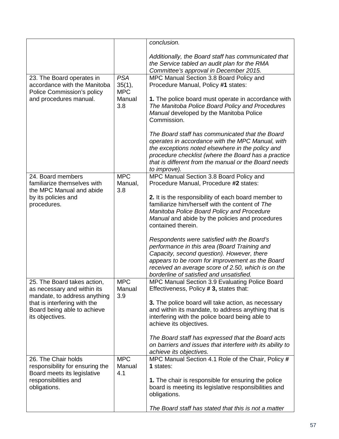|                                                         |                | conclusion.                                                                                                                                   |
|---------------------------------------------------------|----------------|-----------------------------------------------------------------------------------------------------------------------------------------------|
|                                                         |                | Additionally, the Board staff has communicated that<br>the Service tabled an audit plan for the RMA<br>Committee's approval in December 2015. |
| 23. The Board operates in                               | <b>PSA</b>     | MPC Manual Section 3.8 Board Policy and                                                                                                       |
| accordance with the Manitoba                            | 35(1),         | Procedure Manual, Policy #1 states:                                                                                                           |
| Police Commission's policy                              | <b>MPC</b>     |                                                                                                                                               |
| and procedures manual.                                  | Manual         | 1. The police board must operate in accordance with                                                                                           |
|                                                         | 3.8            | The Manitoba Police Board Policy and Procedures<br>Manual developed by the Manitoba Police<br>Commission.                                     |
|                                                         |                |                                                                                                                                               |
|                                                         |                | The Board staff has communicated that the Board                                                                                               |
|                                                         |                | operates in accordance with the MPC Manual, with<br>the exceptions noted elsewhere in the policy and                                          |
|                                                         |                | procedure checklist (where the Board has a practice                                                                                           |
|                                                         |                | that is different from the manual or the Board needs                                                                                          |
|                                                         |                | to improve).                                                                                                                                  |
| 24. Board members                                       | <b>MPC</b>     | MPC Manual Section 3.8 Board Policy and                                                                                                       |
| familiarize themselves with<br>the MPC Manual and abide | Manual,<br>3.8 | Procedure Manual, Procedure #2 states:                                                                                                        |
| by its policies and                                     |                | 2. It is the responsibility of each board member to                                                                                           |
| procedures.                                             |                | familiarize him/herself with the content of The                                                                                               |
|                                                         |                | Manitoba Police Board Policy and Procedure                                                                                                    |
|                                                         |                | Manual and abide by the policies and procedures                                                                                               |
|                                                         |                | contained therein.                                                                                                                            |
|                                                         |                | Respondents were satisfied with the Board's                                                                                                   |
|                                                         |                | performance in this area (Board Training and                                                                                                  |
|                                                         |                | Capacity, second question). However, there                                                                                                    |
|                                                         |                | appears to be room for improvement as the Board                                                                                               |
|                                                         |                | received an average score of 2.50, which is on the                                                                                            |
|                                                         |                | borderline of satisfied and unsatisfied.                                                                                                      |
| 25. The Board takes action,                             | <b>MPC</b>     | MPC Manual Section 3.9 Evaluating Police Board                                                                                                |
| as necessary and within its                             | Manual         | Effectiveness, Policy # 3, states that:                                                                                                       |
| mandate, to address anything                            | 3.9            |                                                                                                                                               |
| that is interfering with the                            |                | 3. The police board will take action, as necessary                                                                                            |
| Board being able to achieve<br>its objectives.          |                | and within its mandate, to address anything that is<br>interfering with the police board being able to                                        |
|                                                         |                | achieve its objectives.                                                                                                                       |
|                                                         |                |                                                                                                                                               |
|                                                         |                | The Board staff has expressed that the Board acts                                                                                             |
|                                                         |                | on barriers and issues that interfere with its ability to                                                                                     |
|                                                         |                | achieve its objectives.                                                                                                                       |
| 26. The Chair holds                                     | <b>MPC</b>     | MPC Manual Section 4.1 Role of the Chair, Policy #                                                                                            |
| responsibility for ensuring the                         | Manual         | 1 states:                                                                                                                                     |
| Board meets its legislative                             | 4.1            |                                                                                                                                               |
| responsibilities and                                    |                | 1. The chair is responsible for ensuring the police                                                                                           |
| obligations.                                            |                | board is meeting its legislative responsibilities and<br>obligations.                                                                         |
|                                                         |                |                                                                                                                                               |
|                                                         |                | The Board staff has stated that this is not a matter                                                                                          |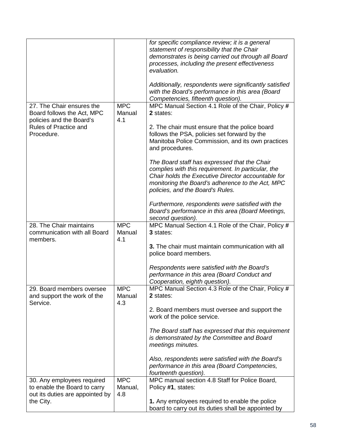|                                                                                               |                              | for specific compliance review; it is a general<br>statement of responsibility that the Chair<br>demonstrates is being carried out through all Board<br>processes, including the present effectiveness<br>evaluation.                            |
|-----------------------------------------------------------------------------------------------|------------------------------|--------------------------------------------------------------------------------------------------------------------------------------------------------------------------------------------------------------------------------------------------|
|                                                                                               |                              | Additionally, respondents were significantly satisfied<br>with the Board's performance in this area (Board<br>Competencies, fifteenth question).                                                                                                 |
| 27. The Chair ensures the<br>Board follows the Act, MPC<br>policies and the Board's           | <b>MPC</b><br>Manual<br>4.1  | MPC Manual Section 4.1 Role of the Chair, Policy #<br>2 states:                                                                                                                                                                                  |
| Rules of Practice and<br>Procedure.                                                           |                              | 2. The chair must ensure that the police board<br>follows the PSA, policies set forward by the<br>Manitoba Police Commission, and its own practices<br>and procedures.                                                                           |
|                                                                                               |                              | The Board staff has expressed that the Chair<br>complies with this requirement. In particular, the<br>Chair holds the Executive Director accountable for<br>monitoring the Board's adherence to the Act, MPC<br>policies, and the Board's Rules. |
|                                                                                               |                              | Furthermore, respondents were satisfied with the<br>Board's performance in this area (Board Meetings,<br>second question).                                                                                                                       |
| 28. The Chair maintains<br>communication with all Board<br>members.                           | <b>MPC</b><br>Manual<br>4.1  | MPC Manual Section 4.1 Role of the Chair, Policy #<br>3 states:                                                                                                                                                                                  |
|                                                                                               |                              | 3. The chair must maintain communication with all<br>police board members.                                                                                                                                                                       |
|                                                                                               |                              | Respondents were satisfied with the Board's<br>performance in this area (Board Conduct and<br>Cooperation, eighth question).                                                                                                                     |
| 29. Board members oversee<br>and support the work of the<br>Service.                          | <b>MPC</b><br>Manual<br>4.3  | MPC Manual Section 4.3 Role of the Chair, Policy #<br>2 states:                                                                                                                                                                                  |
|                                                                                               |                              | 2. Board members must oversee and support the<br>work of the police service.                                                                                                                                                                     |
|                                                                                               |                              | The Board staff has expressed that this requirement<br>is demonstrated by the Committee and Board<br>meetings minutes.                                                                                                                           |
|                                                                                               |                              | Also, respondents were satisfied with the Board's<br>performance in this area (Board Competencies,<br>fourteenth question).                                                                                                                      |
| 30. Any employees required<br>to enable the Board to carry<br>out its duties are appointed by | <b>MPC</b><br>Manual,<br>4.8 | MPC manual section 4.8 Staff for Police Board,<br>Policy #1, states:                                                                                                                                                                             |
| the City.                                                                                     |                              | 1. Any employees required to enable the police<br>board to carry out its duties shall be appointed by                                                                                                                                            |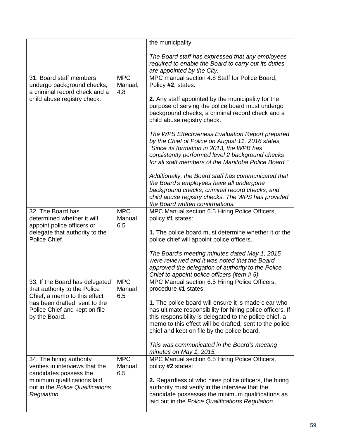|                                                                                                |                              | the municipality.                                                                                                                                                                                                                                                                       |
|------------------------------------------------------------------------------------------------|------------------------------|-----------------------------------------------------------------------------------------------------------------------------------------------------------------------------------------------------------------------------------------------------------------------------------------|
|                                                                                                |                              | The Board staff has expressed that any employees<br>required to enable the Board to carry out its duties<br>are appointed by the City.                                                                                                                                                  |
| 31. Board staff members<br>undergo background checks,<br>a criminal record check and a         | <b>MPC</b><br>Manual,<br>4.8 | MPC manual section 4.8 Staff for Police Board,<br>Policy #2, states:                                                                                                                                                                                                                    |
| child abuse registry check.                                                                    |                              | 2. Any staff appointed by the municipality for the<br>purpose of serving the police board must undergo<br>background checks, a criminal record check and a<br>child abuse registry check.                                                                                               |
|                                                                                                |                              | The WPS Effectiveness Evaluation Report prepared<br>by the Chief of Police on August 11, 2016 states,<br>"Since its formation in 2013, the WPB has<br>consistently performed level 2 background checks<br>for all staff members of the Manitoba Police Board."                          |
|                                                                                                |                              | Additionally, the Board staff has communicated that<br>the Board's employees have all undergone<br>background checks, criminal record checks, and<br>child abuse registry checks. The WPS has provided<br>the Board written confirmations.                                              |
| 32. The Board has<br>determined whether it will<br>appoint police officers or                  | <b>MPC</b><br>Manual<br>6.5  | MPC Manual section 6.5 Hiring Police Officers,<br>policy #1 states:                                                                                                                                                                                                                     |
| delegate that authority to the<br>Police Chief.                                                |                              | 1. The police board must determine whether it or the<br>police chief will appoint police officers.                                                                                                                                                                                      |
|                                                                                                |                              | The Board's meeting minutes dated May 1, 2015<br>were reviewed and it was noted that the Board<br>approved the delegation of authority to the Police<br>Chief to appoint police officers (item #5).                                                                                     |
| 33. If the Board has delegated<br>that authority to the Police<br>Chief, a memo to this effect | <b>MPC</b><br>Manual<br>6.5  | MPC Manual section 6.5 Hiring Police Officers,<br>procedure #1 states:                                                                                                                                                                                                                  |
| has been drafted, sent to the<br>Police Chief and kept on file<br>by the Board.                |                              | 1. The police board will ensure it is made clear who<br>has ultimate responsibility for hiring police officers. If<br>this responsibility is delegated to the police chief, a<br>memo to this effect will be drafted, sent to the police<br>chief and kept on file by the police board. |
|                                                                                                |                              | This was communicated in the Board's meeting<br>minutes on May 1, 2015.                                                                                                                                                                                                                 |
| 34. The hiring authority<br>verifies in interviews that the<br>candidates possess the          | <b>MPC</b><br>Manual<br>6.5  | MPC Manual section 6.5 Hiring Police Officers,<br>policy #2 states:                                                                                                                                                                                                                     |
| minimum qualifications laid<br>out in the Police Qualifications<br>Regulation.                 |                              | 2. Regardless of who hires police officers, the hiring<br>authority must verify in the interview that the<br>candidate possesses the minimum qualifications as<br>laid out in the Police Qualifications Regulation.                                                                     |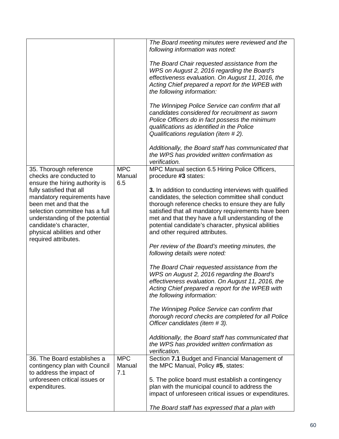|                                                                                                                                                                                                                                                  |                             | The Board meeting minutes were reviewed and the<br>following information was noted:                                                                                                                                                                                                                                                                                     |
|--------------------------------------------------------------------------------------------------------------------------------------------------------------------------------------------------------------------------------------------------|-----------------------------|-------------------------------------------------------------------------------------------------------------------------------------------------------------------------------------------------------------------------------------------------------------------------------------------------------------------------------------------------------------------------|
|                                                                                                                                                                                                                                                  |                             | The Board Chair requested assistance from the<br>WPS on August 2, 2016 regarding the Board's<br>effectiveness evaluation. On August 11, 2016, the<br>Acting Chief prepared a report for the WPEB with<br>the following information:                                                                                                                                     |
|                                                                                                                                                                                                                                                  |                             | The Winnipeg Police Service can confirm that all<br>candidates considered for recruitment as sworn<br>Police Officers do in fact possess the minimum<br>qualifications as identified in the Police<br>Qualifications regulation (item #2).                                                                                                                              |
|                                                                                                                                                                                                                                                  |                             | Additionally, the Board staff has communicated that<br>the WPS has provided written confirmation as<br>verification.                                                                                                                                                                                                                                                    |
| 35. Thorough reference<br>checks are conducted to                                                                                                                                                                                                | <b>MPC</b><br>Manual        | MPC Manual section 6.5 Hiring Police Officers,<br>procedure #3 states:                                                                                                                                                                                                                                                                                                  |
| ensure the hiring authority is<br>fully satisfied that all<br>mandatory requirements have<br>been met and that the<br>selection committee has a full<br>understanding of the potential<br>candidate's character,<br>physical abilities and other | 6.5                         | 3. In addition to conducting interviews with qualified<br>candidates, the selection committee shall conduct<br>thorough reference checks to ensure they are fully<br>satisfied that all mandatory requirements have been<br>met and that they have a full understanding of the<br>potential candidate's character, physical abilities<br>and other required attributes. |
| required attributes.                                                                                                                                                                                                                             |                             | Per review of the Board's meeting minutes, the<br>following details were noted:                                                                                                                                                                                                                                                                                         |
|                                                                                                                                                                                                                                                  |                             | The Board Chair requested assistance from the<br>WPS on August 2, 2016 regarding the Board's<br>effectiveness evaluation. On August 11, 2016, the<br>Acting Chief prepared a report for the WPEB with<br>the following information:                                                                                                                                     |
|                                                                                                                                                                                                                                                  |                             | The Winnipeg Police Service can confirm that<br>thorough record checks are completed for all Police<br>Officer candidates (item #3).                                                                                                                                                                                                                                    |
|                                                                                                                                                                                                                                                  |                             | Additionally, the Board staff has communicated that<br>the WPS has provided written confirmation as<br>verification.                                                                                                                                                                                                                                                    |
| 36. The Board establishes a<br>contingency plan with Council<br>to address the impact of                                                                                                                                                         | <b>MPC</b><br>Manual<br>7.1 | Section 7.1 Budget and Financial Management of<br>the MPC Manual, Policy #5, states:                                                                                                                                                                                                                                                                                    |
| unforeseen critical issues or<br>expenditures.                                                                                                                                                                                                   |                             | 5. The police board must establish a contingency<br>plan with the municipal council to address the<br>impact of unforeseen critical issues or expenditures.                                                                                                                                                                                                             |
|                                                                                                                                                                                                                                                  |                             | The Board staff has expressed that a plan with                                                                                                                                                                                                                                                                                                                          |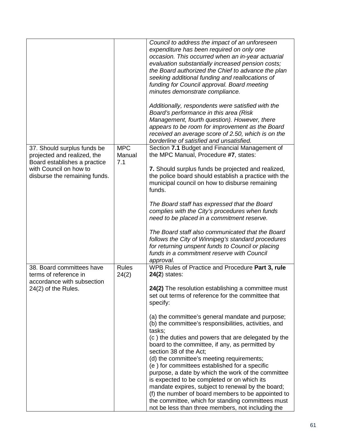|                                                                                            |                             | Council to address the impact of an unforeseen<br>expenditure has been required on only one<br>occasion. This occurred when an in-year actuarial<br>evaluation substantially increased pension costs;<br>the Board authorized the Chief to advance the plan<br>seeking additional funding and reallocations of<br>funding for Council approval. Board meeting<br>minutes demonstrate compliance.                                                                                                                |
|--------------------------------------------------------------------------------------------|-----------------------------|-----------------------------------------------------------------------------------------------------------------------------------------------------------------------------------------------------------------------------------------------------------------------------------------------------------------------------------------------------------------------------------------------------------------------------------------------------------------------------------------------------------------|
|                                                                                            |                             | Additionally, respondents were satisfied with the<br>Board's performance in this area (Risk<br>Management, fourth question). However, there<br>appears to be room for improvement as the Board<br>received an average score of 2.50, which is on the<br>borderline of satisfied and unsatisfied.                                                                                                                                                                                                                |
| 37. Should surplus funds be<br>projected and realized, the<br>Board establishes a practice | <b>MPC</b><br>Manual<br>7.1 | Section 7.1 Budget and Financial Management of<br>the MPC Manual, Procedure #7, states:                                                                                                                                                                                                                                                                                                                                                                                                                         |
| with Council on how to<br>disburse the remaining funds.                                    |                             | 7. Should surplus funds be projected and realized,<br>the police board should establish a practice with the<br>municipal council on how to disburse remaining<br>funds.                                                                                                                                                                                                                                                                                                                                         |
|                                                                                            |                             | The Board staff has expressed that the Board<br>complies with the City's procedures when funds<br>need to be placed in a commitment reserve.                                                                                                                                                                                                                                                                                                                                                                    |
|                                                                                            |                             | The Board staff also communicated that the Board<br>follows the City of Winnipeg's standard procedures<br>for returning unspent funds to Council or placing<br>funds in a commitment reserve with Council<br>approval.                                                                                                                                                                                                                                                                                          |
| 38. Board committees have<br>terms of reference in<br>accordance with subsection           | <b>Rules</b><br>24(2)       | WPB Rules of Practice and Procedure Part 3, rule<br>$24(2)$ states:                                                                                                                                                                                                                                                                                                                                                                                                                                             |
| 24(2) of the Rules.                                                                        |                             | 24(2) The resolution establishing a committee must<br>set out terms of reference for the committee that<br>specify:                                                                                                                                                                                                                                                                                                                                                                                             |
|                                                                                            |                             | (a) the committee's general mandate and purpose;<br>(b) the committee's responsibilities, activities, and<br>tasks;<br>(c) the duties and powers that are delegated by the<br>board to the committee, if any, as permitted by<br>section 38 of the Act;<br>(d) the committee's meeting requirements;<br>(e) for committees established for a specific<br>purpose, a date by which the work of the committee<br>is expected to be completed or on which its<br>mandate expires, subject to renewal by the board; |
|                                                                                            |                             | (f) the number of board members to be appointed to<br>the committee, which for standing committees must<br>not be less than three members, not including the                                                                                                                                                                                                                                                                                                                                                    |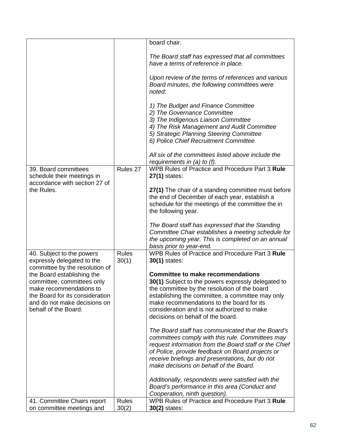|                                                                                                                                                                                |                       | board chair.                                                                                                                                                                                                                                                                                                                        |
|--------------------------------------------------------------------------------------------------------------------------------------------------------------------------------|-----------------------|-------------------------------------------------------------------------------------------------------------------------------------------------------------------------------------------------------------------------------------------------------------------------------------------------------------------------------------|
|                                                                                                                                                                                |                       | The Board staff has expressed that all committees<br>have a terms of reference in place.                                                                                                                                                                                                                                            |
|                                                                                                                                                                                |                       | Upon review of the terms of references and various<br>Board minutes, the following committees were<br>noted:                                                                                                                                                                                                                        |
|                                                                                                                                                                                |                       | 1) The Budget and Finance Committee<br>2) The Governance Committee<br>3) The Indigenous Liaison Committee<br>4) The Risk Management and Audit Committee<br>5) Strategic Planning Steering Committee<br>6) Police Chief Recruitment Committee                                                                                        |
|                                                                                                                                                                                |                       | All six of the committees listed above include the<br>requirements in $(a)$ to $(f)$ .                                                                                                                                                                                                                                              |
| 39. Board committees<br>schedule their meetings in<br>accordance with section 27 of                                                                                            | Rules 27              | WPB Rules of Practice and Procedure Part 3 Rule<br>27(1) states:                                                                                                                                                                                                                                                                    |
| the Rules.                                                                                                                                                                     |                       | 27(1) The chair of a standing committee must before<br>the end of December of each year, establish a<br>schedule for the meetings of the committee the in<br>the following year.                                                                                                                                                    |
|                                                                                                                                                                                |                       | The Board staff has expressed that the Standing<br>Committee Chair establishes a meeting schedule for<br>the upcoming year. This is completed on an annual<br>basis prior to year-end.                                                                                                                                              |
| 40. Subject to the powers<br>expressly delegated to the<br>committee by the resolution of                                                                                      | <b>Rules</b><br>30(1) | WPB Rules of Practice and Procedure Part 3 Rule<br><b>30(1)</b> states:                                                                                                                                                                                                                                                             |
| the Board establishing the<br>committee, committees only<br>make recommendations to<br>the Board for its consideration<br>and do not make decisions on<br>behalf of the Board. |                       | <b>Committee to make recommendations</b><br>30(1) Subject to the powers expressly delegated to<br>the committee by the resolution of the board<br>establishing the committee, a committee may only<br>make recommendations to the board for its<br>consideration and is not authorized to make<br>decisions on behalf of the board. |
|                                                                                                                                                                                |                       | The Board staff has communicated that the Board's<br>committees comply with this rule. Committees may<br>request information from the Board staff or the Chief<br>of Police, provide feedback on Board projects or<br>receive briefings and presentations, but do not<br>make decisions on behalf of the Board.                     |
|                                                                                                                                                                                |                       | Additionally, respondents were satisfied with the<br>Board's performance in this area (Conduct and<br>Cooperation, ninth question).                                                                                                                                                                                                 |
| 41. Committee Chairs report<br>on committee meetings and                                                                                                                       | <b>Rules</b><br>30(2) | WPB Rules of Practice and Procedure Part 3 Rule<br>30(2) states:                                                                                                                                                                                                                                                                    |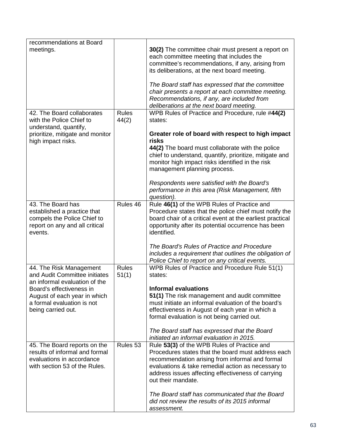| recommendations at Board<br>meetings.                                                                                        |                       | <b>30(2)</b> The committee chair must present a report on<br>each committee meeting that includes the<br>committee's recommendations, if any, arising from<br>its deliberations, at the next board meeting.<br>The Board staff has expressed that the committee<br>chair presents a report at each committee meeting.<br>Recommendations, if any, are included from<br>deliberations at the next board meeting. |
|------------------------------------------------------------------------------------------------------------------------------|-----------------------|-----------------------------------------------------------------------------------------------------------------------------------------------------------------------------------------------------------------------------------------------------------------------------------------------------------------------------------------------------------------------------------------------------------------|
| 42. The Board collaborates<br>with the Police Chief to<br>understand, quantify,                                              | <b>Rules</b><br>44(2) | WPB Rules of Practice and Procedure, rule #44(2)<br>states:                                                                                                                                                                                                                                                                                                                                                     |
| prioritize, mitigate and monitor<br>high impact risks.                                                                       |                       | Greater role of board with respect to high impact<br>risks<br>44(2) The board must collaborate with the police<br>chief to understand, quantify, prioritize, mitigate and<br>monitor high impact risks identified in the risk<br>management planning process.<br>Respondents were satisfied with the Board's<br>performance in this area (Risk Management, fifth<br>question).                                  |
| 43. The Board has<br>established a practice that<br>compels the Police Chief to<br>report on any and all critical<br>events. | Rules 46              | Rule 46(1) of the WPB Rules of Practice and<br>Procedure states that the police chief must notify the<br>board chair of a critical event at the earliest practical<br>opportunity after its potential occurrence has been<br>identified.<br>The Board's Rules of Practice and Procedure<br>includes a requirement that outlines the obligation of                                                               |
|                                                                                                                              | <b>Rules</b>          | Police Chief to report on any critical events.                                                                                                                                                                                                                                                                                                                                                                  |
| 44. The Risk Management<br>and Audit Committee initiates<br>an informal evaluation of the                                    | 51(1)                 | WPB Rules of Practice and Procedure Rule 51(1)<br>states:                                                                                                                                                                                                                                                                                                                                                       |
| Board's effectiveness in<br>August of each year in which<br>a formal evaluation is not<br>being carried out.                 |                       | <b>Informal evaluations</b><br>51(1) The risk management and audit committee<br>must initiate an informal evaluation of the board's<br>effectiveness in August of each year in which a<br>formal evaluation is not being carried out.<br>The Board staff has expressed that the Board<br>initiated an informal evaluation in 2015.                                                                              |
| 45. The Board reports on the<br>results of informal and formal<br>evaluations in accordance<br>with section 53 of the Rules. | Rules 53              | Rule 53(3) of the WPB Rules of Practice and<br>Procedures states that the board must address each<br>recommendation arising from informal and formal<br>evaluations & take remedial action as necessary to<br>address issues affecting effectiveness of carrying<br>out their mandate.<br>The Board staff has communicated that the Board<br>did not review the results of its 2015 informal<br>assessment.     |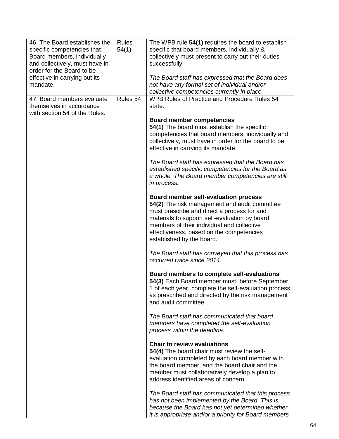| 46. The Board establishes the<br>specific competencies that<br>Board members, individually<br>and collectively, must have in<br>order for the Board to be<br>effective in carrying out its<br>mandate. | <b>Rules</b><br>54(1) | The WPB rule 54(1) requires the board to establish<br>specific that board members, individually &<br>collectively must present to carry out their duties<br>successfully.<br>The Board staff has expressed that the Board does<br>not have any formal set of individual and/or<br>collective competencies currently in place. |
|--------------------------------------------------------------------------------------------------------------------------------------------------------------------------------------------------------|-----------------------|-------------------------------------------------------------------------------------------------------------------------------------------------------------------------------------------------------------------------------------------------------------------------------------------------------------------------------|
| 47. Board members evaluate<br>themselves in accordance<br>with section 54 of the Rules.                                                                                                                | Rules 54              | WPB Rules of Practice and Procedure Rules 54<br>state:                                                                                                                                                                                                                                                                        |
|                                                                                                                                                                                                        |                       | <b>Board member competencies</b><br>54(1) The board must establish the specific<br>competencies that board members, individually and<br>collectively, must have in order for the board to be<br>effective in carrying its mandate.                                                                                            |
|                                                                                                                                                                                                        |                       | The Board staff has expressed that the Board has<br>established specific competencies for the Board as<br>a whole. The Board member competencies are still<br>in process.                                                                                                                                                     |
|                                                                                                                                                                                                        |                       | <b>Board member self-evaluation process</b><br>54(2) The risk management and audit committee<br>must prescribe and direct a process for and<br>materials to support self-evaluation by board<br>members of their individual and collective<br>effectiveness, based on the competencies<br>established by the board.           |
|                                                                                                                                                                                                        |                       | The Board staff has conveyed that this process has<br>occurred twice since 2014.                                                                                                                                                                                                                                              |
|                                                                                                                                                                                                        |                       | Board members to complete self-evaluations<br>54(3) Each Board member must, before September<br>1 of each year, complete the self-evaluation process<br>as prescribed and directed by the risk management<br>and audit committee.                                                                                             |
|                                                                                                                                                                                                        |                       | The Board staff has communicated that board<br>members have completed the self-evaluation<br>process within the deadline.                                                                                                                                                                                                     |
|                                                                                                                                                                                                        |                       | <b>Chair to review evaluations</b><br>54(4) The board chair must review the self-<br>evaluation completed by each board member with<br>the board member, and the board chair and the<br>member must collaboratively develop a plan to<br>address identified areas of concern.                                                 |
|                                                                                                                                                                                                        |                       | The Board staff has communicated that this process<br>has not been implemented by the Board. This is<br>because the Board has not yet determined whether<br>it is appropriate and/or a priority for Board members                                                                                                             |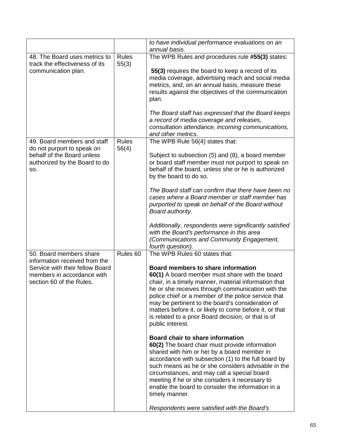|                                                                                                                                                       |                       | to have individual performance evaluations on an<br>annual basis.                                                                                                                                                                                                                                                                                                                                                                                                                                                                                                                                                                                                                                                                                                                                                                                                                                                                                                   |
|-------------------------------------------------------------------------------------------------------------------------------------------------------|-----------------------|---------------------------------------------------------------------------------------------------------------------------------------------------------------------------------------------------------------------------------------------------------------------------------------------------------------------------------------------------------------------------------------------------------------------------------------------------------------------------------------------------------------------------------------------------------------------------------------------------------------------------------------------------------------------------------------------------------------------------------------------------------------------------------------------------------------------------------------------------------------------------------------------------------------------------------------------------------------------|
| 48. The Board uses metrics to<br>track the effectiveness of its<br>communication plan.                                                                | <b>Rules</b><br>55(3) | The WPB Rules and procedures rule #55(3) states:<br>55(3) requires the board to keep a record of its<br>media coverage, advertising reach and social media<br>metrics, and, on an annual basis, measure these<br>results against the objectives of the communication<br>plan.<br>The Board staff has expressed that the Board keeps<br>a record of media coverage and releases,<br>consultation attendance, incoming communications,<br>and other metrics.                                                                                                                                                                                                                                                                                                                                                                                                                                                                                                          |
| 49. Board members and staff<br>do not purport to speak on<br>behalf of the Board unless<br>authorized by the Board to do<br>SO.                       | <b>Rules</b><br>56(4) | The WPB Rule 56(4) states that:<br>Subject to subsection (5) and (8), a board member<br>or board staff member must not purport to speak on<br>behalf of the board, unless she or he is authorized<br>by the board to do so.<br>The Board staff can confirm that there have been no<br>cases where a Board member or staff member has<br>purported to speak on behalf of the Board without<br>Board authority.<br>Additionally, respondents were significantly satisfied<br>with the Board's performance in this area<br>(Communications and Community Engagement,<br>fourth question).                                                                                                                                                                                                                                                                                                                                                                              |
| 50. Board members share<br>information received from the<br>Service with their fellow Board<br>members in accordance with<br>section 60 of the Rules. | Rules <sub>60</sub>   | The WPB Rules 60 states that:<br>Board members to share information<br>60(1) A board member must share with the board<br>chair, in a timely manner, material information that<br>he or she receives through communication with the<br>police chief or a member of the police service that<br>may be pertinent to the board's consideration of<br>matters before it, or likely to come before it, or that<br>is related to a prior Board decision, or that is of<br>public interest.<br><b>Board chair to share information</b><br>60(2) The board chair must provide information<br>shared with him or her by a board member in<br>accordance with subsection (1) to the full board by<br>such means as he or she considers advisable in the<br>circumstances, and may call a special board<br>meeting if he or she considers it necessary to<br>enable the board to consider the information in a<br>timely manner.<br>Respondents were satisfied with the Board's |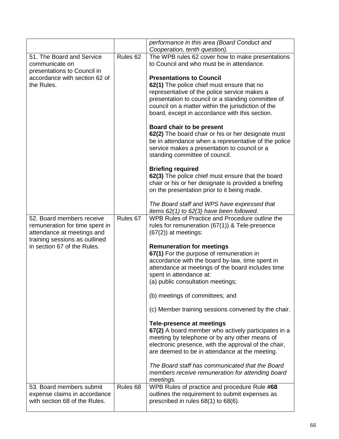|                                                               |                     | performance in this area (Board Conduct and<br>Cooperation, tenth question). |
|---------------------------------------------------------------|---------------------|------------------------------------------------------------------------------|
| 51. The Board and Service                                     | Rules <sub>62</sub> | The WPB rules 62 cover how to make presentations                             |
| communicate on                                                |                     | to Council and who must be in attendance.                                    |
| presentations to Council in                                   |                     |                                                                              |
| accordance with section 62 of                                 |                     | <b>Presentations to Council</b>                                              |
| the Rules.                                                    |                     |                                                                              |
|                                                               |                     | 62(1) The police chief must ensure that no                                   |
|                                                               |                     | representative of the police service makes a                                 |
|                                                               |                     | presentation to council or a standing committee of                           |
|                                                               |                     | council on a matter within the jurisdiction of the                           |
|                                                               |                     | board, except in accordance with this section.                               |
|                                                               |                     | Board chair to be present                                                    |
|                                                               |                     | 62(2) The board chair or his or her designate must                           |
|                                                               |                     | be in attendance when a representative of the police                         |
|                                                               |                     | service makes a presentation to council or a                                 |
|                                                               |                     | standing committee of council.                                               |
|                                                               |                     |                                                                              |
|                                                               |                     | <b>Briefing required</b>                                                     |
|                                                               |                     | 62(3) The police chief must ensure that the board                            |
|                                                               |                     | chair or his or her designate is provided a briefing                         |
|                                                               |                     | on the presentation prior to it being made.                                  |
|                                                               |                     | The Board staff and WPS have expressed that                                  |
|                                                               |                     | items $62(1)$ to $62(3)$ have been followed.                                 |
| 52. Board members receive                                     | Rules 67            | WPB Rules of Practice and Procedure outline the                              |
| remuneration for time spent in                                |                     | rules for remuneration (67(1)) & Tele-presence                               |
| attendance at meetings and                                    |                     | $(67(2))$ at meetings:                                                       |
| training sessions as outlined                                 |                     |                                                                              |
| in section 67 of the Rules.                                   |                     | <b>Remuneration for meetings</b>                                             |
|                                                               |                     | 67(1) For the purpose of remuneration in                                     |
|                                                               |                     | accordance with the board by-law, time spent in                              |
|                                                               |                     | attendance at meetings of the board includes time                            |
|                                                               |                     | spent in attendance at:                                                      |
|                                                               |                     | (a) public consultation meetings;                                            |
|                                                               |                     |                                                                              |
|                                                               |                     | (b) meetings of committees; and                                              |
|                                                               |                     | (c) Member training sessions convened by the chair.                          |
|                                                               |                     |                                                                              |
|                                                               |                     | <b>Tele-presence at meetings</b>                                             |
|                                                               |                     | 67(2) A board member who actively participates in a                          |
|                                                               |                     | meeting by telephone or by any other means of                                |
|                                                               |                     | electronic presence, with the approval of the chair,                         |
|                                                               |                     | are deemed to be in attendance at the meeting.                               |
|                                                               |                     |                                                                              |
|                                                               |                     | The Board staff has communicated that the Board                              |
|                                                               |                     | members receive remuneration for attending board                             |
| 53. Board members submit                                      | Rules <sub>68</sub> | meetings.<br>WPB Rules of practice and procedure Rule #68                    |
|                                                               |                     |                                                                              |
| expense claims in accordance<br>with section 68 of the Rules. |                     | outlines the requirement to submit expenses as                               |
|                                                               |                     | prescribed in rules 68(1) to 68(6).                                          |
|                                                               |                     |                                                                              |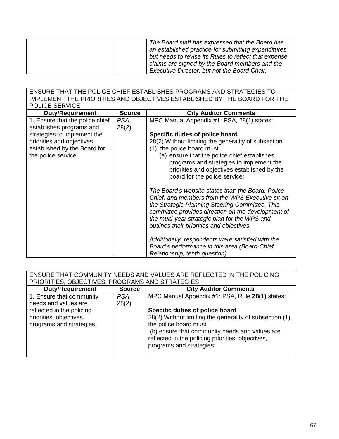| The Board staff has expressed that the Board has<br>an established practice for submitting expenditures<br>but needs to revise its Rules to reflect that expense |
|------------------------------------------------------------------------------------------------------------------------------------------------------------------|
| claims are signed by the Board members and the                                                                                                                   |
| Executive Director, but not the Board Chair.                                                                                                                     |

ENSURE THAT THE POLICE CHIEF ESTABLISHES PROGRAMS AND STRATEGIES TO IMPLEMENT THE PRIORITIES AND OBJECTIVES ESTABLISHED BY THE BOARD FOR THE POLICE SERVICE

| <b>Duty/Requirement</b>                                                                                        | <b>Source</b> | <b>City Auditor Comments</b>                                                                                                                                                                                                                                                                                                                   |
|----------------------------------------------------------------------------------------------------------------|---------------|------------------------------------------------------------------------------------------------------------------------------------------------------------------------------------------------------------------------------------------------------------------------------------------------------------------------------------------------|
| 1. Ensure that the police chief<br>establishes programs and                                                    | PSA,<br>28(2) | MPC Manual Appendix #1: PSA, 28(1) states:                                                                                                                                                                                                                                                                                                     |
| strategies to implement the<br>priorities and objectives<br>established by the Board for<br>the police service |               | Specific duties of police board<br>28(2) Without limiting the generality of subsection<br>(1), the police board must<br>(a) ensure that the police chief establishes<br>programs and strategies to implement the<br>priorities and objectives established by the                                                                               |
|                                                                                                                |               | board for the police service;<br>The Board's website states that: the Board, Police<br>Chief, and members from the WPS Executive sit on<br>the Strategic Planning Steering Committee. This<br>committee provides direction on the development of<br>the multi-year strategic plan for the WPS and<br>outlines their priorities and objectives. |
|                                                                                                                |               | Additionally, respondents were satisfied with the<br>Board's performance in this area (Board-Chief<br>Relationship, tenth question).                                                                                                                                                                                                           |

| ENSURE THAT COMMUNITY NEEDS AND VALUES ARE REFLECTED IN THE POLICING |               |                                                          |
|----------------------------------------------------------------------|---------------|----------------------------------------------------------|
| PRIORITIES, OBJECTIVES, PROGRAMS AND STRATEGIES                      |               |                                                          |
| <b>Duty/Requirement</b>                                              | <b>Source</b> | <b>City Auditor Comments</b>                             |
| 1. Ensure that community                                             | PSA,          | MPC Manual Appendix #1: PSA, Rule 28(1) states:          |
| needs and values are                                                 | 28(2)         |                                                          |
| reflected in the policing                                            |               | Specific duties of police board                          |
| priorities, objectives,                                              |               | 28(2) Without limiting the generality of subsection (1), |
| programs and strategies.                                             |               | the police board must                                    |
|                                                                      |               | (b) ensure that community needs and values are           |
|                                                                      |               | reflected in the policing priorities, objectives,        |
|                                                                      |               | programs and strategies;                                 |
|                                                                      |               |                                                          |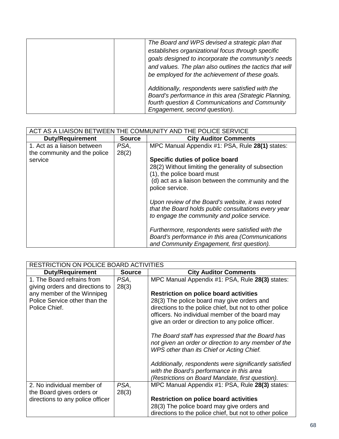| The Board and WPS devised a strategic plan that<br>establishes organizational focus through specific<br>goals designed to incorporate the community's needs<br>and values. The plan also outlines the tactics that will<br>be employed for the achievement of these goals. |
|----------------------------------------------------------------------------------------------------------------------------------------------------------------------------------------------------------------------------------------------------------------------------|
| Additionally, respondents were satisfied with the<br>Board's performance in this area (Strategic Planning,<br>fourth question & Communications and Community<br>Engagement, second question).                                                                              |

| ACT AS A LIAISON BETWEEN THE COMMUNITY AND THE POLICE SERVICE |               |                                                                                                                                                         |
|---------------------------------------------------------------|---------------|---------------------------------------------------------------------------------------------------------------------------------------------------------|
| <b>Duty/Requirement</b>                                       | <b>Source</b> | <b>City Auditor Comments</b>                                                                                                                            |
| 1. Act as a liaison between                                   | PSA,          | MPC Manual Appendix #1: PSA, Rule 28(1) states:                                                                                                         |
| the community and the police                                  | 28(2)         |                                                                                                                                                         |
| service                                                       |               | Specific duties of police board                                                                                                                         |
|                                                               |               | 28(2) Without limiting the generality of subsection                                                                                                     |
|                                                               |               | (1), the police board must                                                                                                                              |
|                                                               |               | (d) act as a liaison between the community and the<br>police service.                                                                                   |
|                                                               |               | Upon review of the Board's website, it was noted<br>that the Board holds public consultations every year<br>to engage the community and police service. |
|                                                               |               | Furthermore, respondents were satisfied with the                                                                                                        |
|                                                               |               | Board's performance in this area (Communications                                                                                                        |
|                                                               |               | and Community Engagement, first question).                                                                                                              |

| <b>RESTRICTION ON POLICE BOARD ACTIVITIES</b>                 |               |                                                                                                                                                       |  |
|---------------------------------------------------------------|---------------|-------------------------------------------------------------------------------------------------------------------------------------------------------|--|
| <b>Duty/Requirement</b>                                       | <b>Source</b> | <b>City Auditor Comments</b>                                                                                                                          |  |
| 1. The Board refrains from<br>giving orders and directions to | PSA,<br>28(3) | MPC Manual Appendix #1: PSA, Rule 28(3) states:                                                                                                       |  |
| any member of the Winnipeg                                    |               | <b>Restriction on police board activities</b>                                                                                                         |  |
| Police Service other than the                                 |               | 28(3) The police board may give orders and                                                                                                            |  |
| Police Chief.                                                 |               | directions to the police chief, but not to other police                                                                                               |  |
|                                                               |               | officers. No individual member of the board may                                                                                                       |  |
|                                                               |               | give an order or direction to any police officer.                                                                                                     |  |
|                                                               |               | The Board staff has expressed that the Board has<br>not given an order or direction to any member of the<br>WPS other than its Chief or Acting Chief. |  |
|                                                               |               | Additionally, respondents were significantly satisfied<br>with the Board's performance in this area                                                   |  |
|                                                               |               | (Restrictions on Board Mandate, first question).                                                                                                      |  |
| 2. No individual member of                                    | PSA,          | MPC Manual Appendix #1: PSA, Rule 28(3) states:                                                                                                       |  |
| the Board gives orders or                                     | 28(3)         |                                                                                                                                                       |  |
| directions to any police officer                              |               | <b>Restriction on police board activities</b>                                                                                                         |  |
|                                                               |               | 28(3) The police board may give orders and                                                                                                            |  |
|                                                               |               | directions to the police chief, but not to other police                                                                                               |  |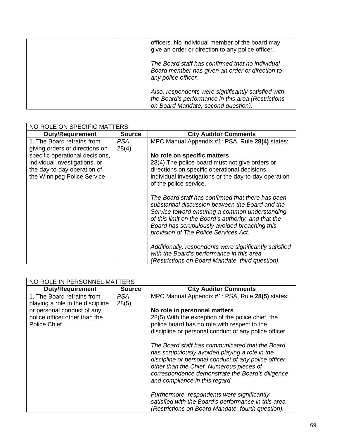| officers. No individual member of the board may<br>give an order or direction to any police officer.                                             |
|--------------------------------------------------------------------------------------------------------------------------------------------------|
| The Board staff has confirmed that no individual<br>Board member has given an order or direction to<br>any police officer.                       |
| Also, respondents were significantly satisfied with<br>the Board's performance in this area (Restrictions<br>on Board Mandate, second question). |

| NO ROLE ON SPECIFIC MATTERS                                                                 |               |                                                                                                                                                                                                                                                                                                           |
|---------------------------------------------------------------------------------------------|---------------|-----------------------------------------------------------------------------------------------------------------------------------------------------------------------------------------------------------------------------------------------------------------------------------------------------------|
| <b>Duty/Requirement</b>                                                                     | <b>Source</b> | <b>City Auditor Comments</b>                                                                                                                                                                                                                                                                              |
| 1. The Board refrains from<br>giving orders or directions on                                | PSA,<br>28(4) | MPC Manual Appendix #1: PSA, Rule 28(4) states:                                                                                                                                                                                                                                                           |
| specific operational decisions,                                                             |               | No role on specific matters                                                                                                                                                                                                                                                                               |
| individual investigations, or<br>the day-to-day operation of<br>the Winnipeg Police Service |               | 28(4) The police board must not give orders or<br>directions on specific operational decisions,<br>individual investigations or the day-to-day operation<br>of the police service.                                                                                                                        |
|                                                                                             |               | The Board staff has confirmed that there has been<br>substantial discussion between the Board and the<br>Service toward ensuring a common understanding<br>of this limit on the Board's authority, and that the<br>Board has scrupulously avoided breaching this<br>provision of The Police Services Act. |
|                                                                                             |               | Additionally, respondents were significantly satisfied<br>with the Board's performance in this area<br>(Restrictions on Board Mandate, third question).                                                                                                                                                   |

| NO ROLE IN PERSONNEL MATTERS                                   |               |                                                                                                                                                                                                                                                                                             |
|----------------------------------------------------------------|---------------|---------------------------------------------------------------------------------------------------------------------------------------------------------------------------------------------------------------------------------------------------------------------------------------------|
| <b>Duty/Requirement</b>                                        | <b>Source</b> | <b>City Auditor Comments</b>                                                                                                                                                                                                                                                                |
| 1. The Board refrains from<br>playing a role in the discipline | PSA,<br>28(5) | MPC Manual Appendix #1: PSA, Rule 28(5) states:                                                                                                                                                                                                                                             |
| or personal conduct of any                                     |               | No role in personnel matters                                                                                                                                                                                                                                                                |
| police officer other than the<br><b>Police Chief</b>           |               | 28(5) With the exception of the police chief, the<br>police board has no role with respect to the<br>discipline or personal conduct of any police officer.                                                                                                                                  |
|                                                                |               | The Board staff has communicated that the Board<br>has scrupulously avoided playing a role in the<br>discipline or personal conduct of any police officer<br>other than the Chief. Numerous pieces of<br>correspondence demonstrate the Board's diligence<br>and compliance in this regard. |
|                                                                |               | Furthermore, respondents were significantly<br>satisfied with the Board's performance in this area<br>(Restrictions on Board Mandate, fourth question).                                                                                                                                     |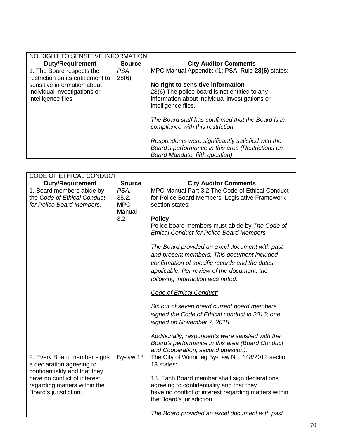| NO RIGHT TO SENSITIVE INFORMATION                                                                                      |               |                                                                                                                                                                                                                                                                                                                                                                                                     |  |
|------------------------------------------------------------------------------------------------------------------------|---------------|-----------------------------------------------------------------------------------------------------------------------------------------------------------------------------------------------------------------------------------------------------------------------------------------------------------------------------------------------------------------------------------------------------|--|
| <b>Duty/Requirement</b>                                                                                                | <b>Source</b> | <b>City Auditor Comments</b>                                                                                                                                                                                                                                                                                                                                                                        |  |
| 1. The Board respects the                                                                                              | PSA.          | MPC Manual Appendix #1: PSA, Rule 28(6) states:                                                                                                                                                                                                                                                                                                                                                     |  |
| restriction on its entitlement to<br>sensitive information about<br>individual investigations or<br>intelligence files | 28(6)         | No right to sensitive information<br>28(6) The police board is not entitled to any<br>information about individual investigations or<br>intelligence files.<br>The Board staff has confirmed that the Board is in<br>compliance with this restriction.<br>Respondents were significantly satisfied with the<br>Board's performance in this area (Restrictions on<br>Board Mandate, fifth question). |  |

| CODE OF ETHICAL CONDUCT                                                                                                                                                            |                                              |                                                                                                                                                                                                                                                                                                                                                                                                                                                                                   |  |
|------------------------------------------------------------------------------------------------------------------------------------------------------------------------------------|----------------------------------------------|-----------------------------------------------------------------------------------------------------------------------------------------------------------------------------------------------------------------------------------------------------------------------------------------------------------------------------------------------------------------------------------------------------------------------------------------------------------------------------------|--|
| <b>Duty/Requirement</b>                                                                                                                                                            | <b>Source</b>                                | <b>City Auditor Comments</b>                                                                                                                                                                                                                                                                                                                                                                                                                                                      |  |
| 1. Board members abide by<br>the Code of Ethical Conduct<br>for Police Board Members.                                                                                              | PSA,<br>35.2,<br><b>MPC</b><br>Manual<br>3.2 | MPC Manual Part 3.2 The Code of Ethical Conduct<br>for Police Board Members, Legislative Framework<br>section states:<br><b>Policy</b><br>Police board members must abide by The Code of<br><b>Ethical Conduct for Police Board Members</b><br>The Board provided an excel document with past<br>and present members. This document included<br>confirmation of specific records and the dates<br>applicable. Per review of the document, the<br>following information was noted: |  |
|                                                                                                                                                                                    |                                              | Code of Ethical Conduct:<br>Six out of seven board current board members<br>signed the Code of Ethical conduct in 2016; one<br>signed on November 7, 2015.<br>Additionally, respondents were satisfied with the<br>Board's performance in this area (Board Conduct<br>and Cooperation, second question).                                                                                                                                                                          |  |
| 2. Every Board member signs<br>a declaration agreeing to<br>confidentiality and that they<br>have no conflict of interest<br>regarding matters within the<br>Board's jurisdiction. | By-law 13                                    | The City of Winnipeg By-Law No. 148/2012 section<br>13 states:<br>13. Each Board member shall sign declarations<br>agreeing to confidentiality and that they<br>have no conflict of interest regarding matters within<br>the Board's jurisdiction.<br>The Board provided an excel document with past                                                                                                                                                                              |  |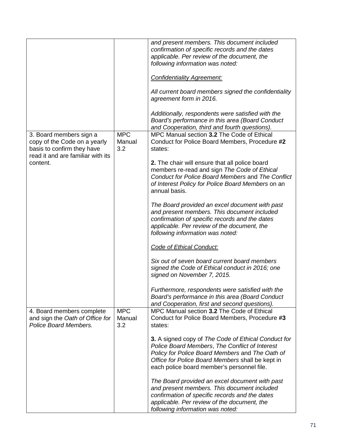|                                                                                                                            |                             | and present members. This document included<br>confirmation of specific records and the dates<br>applicable. Per review of the document, the<br>following information was noted:<br><b>Confidentiality Agreement:</b><br>All current board members signed the confidentiality<br>agreement form in 2016.<br>Additionally, respondents were satisfied with the<br>Board's performance in this area (Board Conduct |
|----------------------------------------------------------------------------------------------------------------------------|-----------------------------|------------------------------------------------------------------------------------------------------------------------------------------------------------------------------------------------------------------------------------------------------------------------------------------------------------------------------------------------------------------------------------------------------------------|
| 3. Board members sign a<br>copy of the Code on a yearly<br>basis to confirm they have<br>read it and are familiar with its | <b>MPC</b><br>Manual<br>3.2 | and Cooperation, third and fourth questions).<br>MPC Manual section 3.2 The Code of Ethical<br>Conduct for Police Board Members, Procedure #2<br>states:                                                                                                                                                                                                                                                         |
| content.                                                                                                                   |                             | 2. The chair will ensure that all police board<br>members re-read and sign The Code of Ethical<br>Conduct for Police Board Members and The Conflict<br>of Interest Policy for Police Board Members on an<br>annual basis.                                                                                                                                                                                        |
|                                                                                                                            |                             | The Board provided an excel document with past<br>and present members. This document included<br>confirmation of specific records and the dates<br>applicable. Per review of the document, the<br>following information was noted:                                                                                                                                                                               |
|                                                                                                                            |                             | Code of Ethical Conduct:                                                                                                                                                                                                                                                                                                                                                                                         |
|                                                                                                                            |                             | Six out of seven board current board members<br>signed the Code of Ethical conduct in 2016; one<br>signed on November 7, 2015.                                                                                                                                                                                                                                                                                   |
|                                                                                                                            |                             | Furthermore, respondents were satisfied with the<br>Board's performance in this area (Board Conduct<br>and Cooperation, first and second questions).                                                                                                                                                                                                                                                             |
| 4. Board members complete<br>and sign the Oath of Office for<br><b>Police Board Members.</b>                               | <b>MPC</b><br>Manual<br>3.2 | MPC Manual section 3.2 The Code of Ethical<br>Conduct for Police Board Members, Procedure #3<br>states:                                                                                                                                                                                                                                                                                                          |
|                                                                                                                            |                             | 3. A signed copy of The Code of Ethical Conduct for<br>Police Board Members, The Conflict of Interest<br>Policy for Police Board Members and The Oath of<br>Office for Police Board Members shall be kept in<br>each police board member's personnel file.                                                                                                                                                       |
|                                                                                                                            |                             | The Board provided an excel document with past<br>and present members. This document included<br>confirmation of specific records and the dates<br>applicable. Per review of the document, the<br>following information was noted:                                                                                                                                                                               |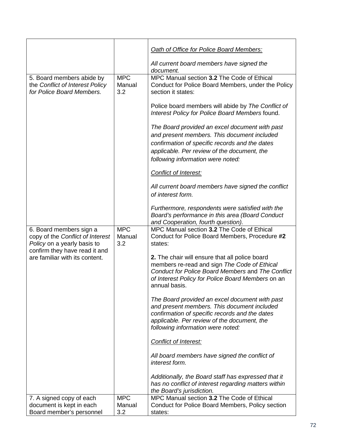|                                                                                            |                             | Oath of Office for Police Board Members:                                                                                                                                                                                            |
|--------------------------------------------------------------------------------------------|-----------------------------|-------------------------------------------------------------------------------------------------------------------------------------------------------------------------------------------------------------------------------------|
|                                                                                            |                             | All current board members have signed the<br>document.                                                                                                                                                                              |
| 5. Board members abide by<br>the Conflict of Interest Policy<br>for Police Board Members.  | <b>MPC</b><br>Manual<br>3.2 | MPC Manual section 3.2 The Code of Ethical<br>Conduct for Police Board Members, under the Policy<br>section it states:                                                                                                              |
|                                                                                            |                             | Police board members will abide by The Conflict of<br>Interest Policy for Police Board Members found.                                                                                                                               |
|                                                                                            |                             | The Board provided an excel document with past<br>and present members. This document included<br>confirmation of specific records and the dates<br>applicable. Per review of the document, the<br>following information were noted: |
|                                                                                            |                             | Conflict of Interest:                                                                                                                                                                                                               |
|                                                                                            |                             | All current board members have signed the conflict<br>of interest form.                                                                                                                                                             |
|                                                                                            |                             | Furthermore, respondents were satisfied with the<br>Board's performance in this area (Board Conduct<br>and Cooperation, fourth question).                                                                                           |
| 6. Board members sign a<br>copy of the Conflict of Interest<br>Policy on a yearly basis to | <b>MPC</b><br>Manual<br>3.2 | MPC Manual section 3.2 The Code of Ethical<br>Conduct for Police Board Members, Procedure #2<br>states:                                                                                                                             |
| confirm they have read it and<br>are familiar with its content.                            |                             | 2. The chair will ensure that all police board<br>members re-read and sign The Code of Ethical<br>Conduct for Police Board Members and The Conflict<br>of Interest Policy for Police Board Members on an<br>annual basis.           |
|                                                                                            |                             | The Board provided an excel document with past<br>and present members. This document included<br>confirmation of specific records and the dates<br>applicable. Per review of the document, the<br>following information were noted: |
|                                                                                            |                             | Conflict of Interest:                                                                                                                                                                                                               |
|                                                                                            |                             | All board members have signed the conflict of<br>interest form.                                                                                                                                                                     |
|                                                                                            |                             | Additionally, the Board staff has expressed that it<br>has no conflict of interest regarding matters within<br>the Board's jurisdiction.                                                                                            |
| 7. A signed copy of each                                                                   | <b>MPC</b>                  | MPC Manual section 3.2 The Code of Ethical                                                                                                                                                                                          |
| document is kept in each<br>Board member's personnel                                       | Manual<br>3.2               | Conduct for Police Board Members, Policy section<br>states:                                                                                                                                                                         |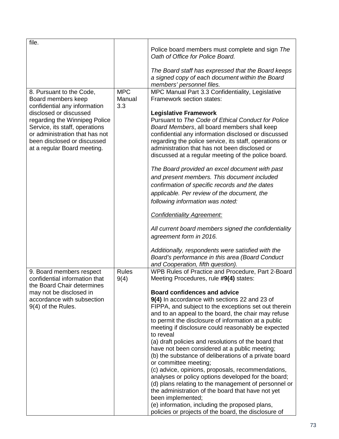| file.                                                                                                                                                                                     |                             |                                                                                                                                                                                                                                                                                                                                                                                                                                                                                                                                                                                                                                                                                                                                                                                                                                                                                  |
|-------------------------------------------------------------------------------------------------------------------------------------------------------------------------------------------|-----------------------------|----------------------------------------------------------------------------------------------------------------------------------------------------------------------------------------------------------------------------------------------------------------------------------------------------------------------------------------------------------------------------------------------------------------------------------------------------------------------------------------------------------------------------------------------------------------------------------------------------------------------------------------------------------------------------------------------------------------------------------------------------------------------------------------------------------------------------------------------------------------------------------|
|                                                                                                                                                                                           |                             | Police board members must complete and sign The<br>Oath of Office for Police Board.                                                                                                                                                                                                                                                                                                                                                                                                                                                                                                                                                                                                                                                                                                                                                                                              |
|                                                                                                                                                                                           |                             | The Board staff has expressed that the Board keeps<br>a signed copy of each document within the Board<br>members' personnel files.                                                                                                                                                                                                                                                                                                                                                                                                                                                                                                                                                                                                                                                                                                                                               |
| 8. Pursuant to the Code,<br>Board members keep<br>confidential any information                                                                                                            | <b>MPC</b><br>Manual<br>3.3 | MPC Manual Part 3.3 Confidentiality, Legislative<br>Framework section states:                                                                                                                                                                                                                                                                                                                                                                                                                                                                                                                                                                                                                                                                                                                                                                                                    |
| disclosed or discussed<br>regarding the Winnipeg Police<br>Service, its staff, operations<br>or administration that has not<br>been disclosed or discussed<br>at a regular Board meeting. |                             | <b>Legislative Framework</b><br>Pursuant to The Code of Ethical Conduct for Police<br>Board Members, all board members shall keep<br>confidential any information disclosed or discussed<br>regarding the police service, its staff, operations or<br>administration that has not been disclosed or<br>discussed at a regular meeting of the police board.                                                                                                                                                                                                                                                                                                                                                                                                                                                                                                                       |
|                                                                                                                                                                                           |                             | The Board provided an excel document with past<br>and present members. This document included<br>confirmation of specific records and the dates<br>applicable. Per review of the document, the<br>following information was noted:                                                                                                                                                                                                                                                                                                                                                                                                                                                                                                                                                                                                                                               |
|                                                                                                                                                                                           |                             | <b>Confidentiality Agreement:</b>                                                                                                                                                                                                                                                                                                                                                                                                                                                                                                                                                                                                                                                                                                                                                                                                                                                |
|                                                                                                                                                                                           |                             | All current board members signed the confidentiality<br>agreement form in 2016.                                                                                                                                                                                                                                                                                                                                                                                                                                                                                                                                                                                                                                                                                                                                                                                                  |
|                                                                                                                                                                                           |                             | Additionally, respondents were satisfied with the<br>Board's performance in this area (Board Conduct<br>and Cooperation, fifth question).                                                                                                                                                                                                                                                                                                                                                                                                                                                                                                                                                                                                                                                                                                                                        |
| 9. Board members respect<br>confidential information that                                                                                                                                 | <b>Rules</b><br>9(4)        | WPB Rules of Practice and Procedure, Part 2-Board<br>Meeting Procedures, rule #9(4) states:                                                                                                                                                                                                                                                                                                                                                                                                                                                                                                                                                                                                                                                                                                                                                                                      |
| the Board Chair determines<br>may not be disclosed in<br>accordance with subsection<br>9(4) of the Rules.                                                                                 |                             | <b>Board confidences and advice</b><br>9(4) In accordance with sections 22 and 23 of<br>FIPPA, and subject to the exceptions set out therein<br>and to an appeal to the board, the chair may refuse<br>to permit the disclosure of information at a public<br>meeting if disclosure could reasonably be expected<br>to reveal<br>(a) draft policies and resolutions of the board that<br>have not been considered at a public meeting;<br>(b) the substance of deliberations of a private board<br>or committee meeting;<br>(c) advice, opinions, proposals, recommendations,<br>analyses or policy options developed for the board;<br>(d) plans relating to the management of personnel or<br>the administration of the board that have not yet<br>been implemented;<br>(e) information, including the proposed plans,<br>policies or projects of the board, the disclosure of |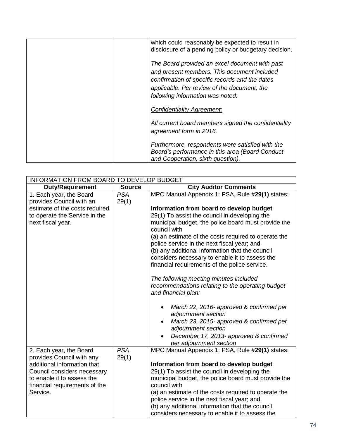| which could reasonably be expected to result in<br>disclosure of a pending policy or budgetary decision.                                                                                                                           |
|------------------------------------------------------------------------------------------------------------------------------------------------------------------------------------------------------------------------------------|
| The Board provided an excel document with past<br>and present members. This document included<br>confirmation of specific records and the dates<br>applicable. Per review of the document, the<br>following information was noted: |
| Confidentiality Agreement:                                                                                                                                                                                                         |
| All current board members signed the confidentiality<br>agreement form in 2016.                                                                                                                                                    |
| Furthermore, respondents were satisfied with the<br>Board's performance in this area (Board Conduct<br>and Cooperation, sixth question).                                                                                           |

| INFORMATION FROM BOARD TO DEVELOP BUDGET                    |                     |                                                                                                     |  |
|-------------------------------------------------------------|---------------------|-----------------------------------------------------------------------------------------------------|--|
| <b>Duty/Requirement</b>                                     | <b>Source</b>       | <b>City Auditor Comments</b>                                                                        |  |
| 1. Each year, the Board<br>provides Council with an         | <b>PSA</b><br>29(1) | MPC Manual Appendix 1: PSA, Rule #29(1) states:                                                     |  |
| estimate of the costs required                              |                     | Information from board to develop budget                                                            |  |
| to operate the Service in the                               |                     | 29(1) To assist the council in developing the                                                       |  |
| next fiscal year.                                           |                     | municipal budget, the police board must provide the<br>council with                                 |  |
|                                                             |                     | (a) an estimate of the costs required to operate the<br>police service in the next fiscal year; and |  |
|                                                             |                     | (b) any additional information that the council                                                     |  |
|                                                             |                     | considers necessary to enable it to assess the                                                      |  |
|                                                             |                     | financial requirements of the police service.                                                       |  |
|                                                             |                     | The following meeting minutes included                                                              |  |
|                                                             |                     | recommendations relating to the operating budget<br>and financial plan:                             |  |
|                                                             |                     | March 22, 2016- approved & confirmed per<br>adjournment section                                     |  |
|                                                             |                     | March 23, 2015- approved & confirmed per<br>adjournment section                                     |  |
|                                                             |                     | December 17, 2013- approved & confirmed<br>per adjournment section                                  |  |
| 2. Each year, the Board                                     | <b>PSA</b>          | MPC Manual Appendix 1: PSA, Rule #29(1) states:                                                     |  |
| provides Council with any                                   | 29(1)               |                                                                                                     |  |
| additional information that                                 |                     | Information from board to develop budget                                                            |  |
| Council considers necessary                                 |                     | 29(1) To assist the council in developing the                                                       |  |
| to enable it to assess the<br>financial requirements of the |                     | municipal budget, the police board must provide the<br>council with                                 |  |
| Service.                                                    |                     | (a) an estimate of the costs required to operate the                                                |  |
|                                                             |                     | police service in the next fiscal year; and                                                         |  |
|                                                             |                     | (b) any additional information that the council                                                     |  |
|                                                             |                     | considers necessary to enable it to assess the                                                      |  |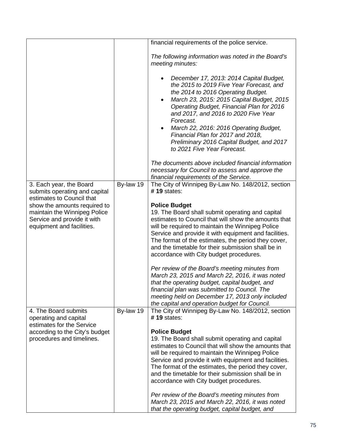|                                                                                                                          |           | financial requirements of the police service.                                                                                                                                                                                                                                                                                                                                                                                                           |
|--------------------------------------------------------------------------------------------------------------------------|-----------|---------------------------------------------------------------------------------------------------------------------------------------------------------------------------------------------------------------------------------------------------------------------------------------------------------------------------------------------------------------------------------------------------------------------------------------------------------|
|                                                                                                                          |           | The following information was noted in the Board's<br>meeting minutes:                                                                                                                                                                                                                                                                                                                                                                                  |
|                                                                                                                          |           | December 17, 2013: 2014 Capital Budget,<br>the 2015 to 2019 Five Year Forecast, and<br>the 2014 to 2016 Operating Budget.<br>March 23, 2015: 2015 Capital Budget, 2015<br>Operating Budget, Financial Plan for 2016<br>and 2017, and 2016 to 2020 Five Year<br>Forecast.<br>March 22, 2016: 2016 Operating Budget,<br>$\bullet$<br>Financial Plan for 2017 and 2018,<br>Preliminary 2016 Capital Budget, and 2017<br>to 2021 Five Year Forecast.        |
|                                                                                                                          |           | The documents above included financial information<br>necessary for Council to assess and approve the<br>financial requirements of the Service.                                                                                                                                                                                                                                                                                                         |
| 3. Each year, the Board<br>submits operating and capital<br>estimates to Council that                                    | By-law 19 | The City of Winnipeg By-Law No. 148/2012, section<br>#19 states:                                                                                                                                                                                                                                                                                                                                                                                        |
| show the amounts required to<br>maintain the Winnipeg Police<br>Service and provide it with<br>equipment and facilities. |           | <b>Police Budget</b><br>19. The Board shall submit operating and capital<br>estimates to Council that will show the amounts that<br>will be required to maintain the Winnipeg Police<br>Service and provide it with equipment and facilities.<br>The format of the estimates, the period they cover,<br>and the timetable for their submission shall be in<br>accordance with City budget procedures.<br>Per review of the Board's meeting minutes from |
|                                                                                                                          |           | March 23, 2015 and March 22, 2016, it was noted<br>that the operating budget, capital budget, and<br>financial plan was submitted to Council. The<br>meeting held on December 17, 2013 only included<br>the capital and operation budget for Council.                                                                                                                                                                                                   |
| 4. The Board submits<br>operating and capital<br>estimates for the Service                                               | By-law 19 | The City of Winnipeg By-Law No. 148/2012, section<br>$#$ 19 states:                                                                                                                                                                                                                                                                                                                                                                                     |
| according to the City's budget<br>procedures and timelines.                                                              |           | <b>Police Budget</b><br>19. The Board shall submit operating and capital<br>estimates to Council that will show the amounts that<br>will be required to maintain the Winnipeg Police<br>Service and provide it with equipment and facilities.<br>The format of the estimates, the period they cover,<br>and the timetable for their submission shall be in<br>accordance with City budget procedures.                                                   |
|                                                                                                                          |           | Per review of the Board's meeting minutes from<br>March 23, 2015 and March 22, 2016, it was noted<br>that the operating budget, capital budget, and                                                                                                                                                                                                                                                                                                     |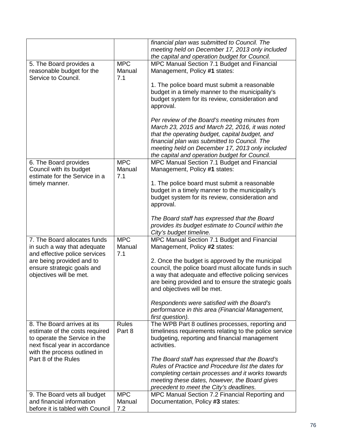|                                                                                                                                                                  |                             | financial plan was submitted to Council. The<br>meeting held on December 17, 2013 only included<br>the capital and operation budget for Council.                                                                                                                                                        |
|------------------------------------------------------------------------------------------------------------------------------------------------------------------|-----------------------------|---------------------------------------------------------------------------------------------------------------------------------------------------------------------------------------------------------------------------------------------------------------------------------------------------------|
| 5. The Board provides a<br>reasonable budget for the<br>Service to Council.                                                                                      | <b>MPC</b><br>Manual<br>7.1 | MPC Manual Section 7.1 Budget and Financial<br>Management, Policy #1 states:                                                                                                                                                                                                                            |
|                                                                                                                                                                  |                             | 1. The police board must submit a reasonable<br>budget in a timely manner to the municipality's<br>budget system for its review, consideration and<br>approval.                                                                                                                                         |
|                                                                                                                                                                  |                             | Per review of the Board's meeting minutes from<br>March 23, 2015 and March 22, 2016, it was noted<br>that the operating budget, capital budget, and<br>financial plan was submitted to Council. The<br>meeting held on December 17, 2013 only included<br>the capital and operation budget for Council. |
| 6. The Board provides<br>Council with its budget<br>estimate for the Service in a                                                                                | <b>MPC</b><br>Manual<br>7.1 | MPC Manual Section 7.1 Budget and Financial<br>Management, Policy #1 states:                                                                                                                                                                                                                            |
| timely manner.                                                                                                                                                   |                             | 1. The police board must submit a reasonable<br>budget in a timely manner to the municipality's<br>budget system for its review, consideration and<br>approval.                                                                                                                                         |
|                                                                                                                                                                  |                             | The Board staff has expressed that the Board<br>provides its budget estimate to Council within the<br>City's budget timeline.                                                                                                                                                                           |
| 7. The Board allocates funds<br>in such a way that adequate<br>and effective police services                                                                     | <b>MPC</b><br>Manual<br>7.1 | MPC Manual Section 7.1 Budget and Financial<br>Management, Policy #2 states:                                                                                                                                                                                                                            |
| are being provided and to<br>ensure strategic goals and<br>objectives will be met.                                                                               |                             | 2. Once the budget is approved by the municipal<br>council, the police board must allocate funds in such<br>a way that adequate and effective policing services<br>are being provided and to ensure the strategic goals<br>and objectives will be met.                                                  |
|                                                                                                                                                                  |                             | Respondents were satisfied with the Board's<br>performance in this area (Financial Management,<br>first question).                                                                                                                                                                                      |
| 8. The Board arrives at its<br>estimate of the costs required<br>to operate the Service in the<br>next fiscal year in accordance<br>with the process outlined in | <b>Rules</b><br>Part 8      | The WPB Part 8 outlines processes, reporting and<br>timeliness requirements relating to the police service<br>budgeting, reporting and financial management<br>activities.                                                                                                                              |
| Part 8 of the Rules                                                                                                                                              |                             | The Board staff has expressed that the Board's<br>Rules of Practice and Procedure list the dates for<br>completing certain processes and it works towards<br>meeting these dates, however, the Board gives<br>precedent to meet the City's deadlines.                                                   |
| 9. The Board vets all budget<br>and financial information                                                                                                        | <b>MPC</b><br>Manual        | MPC Manual Section 7.2 Financial Reporting and<br>Documentation, Policy #3 states:                                                                                                                                                                                                                      |
| before it is tabled with Council                                                                                                                                 | 7.2                         |                                                                                                                                                                                                                                                                                                         |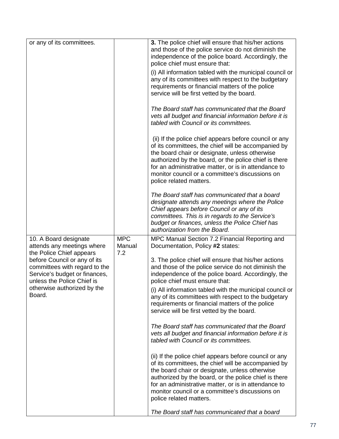| or any of its committees.                                                                                                                                                                                       |                             | 3. The police chief will ensure that his/her actions<br>and those of the police service do not diminish the<br>independence of the police board. Accordingly, the<br>police chief must ensure that:<br>(i) All information tabled with the municipal council or<br>any of its committees with respect to the budgetary<br>requirements or financial matters of the police<br>service will be first vetted by the board.<br>The Board staff has communicated that the Board<br>vets all budget and financial information before it is<br>tabled with Council or its committees.<br>(ii) If the police chief appears before council or any<br>of its committees, the chief will be accompanied by<br>the board chair or designate, unless otherwise<br>authorized by the board, or the police chief is there<br>for an administrative matter, or is in attendance to<br>monitor council or a committee's discussions on<br>police related matters. |
|-----------------------------------------------------------------------------------------------------------------------------------------------------------------------------------------------------------------|-----------------------------|--------------------------------------------------------------------------------------------------------------------------------------------------------------------------------------------------------------------------------------------------------------------------------------------------------------------------------------------------------------------------------------------------------------------------------------------------------------------------------------------------------------------------------------------------------------------------------------------------------------------------------------------------------------------------------------------------------------------------------------------------------------------------------------------------------------------------------------------------------------------------------------------------------------------------------------------------|
|                                                                                                                                                                                                                 |                             | The Board staff has communicated that a board<br>designate attends any meetings where the Police<br>Chief appears before Council or any of its<br>committees. This is in regards to the Service's<br>budget or finances, unless the Police Chief has<br>authorization from the Board.                                                                                                                                                                                                                                                                                                                                                                                                                                                                                                                                                                                                                                                            |
| 10. A Board designate<br>attends any meetings where<br>the Police Chief appears<br>before Council or any of its<br>committees with regard to the<br>Service's budget or finances,<br>unless the Police Chief is | <b>MPC</b><br>Manual<br>7.2 | MPC Manual Section 7.2 Financial Reporting and<br>Documentation, Policy #2 states:<br>3. The police chief will ensure that his/her actions<br>and those of the police service do not diminish the<br>independence of the police board. Accordingly, the<br>police chief must ensure that:                                                                                                                                                                                                                                                                                                                                                                                                                                                                                                                                                                                                                                                        |
| otherwise authorized by the<br>Board.                                                                                                                                                                           |                             | (i) All information tabled with the municipal council or<br>any of its committees with respect to the budgetary<br>requirements or financial matters of the police<br>service will be first vetted by the board.                                                                                                                                                                                                                                                                                                                                                                                                                                                                                                                                                                                                                                                                                                                                 |
|                                                                                                                                                                                                                 |                             | The Board staff has communicated that the Board<br>vets all budget and financial information before it is<br>tabled with Council or its committees.                                                                                                                                                                                                                                                                                                                                                                                                                                                                                                                                                                                                                                                                                                                                                                                              |
|                                                                                                                                                                                                                 |                             | (ii) If the police chief appears before council or any<br>of its committees, the chief will be accompanied by<br>the board chair or designate, unless otherwise<br>authorized by the board, or the police chief is there<br>for an administrative matter, or is in attendance to<br>monitor council or a committee's discussions on<br>police related matters.                                                                                                                                                                                                                                                                                                                                                                                                                                                                                                                                                                                   |
|                                                                                                                                                                                                                 |                             | The Board staff has communicated that a board                                                                                                                                                                                                                                                                                                                                                                                                                                                                                                                                                                                                                                                                                                                                                                                                                                                                                                    |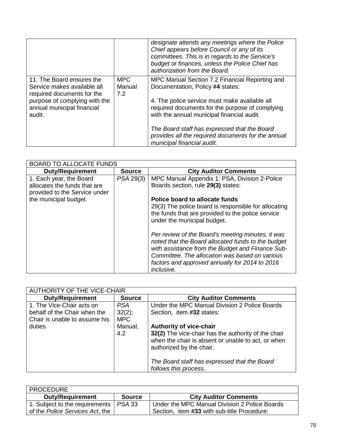|                                                                                                                                                                 |                             | designate attends any meetings where the Police<br>Chief appears before Council or any of its<br>committees. This is in regards to the Service's<br>budget or finances, unless the Police Chief has<br>authorization from the Board. |
|-----------------------------------------------------------------------------------------------------------------------------------------------------------------|-----------------------------|--------------------------------------------------------------------------------------------------------------------------------------------------------------------------------------------------------------------------------------|
| 11. The Board ensures the<br>Service makes available all<br>required documents for the<br>purpose of complying with the<br>annual municipal financial<br>audit. | <b>MPC</b><br>Manual<br>7.2 | MPC Manual Section 7.2 Financial Reporting and<br>Documentation, Policy #4 states:<br>4. The police service must make available all<br>required documents for the purpose of complying<br>with the annual municipal financial audit. |
|                                                                                                                                                                 |                             | The Board staff has expressed that the Board<br>provides all the required documents for the annual<br>municipal financial audit.                                                                                                     |

| <b>BOARD TO ALLOCATE FUNDS</b>                                                           |               |                                                                                                                                                                                                                                                                               |
|------------------------------------------------------------------------------------------|---------------|-------------------------------------------------------------------------------------------------------------------------------------------------------------------------------------------------------------------------------------------------------------------------------|
| <b>Duty/Requirement</b>                                                                  | <b>Source</b> | <b>City Auditor Comments</b>                                                                                                                                                                                                                                                  |
| 1. Each year, the Board<br>allocates the funds that are<br>provided to the Service under | PSA 29(3)     | MPC Manual Appendix 1: PSA, Division 2-Police<br>Boards section, rule 29(3) states:                                                                                                                                                                                           |
| the municipal budget.                                                                    |               | Police board to allocate funds<br>29(3) The police board is responsible for allocating<br>the funds that are provided to the police service<br>under the municipal budget.                                                                                                    |
|                                                                                          |               | Per review of the Board's meeting minutes, it was<br>noted that the Board allocated funds to the budget<br>with assistance from the Budget and Finance Sub-<br>Committee. The allocation was based on various<br>factors and approved annually for 2014 to 2016<br>inclusive. |

| <b>AUTHORITY OF THE VICE-CHAIR</b> |               |                                                                                                                                       |
|------------------------------------|---------------|---------------------------------------------------------------------------------------------------------------------------------------|
| <b>Duty/Requirement</b>            | <b>Source</b> | <b>City Auditor Comments</b>                                                                                                          |
| 1. The Vice-Chair acts on          | <b>PSA</b>    | Under the MPC Manual Division 2 Police Boards                                                                                         |
| behalf of the Chair when the       | 32(2);        | Section, item #32 states:                                                                                                             |
| Chair is unable to assume his      | <b>MPC</b>    |                                                                                                                                       |
| duties.                            | Manual,       | <b>Authority of vice-chair</b>                                                                                                        |
|                                    | 4.2           | 32(2) The vice-chair has the authority of the chair<br>when the chair is absent or unable to act, or when<br>authorized by the chair. |
|                                    |               | The Board staff has expressed that the Board<br>follows this process.                                                                 |

| <b>PROCEDURE</b>                                                    |               |                                                                                              |
|---------------------------------------------------------------------|---------------|----------------------------------------------------------------------------------------------|
| <b>Duty/Requirement</b>                                             | <b>Source</b> | <b>City Auditor Comments</b>                                                                 |
| 1. Subject to the requirements  <br>of the Police Services Act, the | PSA 33        | Under the MPC Manual Division 2 Police Boards<br>Section, item #33 with sub-title Procedure: |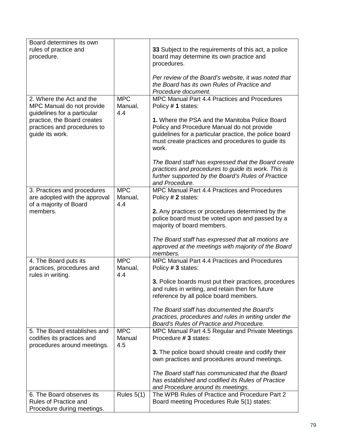| rules of practice and<br>33 Subject to the requirements of this act, a police<br>board may determine its own practice and<br>procedure.<br>procedures.<br>Per review of the Board's website, it was noted that<br>the Board has its own Rules of Practice and<br>Procedure document.<br><b>MPC</b><br>MPC Manual Part 4.4 Practices and Procedures<br>2. Where the Act and the<br>Manual,<br>MPC Manual do not provide<br>Policy #1 states:<br>guidelines for a particular<br>4.4<br>practice, the Board creates<br>1. Where the PSA and the Manitoba Police Board<br>Policy and Procedure Manual do not provide<br>practices and procedures to<br>guidelines for a particular practice, the police board<br>guide its work.<br>must create practices and procedures to guide its<br>work. |
|--------------------------------------------------------------------------------------------------------------------------------------------------------------------------------------------------------------------------------------------------------------------------------------------------------------------------------------------------------------------------------------------------------------------------------------------------------------------------------------------------------------------------------------------------------------------------------------------------------------------------------------------------------------------------------------------------------------------------------------------------------------------------------------------|
|                                                                                                                                                                                                                                                                                                                                                                                                                                                                                                                                                                                                                                                                                                                                                                                            |
|                                                                                                                                                                                                                                                                                                                                                                                                                                                                                                                                                                                                                                                                                                                                                                                            |
|                                                                                                                                                                                                                                                                                                                                                                                                                                                                                                                                                                                                                                                                                                                                                                                            |
|                                                                                                                                                                                                                                                                                                                                                                                                                                                                                                                                                                                                                                                                                                                                                                                            |
|                                                                                                                                                                                                                                                                                                                                                                                                                                                                                                                                                                                                                                                                                                                                                                                            |
|                                                                                                                                                                                                                                                                                                                                                                                                                                                                                                                                                                                                                                                                                                                                                                                            |
|                                                                                                                                                                                                                                                                                                                                                                                                                                                                                                                                                                                                                                                                                                                                                                                            |
|                                                                                                                                                                                                                                                                                                                                                                                                                                                                                                                                                                                                                                                                                                                                                                                            |
|                                                                                                                                                                                                                                                                                                                                                                                                                                                                                                                                                                                                                                                                                                                                                                                            |
|                                                                                                                                                                                                                                                                                                                                                                                                                                                                                                                                                                                                                                                                                                                                                                                            |
|                                                                                                                                                                                                                                                                                                                                                                                                                                                                                                                                                                                                                                                                                                                                                                                            |
|                                                                                                                                                                                                                                                                                                                                                                                                                                                                                                                                                                                                                                                                                                                                                                                            |
|                                                                                                                                                                                                                                                                                                                                                                                                                                                                                                                                                                                                                                                                                                                                                                                            |
|                                                                                                                                                                                                                                                                                                                                                                                                                                                                                                                                                                                                                                                                                                                                                                                            |
|                                                                                                                                                                                                                                                                                                                                                                                                                                                                                                                                                                                                                                                                                                                                                                                            |
| The Board staff has expressed that the Board create                                                                                                                                                                                                                                                                                                                                                                                                                                                                                                                                                                                                                                                                                                                                        |
| practices and procedures to guide its work. This is                                                                                                                                                                                                                                                                                                                                                                                                                                                                                                                                                                                                                                                                                                                                        |
| further supported by the Board's Rules of Practice                                                                                                                                                                                                                                                                                                                                                                                                                                                                                                                                                                                                                                                                                                                                         |
| and Procedure.                                                                                                                                                                                                                                                                                                                                                                                                                                                                                                                                                                                                                                                                                                                                                                             |
| <b>MPC</b><br>3. Practices and procedures<br>MPC Manual Part 4.4 Practices and Procedures                                                                                                                                                                                                                                                                                                                                                                                                                                                                                                                                                                                                                                                                                                  |
| are adopted with the approval<br>Manual,<br>Policy # 2 states:                                                                                                                                                                                                                                                                                                                                                                                                                                                                                                                                                                                                                                                                                                                             |
| of a majority of Board<br>4.4                                                                                                                                                                                                                                                                                                                                                                                                                                                                                                                                                                                                                                                                                                                                                              |
| 2. Any practices or procedures determined by the<br>members.                                                                                                                                                                                                                                                                                                                                                                                                                                                                                                                                                                                                                                                                                                                               |
| police board must be voted upon and passed by a                                                                                                                                                                                                                                                                                                                                                                                                                                                                                                                                                                                                                                                                                                                                            |
| majority of board members.                                                                                                                                                                                                                                                                                                                                                                                                                                                                                                                                                                                                                                                                                                                                                                 |
|                                                                                                                                                                                                                                                                                                                                                                                                                                                                                                                                                                                                                                                                                                                                                                                            |
| The Board staff has expressed that all motions are                                                                                                                                                                                                                                                                                                                                                                                                                                                                                                                                                                                                                                                                                                                                         |
| approved at the meetings with majority of the Board                                                                                                                                                                                                                                                                                                                                                                                                                                                                                                                                                                                                                                                                                                                                        |
| members.<br><b>MPC</b><br>MPC Manual Part 4.4 Practices and Procedures                                                                                                                                                                                                                                                                                                                                                                                                                                                                                                                                                                                                                                                                                                                     |
| 4. The Board puts its<br>practices, procedures and<br>Manual,<br>Policy # 3 states:                                                                                                                                                                                                                                                                                                                                                                                                                                                                                                                                                                                                                                                                                                        |
| 4.4<br>rules in writing.                                                                                                                                                                                                                                                                                                                                                                                                                                                                                                                                                                                                                                                                                                                                                                   |
| 3. Police boards must put their practices, procedures                                                                                                                                                                                                                                                                                                                                                                                                                                                                                                                                                                                                                                                                                                                                      |
| and rules in writing, and retain then for future                                                                                                                                                                                                                                                                                                                                                                                                                                                                                                                                                                                                                                                                                                                                           |
| reference by all police board members.                                                                                                                                                                                                                                                                                                                                                                                                                                                                                                                                                                                                                                                                                                                                                     |
|                                                                                                                                                                                                                                                                                                                                                                                                                                                                                                                                                                                                                                                                                                                                                                                            |
| The Board staff has documented the Board's                                                                                                                                                                                                                                                                                                                                                                                                                                                                                                                                                                                                                                                                                                                                                 |
| practices, procedures and rules in writing under the                                                                                                                                                                                                                                                                                                                                                                                                                                                                                                                                                                                                                                                                                                                                       |
| Board's Rules of Practice and Procedure.                                                                                                                                                                                                                                                                                                                                                                                                                                                                                                                                                                                                                                                                                                                                                   |
| <b>MPC</b><br>5. The Board establishes and<br>MPC Manual Part 4.5 Regular and Private Meetings                                                                                                                                                                                                                                                                                                                                                                                                                                                                                                                                                                                                                                                                                             |
| Manual<br>codifies its practices and<br>Procedure # 3 states:                                                                                                                                                                                                                                                                                                                                                                                                                                                                                                                                                                                                                                                                                                                              |
| 4.5<br>procedures around meetings.                                                                                                                                                                                                                                                                                                                                                                                                                                                                                                                                                                                                                                                                                                                                                         |
| 3. The police board should create and codify their                                                                                                                                                                                                                                                                                                                                                                                                                                                                                                                                                                                                                                                                                                                                         |
| own practices and procedures around meetings.                                                                                                                                                                                                                                                                                                                                                                                                                                                                                                                                                                                                                                                                                                                                              |
|                                                                                                                                                                                                                                                                                                                                                                                                                                                                                                                                                                                                                                                                                                                                                                                            |
| The Board staff has communicated that the Board                                                                                                                                                                                                                                                                                                                                                                                                                                                                                                                                                                                                                                                                                                                                            |
| has established and codified its Rules of Practice                                                                                                                                                                                                                                                                                                                                                                                                                                                                                                                                                                                                                                                                                                                                         |
| and Procedure around its meetings.<br>The WPB Rules of Practice and Procedure Part 2<br>6. The Board observes its<br>Rules $5(1)$                                                                                                                                                                                                                                                                                                                                                                                                                                                                                                                                                                                                                                                          |
| Rules of Practice and<br>Board meeting Procedures Rule 5(1) states:                                                                                                                                                                                                                                                                                                                                                                                                                                                                                                                                                                                                                                                                                                                        |
| Procedure during meetings.                                                                                                                                                                                                                                                                                                                                                                                                                                                                                                                                                                                                                                                                                                                                                                 |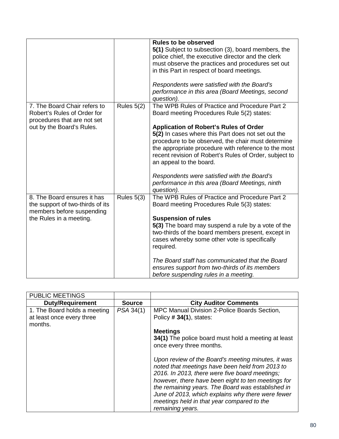|                                                                                            |              | <b>Rules to be observed</b><br>5(1) Subject to subsection (3), board members, the<br>police chief, the executive director and the clerk<br>must observe the practices and procedures set out<br>in this Part in respect of board meetings.<br>Respondents were satisfied with the Board's<br>performance in this area (Board Meetings, second<br>question).                                              |
|--------------------------------------------------------------------------------------------|--------------|----------------------------------------------------------------------------------------------------------------------------------------------------------------------------------------------------------------------------------------------------------------------------------------------------------------------------------------------------------------------------------------------------------|
| 7. The Board Chair refers to<br>Robert's Rules of Order for<br>procedures that are not set | Rules $5(2)$ | The WPB Rules of Practice and Procedure Part 2<br>Board meeting Procedures Rule 5(2) states:                                                                                                                                                                                                                                                                                                             |
| out by the Board's Rules.                                                                  |              | <b>Application of Robert's Rules of Order</b><br>5(2) In cases where this Part does not set out the<br>procedure to be observed, the chair must determine<br>the appropriate procedure with reference to the most<br>recent revision of Robert's Rules of Order, subject to<br>an appeal to the board.<br>Respondents were satisfied with the Board's<br>performance in this area (Board Meetings, ninth |
| 8. The Board ensures it has                                                                | Rules $5(3)$ | question).<br>The WPB Rules of Practice and Procedure Part 2                                                                                                                                                                                                                                                                                                                                             |
| the support of two-thirds of its<br>members before suspending                              |              | Board meeting Procedures Rule 5(3) states:                                                                                                                                                                                                                                                                                                                                                               |
| the Rules in a meeting.                                                                    |              | <b>Suspension of rules</b><br>5(3) The board may suspend a rule by a vote of the<br>two-thirds of the board members present, except in<br>cases whereby some other vote is specifically<br>required.                                                                                                                                                                                                     |
|                                                                                            |              | The Board staff has communicated that the Board<br>ensures support from two-thirds of its members<br>before suspending rules in a meeting.                                                                                                                                                                                                                                                               |

| <b>PUBLIC MEETINGS</b>                                               |               |                                                                                                                                                                                                                                                                                                                                                                                           |
|----------------------------------------------------------------------|---------------|-------------------------------------------------------------------------------------------------------------------------------------------------------------------------------------------------------------------------------------------------------------------------------------------------------------------------------------------------------------------------------------------|
| <b>Duty/Requirement</b>                                              | <b>Source</b> | <b>City Auditor Comments</b>                                                                                                                                                                                                                                                                                                                                                              |
| 1. The Board holds a meeting<br>at least once every three<br>months. | PSA 34(1)     | MPC Manual Division 2-Police Boards Section,<br>Policy $# 34(1)$ , states:                                                                                                                                                                                                                                                                                                                |
|                                                                      |               | <b>Meetings</b>                                                                                                                                                                                                                                                                                                                                                                           |
|                                                                      |               | 34(1) The police board must hold a meeting at least<br>once every three months.                                                                                                                                                                                                                                                                                                           |
|                                                                      |               | Upon review of the Board's meeting minutes, it was<br>noted that meetings have been held from 2013 to<br>2016. In 2013, there were five board meetings;<br>however, there have been eight to ten meetings for<br>the remaining years. The Board was established in<br>June of 2013, which explains why there were fewer<br>meetings held in that year compared to the<br>remaining years. |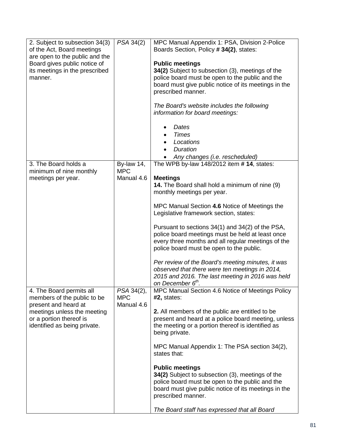| 2. Subject to subsection 34(3)<br>of the Act, Board meetings   | PSA 34(2)                | MPC Manual Appendix 1: PSA, Division 2-Police<br>Boards Section, Policy #34(2), states:                |
|----------------------------------------------------------------|--------------------------|--------------------------------------------------------------------------------------------------------|
| are open to the public and the                                 |                          |                                                                                                        |
| Board gives public notice of<br>its meetings in the prescribed |                          | <b>Public meetings</b><br>34(2) Subject to subsection (3), meetings of the                             |
| manner.                                                        |                          | police board must be open to the public and the                                                        |
|                                                                |                          | board must give public notice of its meetings in the<br>prescribed manner.                             |
|                                                                |                          |                                                                                                        |
|                                                                |                          | The Board's website includes the following                                                             |
|                                                                |                          | information for board meetings:                                                                        |
|                                                                |                          | Dates                                                                                                  |
|                                                                |                          | <b>Times</b><br>Locations                                                                              |
|                                                                |                          | <b>Duration</b>                                                                                        |
|                                                                |                          | Any changes (i.e. rescheduled)                                                                         |
| 3. The Board holds a<br>minimum of nine monthly                | By-law 14,<br><b>MPC</b> | The WPB by-law 148/2012 item # 14, states:                                                             |
| meetings per year.                                             | Manual 4.6               | <b>Meetings</b>                                                                                        |
|                                                                |                          | 14. The Board shall hold a minimum of nine (9)<br>monthly meetings per year.                           |
|                                                                |                          |                                                                                                        |
|                                                                |                          | MPC Manual Section 4.6 Notice of Meetings the<br>Legislative framework section, states:                |
|                                                                |                          |                                                                                                        |
|                                                                |                          | Pursuant to sections 34(1) and 34(2) of the PSA,                                                       |
|                                                                |                          | police board meetings must be held at least once<br>every three months and all regular meetings of the |
|                                                                |                          | police board must be open to the public.                                                               |
|                                                                |                          | Per review of the Board's meeting minutes, it was                                                      |
|                                                                |                          | observed that there were ten meetings in 2014,<br>2015 and 2016. The last meeting in 2016 was held     |
|                                                                |                          | on December 6 <sup>th</sup> .                                                                          |
| 4. The Board permits all<br>members of the public to be        | PSA 34(2),<br><b>MPC</b> | MPC Manual Section 4.6 Notice of Meetings Policy<br>$#2$ , states:                                     |
| present and heard at                                           | Manual 4.6               |                                                                                                        |
| meetings unless the meeting<br>or a portion thereof is         |                          | 2. All members of the public are entitled to be<br>present and heard at a police board meeting, unless |
| identified as being private.                                   |                          | the meeting or a portion thereof is identified as                                                      |
|                                                                |                          | being private.                                                                                         |
|                                                                |                          | MPC Manual Appendix 1: The PSA section 34(2),<br>states that:                                          |
|                                                                |                          |                                                                                                        |
|                                                                |                          | <b>Public meetings</b><br>34(2) Subject to subsection (3), meetings of the                             |
|                                                                |                          | police board must be open to the public and the                                                        |
|                                                                |                          | board must give public notice of its meetings in the<br>prescribed manner.                             |
|                                                                |                          | The Board staff has expressed that all Board                                                           |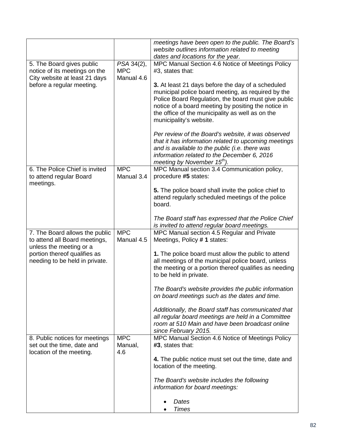|                                                                                                                                                              |                                        | meetings have been open to the public. The Board's<br>website outlines information related to meeting<br>dates and locations for the year.                                                                                                                                                                                                                                                                                                                                                                                                                                                  |
|--------------------------------------------------------------------------------------------------------------------------------------------------------------|----------------------------------------|---------------------------------------------------------------------------------------------------------------------------------------------------------------------------------------------------------------------------------------------------------------------------------------------------------------------------------------------------------------------------------------------------------------------------------------------------------------------------------------------------------------------------------------------------------------------------------------------|
| 5. The Board gives public<br>notice of its meetings on the<br>City website at least 21 days<br>before a regular meeting.                                     | PSA 34(2),<br><b>MPC</b><br>Manual 4.6 | MPC Manual Section 4.6 Notice of Meetings Policy<br>#3, states that:<br>3. At least 21 days before the day of a scheduled<br>municipal police board meeting, as required by the<br>Police Board Regulation, the board must give public<br>notice of a board meeting by positing the notice in<br>the office of the municipality as well as on the<br>municipality's website.<br>Per review of the Board's website, it was observed<br>that it has information related to upcoming meetings<br>and is available to the public (i.e. there was<br>information related to the December 6, 2016 |
|                                                                                                                                                              |                                        | meeting by November 15 <sup>th</sup> ).                                                                                                                                                                                                                                                                                                                                                                                                                                                                                                                                                     |
| 6. The Police Chief is invited<br>to attend regular Board<br>meetings.                                                                                       | <b>MPC</b><br>Manual 3.4               | MPC Manual section 3.4 Communication policy,<br>procedure #5 states:                                                                                                                                                                                                                                                                                                                                                                                                                                                                                                                        |
|                                                                                                                                                              |                                        | 5. The police board shall invite the police chief to<br>attend regularly scheduled meetings of the police<br>board.                                                                                                                                                                                                                                                                                                                                                                                                                                                                         |
|                                                                                                                                                              |                                        | The Board staff has expressed that the Police Chief<br>is invited to attend regular board meetings.                                                                                                                                                                                                                                                                                                                                                                                                                                                                                         |
| 7. The Board allows the public<br>to attend all Board meetings,<br>unless the meeting or a<br>portion thereof qualifies as<br>needing to be held in private. | <b>MPC</b><br>Manual 4.5               | MPC Manual section 4.5 Regular and Private<br>Meetings, Policy #1 states:<br>1. The police board must allow the public to attend<br>all meetings of the municipal police board, unless                                                                                                                                                                                                                                                                                                                                                                                                      |
|                                                                                                                                                              |                                        | the meeting or a portion thereof qualifies as needing<br>to be held in private.                                                                                                                                                                                                                                                                                                                                                                                                                                                                                                             |
|                                                                                                                                                              |                                        | The Board's website provides the public information<br>on board meetings such as the dates and time.                                                                                                                                                                                                                                                                                                                                                                                                                                                                                        |
|                                                                                                                                                              |                                        | Additionally, the Board staff has communicated that<br>all regular board meetings are held in a Committee<br>room at 510 Main and have been broadcast online<br>since February 2015.                                                                                                                                                                                                                                                                                                                                                                                                        |
| 8. Public notices for meetings<br>set out the time, date and<br>location of the meeting.                                                                     | <b>MPC</b><br>Manual,<br>4.6           | MPC Manual Section 4.6 Notice of Meetings Policy<br>#3, states that:                                                                                                                                                                                                                                                                                                                                                                                                                                                                                                                        |
|                                                                                                                                                              |                                        | 4. The public notice must set out the time, date and<br>location of the meeting.                                                                                                                                                                                                                                                                                                                                                                                                                                                                                                            |
|                                                                                                                                                              |                                        | The Board's website includes the following<br>information for board meetings:                                                                                                                                                                                                                                                                                                                                                                                                                                                                                                               |
|                                                                                                                                                              |                                        | Dates                                                                                                                                                                                                                                                                                                                                                                                                                                                                                                                                                                                       |
|                                                                                                                                                              |                                        | <b>Times</b>                                                                                                                                                                                                                                                                                                                                                                                                                                                                                                                                                                                |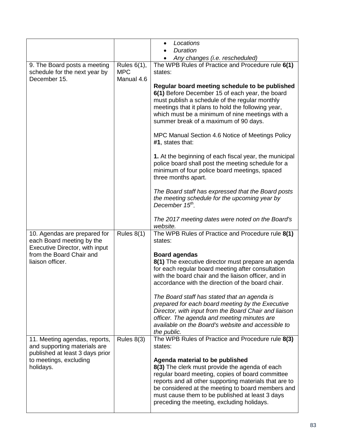|                                                                                                  |                                         | Locations<br>$\bullet$                                                                                                                                                                                                                                                                                                                                |
|--------------------------------------------------------------------------------------------------|-----------------------------------------|-------------------------------------------------------------------------------------------------------------------------------------------------------------------------------------------------------------------------------------------------------------------------------------------------------------------------------------------------------|
|                                                                                                  |                                         | <b>Duration</b><br>Any changes (i.e. rescheduled)                                                                                                                                                                                                                                                                                                     |
| 9. The Board posts a meeting<br>schedule for the next year by<br>December 15.                    | Rules 6(1),<br><b>MPC</b><br>Manual 4.6 | The WPB Rules of Practice and Procedure rule 6(1)<br>states:<br>Regular board meeting schedule to be published                                                                                                                                                                                                                                        |
|                                                                                                  |                                         | 6(1) Before December 15 of each year, the board<br>must publish a schedule of the regular monthly<br>meetings that it plans to hold the following year,<br>which must be a minimum of nine meetings with a<br>summer break of a maximum of 90 days.                                                                                                   |
|                                                                                                  |                                         | MPC Manual Section 4.6 Notice of Meetings Policy<br>#1, states that:                                                                                                                                                                                                                                                                                  |
|                                                                                                  |                                         | 1. At the beginning of each fiscal year, the municipal<br>police board shall post the meeting schedule for a<br>minimum of four police board meetings, spaced<br>three months apart.                                                                                                                                                                  |
|                                                                                                  |                                         | The Board staff has expressed that the Board posts<br>the meeting schedule for the upcoming year by<br>December 15 <sup>th</sup> .                                                                                                                                                                                                                    |
|                                                                                                  |                                         | The 2017 meeting dates were noted on the Board's<br>website.                                                                                                                                                                                                                                                                                          |
| 10. Agendas are prepared for<br>each Board meeting by the<br>Executive Director, with input      | Rules $8(1)$                            | The WPB Rules of Practice and Procedure rule 8(1)<br>states:                                                                                                                                                                                                                                                                                          |
| from the Board Chair and<br>liaison officer.                                                     |                                         | <b>Board agendas</b><br>8(1) The executive director must prepare an agenda<br>for each regular board meeting after consultation<br>with the board chair and the liaison officer, and in<br>accordance with the direction of the board chair.                                                                                                          |
|                                                                                                  |                                         | The Board staff has stated that an agenda is<br>prepared for each board meeting by the Executive<br>Director, with input from the Board Chair and liaison<br>officer. The agenda and meeting minutes are<br>available on the Board's website and accessible to<br>the public.                                                                         |
| 11. Meeting agendas, reports,<br>and supporting materials are<br>published at least 3 days prior | Rules $8(3)$                            | The WPB Rules of Practice and Procedure rule 8(3)<br>states:                                                                                                                                                                                                                                                                                          |
| to meetings, excluding<br>holidays.                                                              |                                         | Agenda material to be published<br>8(3) The clerk must provide the agenda of each<br>regular board meeting, copies of board committee<br>reports and all other supporting materials that are to<br>be considered at the meeting to board members and<br>must cause them to be published at least 3 days<br>preceding the meeting, excluding holidays. |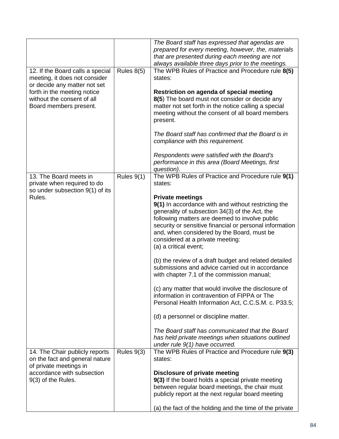|                                                           |              | The Board staff has expressed that agendas are                                                         |
|-----------------------------------------------------------|--------------|--------------------------------------------------------------------------------------------------------|
|                                                           |              | prepared for every meeting, however, the, materials                                                    |
|                                                           |              | that are presented during each meeting are not                                                         |
|                                                           |              | always available three days prior to the meetings.                                                     |
| 12. If the Board calls a special                          | Rules $8(5)$ | The WPB Rules of Practice and Procedure rule 8(5)                                                      |
| meeting, it does not consider                             |              | states:                                                                                                |
| or decide any matter not set                              |              |                                                                                                        |
| forth in the meeting notice<br>without the consent of all |              | Restriction on agenda of special meeting                                                               |
| Board members present.                                    |              | 8(5) The board must not consider or decide any<br>matter not set forth in the notice calling a special |
|                                                           |              | meeting without the consent of all board members                                                       |
|                                                           |              | present.                                                                                               |
|                                                           |              |                                                                                                        |
|                                                           |              | The Board staff has confirmed that the Board is in                                                     |
|                                                           |              | compliance with this requirement.                                                                      |
|                                                           |              |                                                                                                        |
|                                                           |              | Respondents were satisfied with the Board's                                                            |
|                                                           |              | performance in this area (Board Meetings, first                                                        |
|                                                           |              | question).                                                                                             |
| 13. The Board meets in                                    | Rules $9(1)$ | The WPB Rules of Practice and Procedure rule 9(1)                                                      |
| private when required to do                               |              | states:                                                                                                |
| so under subsection 9(1) of its                           |              |                                                                                                        |
| Rules.                                                    |              | <b>Private meetings</b>                                                                                |
|                                                           |              | 9(1) In accordance with and without restricting the                                                    |
|                                                           |              | generality of subsection 34(3) of the Act, the                                                         |
|                                                           |              | following matters are deemed to involve public                                                         |
|                                                           |              | security or sensitive financial or personal information                                                |
|                                                           |              | and, when considered by the Board, must be<br>considered at a private meeting:                         |
|                                                           |              | (a) a critical event;                                                                                  |
|                                                           |              |                                                                                                        |
|                                                           |              | (b) the review of a draft budget and related detailed                                                  |
|                                                           |              | submissions and advice carried out in accordance                                                       |
|                                                           |              | with chapter 7.1 of the commission manual;                                                             |
|                                                           |              |                                                                                                        |
|                                                           |              | (c) any matter that would involve the disclosure of                                                    |
|                                                           |              | information in contravention of FIPPA or The                                                           |
|                                                           |              | Personal Health Information Act, C.C.S.M. c. P33.5;                                                    |
|                                                           |              |                                                                                                        |
|                                                           |              | (d) a personnel or discipline matter.                                                                  |
|                                                           |              | The Board staff has communicated that the Board                                                        |
|                                                           |              | has held private meetings when situations outlined                                                     |
|                                                           |              | under rule $9(1)$ have occurred.                                                                       |
| 14. The Chair publicly reports                            | Rules $9(3)$ | The WPB Rules of Practice and Procedure rule 9(3)                                                      |
| on the fact and general nature                            |              | states:                                                                                                |
| of private meetings in                                    |              |                                                                                                        |
| accordance with subsection                                |              | Disclosure of private meeting                                                                          |
| 9(3) of the Rules.                                        |              | 9(3) If the board holds a special private meeting                                                      |
|                                                           |              | between regular board meetings, the chair must                                                         |
|                                                           |              | publicly report at the next regular board meeting                                                      |
|                                                           |              |                                                                                                        |
|                                                           |              | (a) the fact of the holding and the time of the private                                                |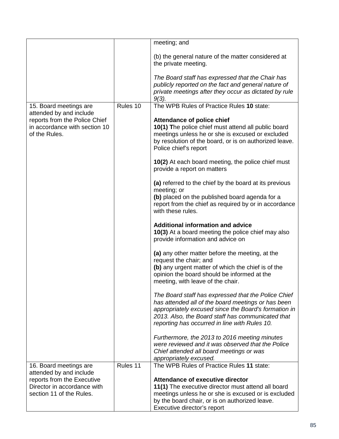|                                                          |          | meeting; and                                                                                              |
|----------------------------------------------------------|----------|-----------------------------------------------------------------------------------------------------------|
|                                                          |          | (b) the general nature of the matter considered at<br>the private meeting.                                |
|                                                          |          | The Board staff has expressed that the Chair has                                                          |
|                                                          |          | publicly reported on the fact and general nature of                                                       |
|                                                          |          | private meetings after they occur as dictated by rule<br>$9(3)$ .                                         |
| 15. Board meetings are                                   | Rules 10 | The WPB Rules of Practice Rules 10 state:                                                                 |
| attended by and include<br>reports from the Police Chief |          | <b>Attendance of police chief</b>                                                                         |
| in accordance with section 10                            |          | 10(1) The police chief must attend all public board                                                       |
| of the Rules.                                            |          | meetings unless he or she is excused or excluded                                                          |
|                                                          |          | by resolution of the board, or is on authorized leave.<br>Police chief's report                           |
|                                                          |          | 10(2) At each board meeting, the police chief must                                                        |
|                                                          |          | provide a report on matters                                                                               |
|                                                          |          | (a) referred to the chief by the board at its previous                                                    |
|                                                          |          | meeting; or                                                                                               |
|                                                          |          | (b) placed on the published board agenda for a<br>report from the chief as required by or in accordance   |
|                                                          |          | with these rules.                                                                                         |
|                                                          |          | <b>Additional information and advice</b>                                                                  |
|                                                          |          | 10(3) At a board meeting the police chief may also                                                        |
|                                                          |          | provide information and advice on                                                                         |
|                                                          |          | (a) any other matter before the meeting, at the                                                           |
|                                                          |          | request the chair; and<br>(b) any urgent matter of which the chief is of the                              |
|                                                          |          | opinion the board should be informed at the                                                               |
|                                                          |          | meeting, with leave of the chair.                                                                         |
|                                                          |          | The Board staff has expressed that the Police Chief                                                       |
|                                                          |          | has attended all of the board meetings or has been                                                        |
|                                                          |          | appropriately excused since the Board's formation in<br>2013. Also, the Board staff has communicated that |
|                                                          |          | reporting has occurred in line with Rules 10.                                                             |
|                                                          |          |                                                                                                           |
|                                                          |          | Furthermore, the 2013 to 2016 meeting minutes<br>were reviewed and it was observed that the Police        |
|                                                          |          | Chief attended all board meetings or was                                                                  |
|                                                          |          | appropriately excused.                                                                                    |
| 16. Board meetings are                                   | Rules 11 | The WPB Rules of Practice Rules 11 state:                                                                 |
| attended by and include<br>reports from the Executive    |          | Attendance of executive director                                                                          |
| Director in accordance with                              |          | 11(1) The executive director must attend all board                                                        |
| section 11 of the Rules.                                 |          | meetings unless he or she is excused or is excluded                                                       |
|                                                          |          | by the board chair, or is on authorized leave.                                                            |
|                                                          |          | Executive director's report                                                                               |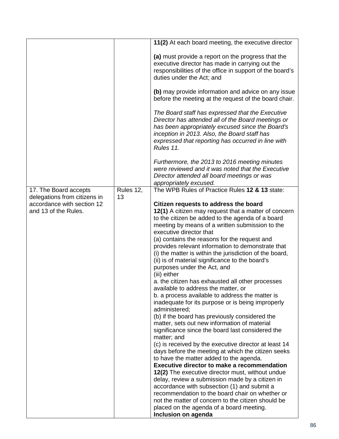|                              |           | 11(2) At each board meeting, the executive director                                                                                                                                                                                                                           |
|------------------------------|-----------|-------------------------------------------------------------------------------------------------------------------------------------------------------------------------------------------------------------------------------------------------------------------------------|
|                              |           |                                                                                                                                                                                                                                                                               |
|                              |           | (a) must provide a report on the progress that the<br>executive director has made in carrying out the<br>responsibilities of the office in support of the board's<br>duties under the Act; and                                                                                |
|                              |           | (b) may provide information and advice on any issue<br>before the meeting at the request of the board chair.                                                                                                                                                                  |
|                              |           | The Board staff has expressed that the Executive<br>Director has attended all of the Board meetings or<br>has been appropriately excused since the Board's<br>inception in 2013. Also, the Board staff has<br>expressed that reporting has occurred in line with<br>Rules 11. |
|                              |           | Furthermore, the 2013 to 2016 meeting minutes<br>were reviewed and it was noted that the Executive<br>Director attended all board meetings or was<br>appropriately excused.                                                                                                   |
| 17. The Board accepts        | Rules 12, | The WPB Rules of Practice Rules 12 & 13 state:                                                                                                                                                                                                                                |
| delegations from citizens in | 13        |                                                                                                                                                                                                                                                                               |
| accordance with section 12   |           | Citizen requests to address the board                                                                                                                                                                                                                                         |
| and 13 of the Rules.         |           | 12(1) A citizen may request that a matter of concern                                                                                                                                                                                                                          |
|                              |           | to the citizen be added to the agenda of a board                                                                                                                                                                                                                              |
|                              |           | meeting by means of a written submission to the<br>executive director that                                                                                                                                                                                                    |
|                              |           | (a) contains the reasons for the request and                                                                                                                                                                                                                                  |
|                              |           | provides relevant information to demonstrate that                                                                                                                                                                                                                             |
|                              |           | (i) the matter is within the jurisdiction of the board,                                                                                                                                                                                                                       |
|                              |           | (ii) is of material significance to the board's                                                                                                                                                                                                                               |
|                              |           | purposes under the Act, and                                                                                                                                                                                                                                                   |
|                              |           | (iii) either                                                                                                                                                                                                                                                                  |
|                              |           | a. the citizen has exhausted all other processes                                                                                                                                                                                                                              |
|                              |           | available to address the matter, or                                                                                                                                                                                                                                           |
|                              |           | b. a process available to address the matter is<br>inadequate for its purpose or is being improperly<br>administered;                                                                                                                                                         |
|                              |           | (b) if the board has previously considered the                                                                                                                                                                                                                                |
|                              |           | matter, sets out new information of material                                                                                                                                                                                                                                  |
|                              |           | significance since the board last considered the                                                                                                                                                                                                                              |
|                              |           | matter; and<br>(c) is received by the executive director at least 14                                                                                                                                                                                                          |
|                              |           | days before the meeting at which the citizen seeks                                                                                                                                                                                                                            |
|                              |           | to have the matter added to the agenda.                                                                                                                                                                                                                                       |
|                              |           | <b>Executive director to make a recommendation</b>                                                                                                                                                                                                                            |
|                              |           | 12(2) The executive director must, without undue                                                                                                                                                                                                                              |
|                              |           | delay, review a submission made by a citizen in                                                                                                                                                                                                                               |
|                              |           | accordance with subsection (1) and submit a                                                                                                                                                                                                                                   |
|                              |           | recommendation to the board chair on whether or                                                                                                                                                                                                                               |
|                              |           | not the matter of concern to the citizen should be                                                                                                                                                                                                                            |
|                              |           | placed on the agenda of a board meeting.                                                                                                                                                                                                                                      |
|                              |           | Inclusion on agenda                                                                                                                                                                                                                                                           |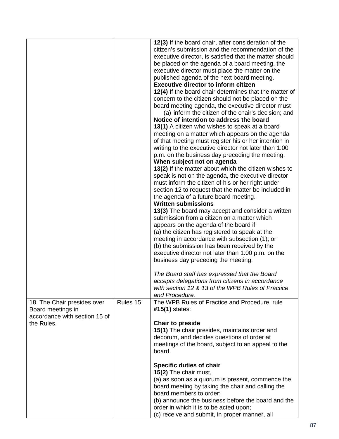|                                                                                                 |          | 12(3) If the board chair, after consideration of the<br>citizen's submission and the recommendation of the<br>executive director, is satisfied that the matter should<br>be placed on the agenda of a board meeting, the<br>executive director must place the matter on the<br>published agenda of the next board meeting.<br><b>Executive director to inform citizen</b><br>12(4) If the board chair determines that the matter of<br>concern to the citizen should not be placed on the<br>board meeting agenda, the executive director must<br>(a) inform the citizen of the chair's decision; and<br>Notice of intention to address the board<br>13(1) A citizen who wishes to speak at a board<br>meeting on a matter which appears on the agenda<br>of that meeting must register his or her intention in<br>writing to the executive director not later than 1:00<br>p.m. on the business day preceding the meeting.<br>When subject not on agenda<br>13(2) If the matter about which the citizen wishes to<br>speak is not on the agenda, the executive director<br>must inform the citizen of his or her right under<br>section 12 to request that the matter be included in<br>the agenda of a future board meeting.<br><b>Written submissions</b><br>13(3) The board may accept and consider a written<br>submission from a citizen on a matter which<br>appears on the agenda of the board if<br>(a) the citizen has registered to speak at the<br>meeting in accordance with subsection (1); or<br>(b) the submission has been received by the<br>executive director not later than 1:00 p.m. on the<br>business day preceding the meeting.<br>The Board staff has expressed that the Board<br>accepts delegations from citizens in accordance<br>with section 12 & 13 of the WPB Rules of Practice<br>and Procedure. |
|-------------------------------------------------------------------------------------------------|----------|------------------------------------------------------------------------------------------------------------------------------------------------------------------------------------------------------------------------------------------------------------------------------------------------------------------------------------------------------------------------------------------------------------------------------------------------------------------------------------------------------------------------------------------------------------------------------------------------------------------------------------------------------------------------------------------------------------------------------------------------------------------------------------------------------------------------------------------------------------------------------------------------------------------------------------------------------------------------------------------------------------------------------------------------------------------------------------------------------------------------------------------------------------------------------------------------------------------------------------------------------------------------------------------------------------------------------------------------------------------------------------------------------------------------------------------------------------------------------------------------------------------------------------------------------------------------------------------------------------------------------------------------------------------------------------------------------------------------------------------------------------------------------------------------------------------------------------|
| 18. The Chair presides over<br>Board meetings in<br>accordance with section 15 of<br>the Rules. | Rules 15 | The WPB Rules of Practice and Procedure, rule<br>$#15(1)$ states:<br><b>Chair to preside</b><br>15(1) The chair presides, maintains order and<br>decorum, and decides questions of order at<br>meetings of the board, subject to an appeal to the<br>board.                                                                                                                                                                                                                                                                                                                                                                                                                                                                                                                                                                                                                                                                                                                                                                                                                                                                                                                                                                                                                                                                                                                                                                                                                                                                                                                                                                                                                                                                                                                                                                        |
|                                                                                                 |          | <b>Specific duties of chair</b><br>15(2) The chair must,<br>(a) as soon as a quorum is present, commence the<br>board meeting by taking the chair and calling the<br>board members to order;<br>(b) announce the business before the board and the<br>order in which it is to be acted upon;<br>(c) receive and submit, in proper manner, all                                                                                                                                                                                                                                                                                                                                                                                                                                                                                                                                                                                                                                                                                                                                                                                                                                                                                                                                                                                                                                                                                                                                                                                                                                                                                                                                                                                                                                                                                      |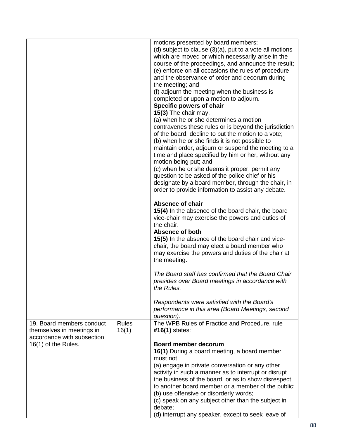|                                                                                      |                       | motions presented by board members;<br>(d) subject to clause $(3)(a)$ , put to a vote all motions<br>which are moved or which necessarily arise in the<br>course of the proceedings, and announce the result;<br>(e) enforce on all occasions the rules of procedure<br>and the observance of order and decorum during<br>the meeting; and<br>(f) adjourn the meeting when the business is<br>completed or upon a motion to adjourn.<br>Specific powers of chair<br>15(3) The chair may,<br>(a) when he or she determines a motion<br>contravenes these rules or is beyond the jurisdiction<br>of the board, decline to put the motion to a vote;<br>(b) when he or she finds it is not possible to<br>maintain order, adjourn or suspend the meeting to a<br>time and place specified by him or her, without any<br>motion being put; and<br>(c) when he or she deems it proper, permit any<br>question to be asked of the police chief or his<br>designate by a board member, through the chair, in<br>order to provide information to assist any debate.<br><b>Absence of chair</b><br>15(4) In the absence of the board chair, the board<br>vice-chair may exercise the powers and duties of<br>the chair.<br>Absence of both<br>15(5) In the absence of the board chair and vice-<br>chair, the board may elect a board member who<br>may exercise the powers and duties of the chair at<br>the meeting.<br>The Board staff has confirmed that the Board Chair<br>presides over Board meetings in accordance with |
|--------------------------------------------------------------------------------------|-----------------------|------------------------------------------------------------------------------------------------------------------------------------------------------------------------------------------------------------------------------------------------------------------------------------------------------------------------------------------------------------------------------------------------------------------------------------------------------------------------------------------------------------------------------------------------------------------------------------------------------------------------------------------------------------------------------------------------------------------------------------------------------------------------------------------------------------------------------------------------------------------------------------------------------------------------------------------------------------------------------------------------------------------------------------------------------------------------------------------------------------------------------------------------------------------------------------------------------------------------------------------------------------------------------------------------------------------------------------------------------------------------------------------------------------------------------------------------------------------------------------------------------------------------|
|                                                                                      |                       | the Rules.<br>Respondents were satisfied with the Board's<br>performance in this area (Board Meetings, second<br>question).                                                                                                                                                                                                                                                                                                                                                                                                                                                                                                                                                                                                                                                                                                                                                                                                                                                                                                                                                                                                                                                                                                                                                                                                                                                                                                                                                                                            |
|                                                                                      |                       |                                                                                                                                                                                                                                                                                                                                                                                                                                                                                                                                                                                                                                                                                                                                                                                                                                                                                                                                                                                                                                                                                                                                                                                                                                                                                                                                                                                                                                                                                                                        |
| 19. Board members conduct<br>themselves in meetings in<br>accordance with subsection | <b>Rules</b><br>16(1) | The WPB Rules of Practice and Procedure, rule<br>#16(1) states:                                                                                                                                                                                                                                                                                                                                                                                                                                                                                                                                                                                                                                                                                                                                                                                                                                                                                                                                                                                                                                                                                                                                                                                                                                                                                                                                                                                                                                                        |
| 16(1) of the Rules.                                                                  |                       | <b>Board member decorum</b><br>16(1) During a board meeting, a board member<br>must not<br>(a) engage in private conversation or any other<br>activity in such a manner as to interrupt or disrupt<br>the business of the board, or as to show disrespect<br>to another board member or a member of the public;<br>(b) use offensive or disorderly words;<br>(c) speak on any subject other than the subject in<br>debate;<br>(d) interrupt any speaker, except to seek leave of                                                                                                                                                                                                                                                                                                                                                                                                                                                                                                                                                                                                                                                                                                                                                                                                                                                                                                                                                                                                                                       |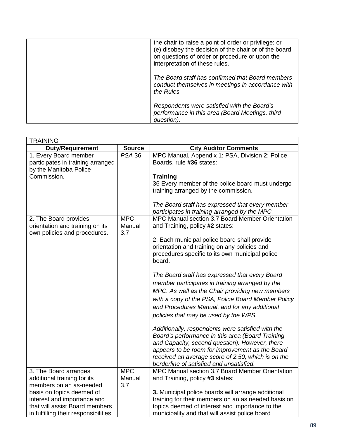| the chair to raise a point of order or privilege; or<br>(e) disobey the decision of the chair or of the board<br>on questions of order or procedure or upon the<br>interpretation of these rules. |
|---------------------------------------------------------------------------------------------------------------------------------------------------------------------------------------------------|
| The Board staff has confirmed that Board members<br>conduct themselves in meetings in accordance with<br>the Rules.                                                                               |
| Respondents were satisfied with the Board's<br>performance in this area (Board Meetings, third<br>question).                                                                                      |

| <b>TRAINING</b>                                                                          |                             |                                                                                                |
|------------------------------------------------------------------------------------------|-----------------------------|------------------------------------------------------------------------------------------------|
| <b>Duty/Requirement</b>                                                                  | <b>Source</b>               | <b>City Auditor Comments</b>                                                                   |
| 1. Every Board member<br>participates in training arranged<br>by the Manitoba Police     | PSA <sub>36</sub>           | MPC Manual, Appendix 1: PSA, Division 2: Police<br>Boards, rule #36 states:                    |
| Commission.                                                                              |                             | <b>Training</b>                                                                                |
|                                                                                          |                             | 36 Every member of the police board must undergo                                               |
|                                                                                          |                             | training arranged by the commission.                                                           |
|                                                                                          |                             | The Board staff has expressed that every member                                                |
|                                                                                          |                             | participates in training arranged by the MPC.                                                  |
| 2. The Board provides<br>orientation and training on its<br>own policies and procedures. | <b>MPC</b><br>Manual<br>3.7 | MPC Manual section 3.7 Board Member Orientation<br>and Training, policy #2 states:             |
|                                                                                          |                             | 2. Each municipal police board shall provide                                                   |
|                                                                                          |                             | orientation and training on any policies and                                                   |
|                                                                                          |                             | procedures specific to its own municipal police<br>board.                                      |
|                                                                                          |                             | The Board staff has expressed that every Board                                                 |
|                                                                                          |                             | member participates in training arranged by the                                                |
|                                                                                          |                             | MPC. As well as the Chair providing new members                                                |
|                                                                                          |                             | with a copy of the PSA, Police Board Member Policy                                             |
|                                                                                          |                             | and Procedures Manual, and for any additional                                                  |
|                                                                                          |                             | policies that may be used by the WPS.                                                          |
|                                                                                          |                             | Additionally, respondents were satisfied with the                                              |
|                                                                                          |                             | Board's performance in this area (Board Training                                               |
|                                                                                          |                             | and Capacity, second question). However, there                                                 |
|                                                                                          |                             | appears to be room for improvement as the Board                                                |
|                                                                                          |                             | received an average score of 2.50, which is on the<br>borderline of satisfied and unsatisfied. |
| 3. The Board arranges                                                                    | <b>MPC</b>                  | MPC Manual section 3.7 Board Member Orientation                                                |
| additional training for its                                                              | Manual                      | and Training, policy #3 states:                                                                |
| members on an as-needed                                                                  | 3.7                         |                                                                                                |
| basis on topics deemed of                                                                |                             | 3. Municipal police boards will arrange additional                                             |
| interest and importance and                                                              |                             | training for their members on an as needed basis on                                            |
| that will assist Board members                                                           |                             | topics deemed of interest and importance to the                                                |
| in fulfilling their responsibilities                                                     |                             | municipality and that will assist police board                                                 |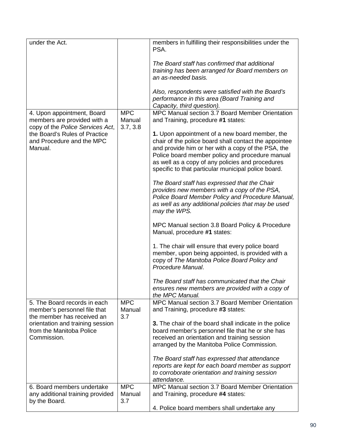| under the Act.                                                                                |                                  | members in fulfilling their responsibilities under the<br>PSA.                                                                                                                                                                                                                                                              |
|-----------------------------------------------------------------------------------------------|----------------------------------|-----------------------------------------------------------------------------------------------------------------------------------------------------------------------------------------------------------------------------------------------------------------------------------------------------------------------------|
|                                                                                               |                                  | The Board staff has confirmed that additional<br>training has been arranged for Board members on<br>an as-needed basis.                                                                                                                                                                                                     |
|                                                                                               |                                  | Also, respondents were satisfied with the Board's<br>performance in this area (Board Training and<br>Capacity, third question).                                                                                                                                                                                             |
| 4. Upon appointment, Board<br>members are provided with a<br>copy of the Police Services Act, | <b>MPC</b><br>Manual<br>3.7, 3.8 | MPC Manual section 3.7 Board Member Orientation<br>and Training, procedure #1 states:                                                                                                                                                                                                                                       |
| the Board's Rules of Practice<br>and Procedure and the MPC<br>Manual.                         |                                  | 1. Upon appointment of a new board member, the<br>chair of the police board shall contact the appointee<br>and provide him or her with a copy of the PSA, the<br>Police board member policy and procedure manual<br>as well as a copy of any policies and procedures<br>specific to that particular municipal police board. |
|                                                                                               |                                  | The Board staff has expressed that the Chair<br>provides new members with a copy of the PSA,<br>Police Board Member Policy and Procedure Manual,<br>as well as any additional policies that may be used<br>may the WPS.                                                                                                     |
|                                                                                               |                                  | MPC Manual section 3.8 Board Policy & Procedure<br>Manual, procedure #1 states:                                                                                                                                                                                                                                             |
|                                                                                               |                                  | 1. The chair will ensure that every police board<br>member, upon being appointed, is provided with a<br>copy of The Manitoba Police Board Policy and<br>Procedure Manual.                                                                                                                                                   |
|                                                                                               |                                  | The Board staff has communicated that the Chair<br>ensures new members are provided with a copy of<br>the MPC Manual.                                                                                                                                                                                                       |
| 5. The Board records in each<br>member's personnel file that<br>the member has received an    | <b>MPC</b><br>Manual<br>3.7      | MPC Manual section 3.7 Board Member Orientation<br>and Training, procedure #3 states:                                                                                                                                                                                                                                       |
| orientation and training session<br>from the Manitoba Police<br>Commission.                   |                                  | 3. The chair of the board shall indicate in the police<br>board member's personnel file that he or she has<br>received an orientation and training session<br>arranged by the Manitoba Police Commission.                                                                                                                   |
|                                                                                               |                                  | The Board staff has expressed that attendance<br>reports are kept for each board member as support<br>to corroborate orientation and training session<br>attendance.                                                                                                                                                        |
| 6. Board members undertake<br>any additional training provided<br>by the Board.               | <b>MPC</b><br>Manual<br>3.7      | MPC Manual section 3.7 Board Member Orientation<br>and Training, procedure #4 states:                                                                                                                                                                                                                                       |
|                                                                                               |                                  | 4. Police board members shall undertake any                                                                                                                                                                                                                                                                                 |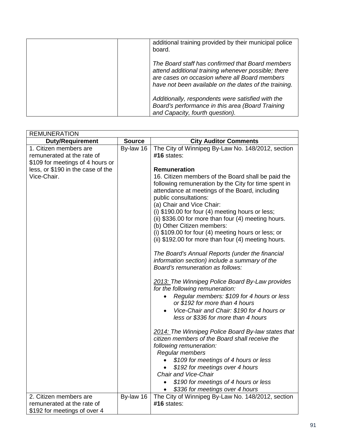| additional training provided by their municipal police<br>board.                                                                                                                                                  |
|-------------------------------------------------------------------------------------------------------------------------------------------------------------------------------------------------------------------|
| The Board staff has confirmed that Board members<br>attend additional training whenever possible; there<br>are cases on occasion where all Board members<br>have not been available on the dates of the training. |
| Additionally, respondents were satisfied with the<br>Board's performance in this area (Board Training<br>and Capacity, fourth question).                                                                          |

| <b>REMUNERATION</b>                                                                      |               |                                                                                                                                                                                                                                                                                                                                                                                                                    |
|------------------------------------------------------------------------------------------|---------------|--------------------------------------------------------------------------------------------------------------------------------------------------------------------------------------------------------------------------------------------------------------------------------------------------------------------------------------------------------------------------------------------------------------------|
| <b>Duty/Requirement</b>                                                                  | <b>Source</b> | <b>City Auditor Comments</b>                                                                                                                                                                                                                                                                                                                                                                                       |
| 1. Citizen members are<br>remunerated at the rate of<br>\$109 for meetings of 4 hours or | By-law 16     | The City of Winnipeg By-Law No. 148/2012, section<br>#16 states:                                                                                                                                                                                                                                                                                                                                                   |
| less, or \$190 in the case of the                                                        |               | Remuneration                                                                                                                                                                                                                                                                                                                                                                                                       |
| Vice-Chair.                                                                              |               | 16. Citizen members of the Board shall be paid the<br>following remuneration by the City for time spent in<br>attendance at meetings of the Board, including<br>public consultations:<br>(a) Chair and Vice Chair:<br>(i) \$190.00 for four (4) meeting hours or less;<br>(ii) \$336.00 for more than four (4) meeting hours.<br>(b) Other Citizen members:<br>(i) \$109.00 for four (4) meeting hours or less; or |
|                                                                                          |               | (ii) \$192.00 for more than four (4) meeting hours.                                                                                                                                                                                                                                                                                                                                                                |
|                                                                                          |               | The Board's Annual Reports (under the financial<br>information section) include a summary of the<br>Board's remuneration as follows:                                                                                                                                                                                                                                                                               |
|                                                                                          |               | 2013: The Winnipeg Police Board By-Law provides<br>for the following remuneration:<br>Regular members: \$109 for 4 hours or less<br>or \$192 for more than 4 hours<br>Vice-Chair and Chair: \$190 for 4 hours or<br>$\bullet$<br>less or \$336 for more than 4 hours                                                                                                                                               |
|                                                                                          |               | 2014: The Winnipeg Police Board By-law states that<br>citizen members of the Board shall receive the<br>following remuneration:<br>Regular members                                                                                                                                                                                                                                                                 |
|                                                                                          |               | \$109 for meetings of 4 hours or less<br>\$192 for meetings over 4 hours                                                                                                                                                                                                                                                                                                                                           |
|                                                                                          |               | <b>Chair and Vice-Chair</b>                                                                                                                                                                                                                                                                                                                                                                                        |
|                                                                                          |               | \$190 for meetings of 4 hours or less<br>$\bullet$<br>\$336 for meetings over 4 hours<br>$\bullet$                                                                                                                                                                                                                                                                                                                 |
| 2. Citizen members are                                                                   | By-law 16     | The City of Winnipeg By-Law No. 148/2012, section                                                                                                                                                                                                                                                                                                                                                                  |
| remunerated at the rate of                                                               |               | #16 states:                                                                                                                                                                                                                                                                                                                                                                                                        |
| \$192 for meetings of over 4                                                             |               |                                                                                                                                                                                                                                                                                                                                                                                                                    |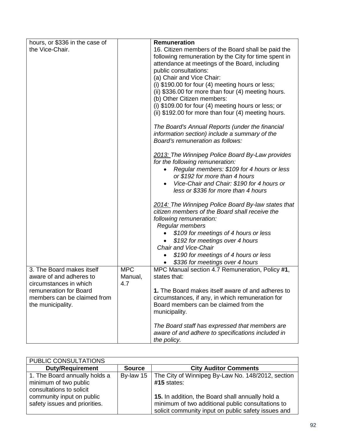| hours, or \$336 in the case of                   |            | Remuneration                                                                      |
|--------------------------------------------------|------------|-----------------------------------------------------------------------------------|
| the Vice-Chair.                                  |            | 16. Citizen members of the Board shall be paid the                                |
|                                                  |            | following remuneration by the City for time spent in                              |
|                                                  |            | attendance at meetings of the Board, including                                    |
|                                                  |            | public consultations:                                                             |
|                                                  |            | (a) Chair and Vice Chair:                                                         |
|                                                  |            | (i) \$190.00 for four (4) meeting hours or less;                                  |
|                                                  |            | (ii) \$336.00 for more than four (4) meeting hours.                               |
|                                                  |            | (b) Other Citizen members:<br>(i) \$109.00 for four (4) meeting hours or less; or |
|                                                  |            | (ii) \$192.00 for more than four (4) meeting hours.                               |
|                                                  |            |                                                                                   |
|                                                  |            | The Board's Annual Reports (under the financial                                   |
|                                                  |            | information section) include a summary of the                                     |
|                                                  |            | Board's remuneration as follows:                                                  |
|                                                  |            | 2013: The Winnipeg Police Board By-Law provides                                   |
|                                                  |            | for the following remuneration:                                                   |
|                                                  |            | Regular members: \$109 for 4 hours or less                                        |
|                                                  |            | or \$192 for more than 4 hours                                                    |
|                                                  |            | Vice-Chair and Chair: \$190 for 4 hours or                                        |
|                                                  |            | less or \$336 for more than 4 hours                                               |
|                                                  |            | 2014: The Winnipeg Police Board By-law states that                                |
|                                                  |            | citizen members of the Board shall receive the                                    |
|                                                  |            | following remuneration:                                                           |
|                                                  |            | Regular members                                                                   |
|                                                  |            | \$109 for meetings of 4 hours or less                                             |
|                                                  |            | \$192 for meetings over 4 hours                                                   |
|                                                  |            | <b>Chair and Vice-Chair</b>                                                       |
|                                                  |            | \$190 for meetings of 4 hours or less                                             |
|                                                  |            | \$336 for meetings over 4 hours                                                   |
| 3. The Board makes itself                        | <b>MPC</b> | MPC Manual section 4.7 Remuneration, Policy #1,                                   |
| aware of and adheres to                          | Manual,    | states that:                                                                      |
| circumstances in which<br>remuneration for Board | 4.7        | 1. The Board makes itself aware of and adheres to                                 |
| members can be claimed from                      |            | circumstances, if any, in which remuneration for                                  |
| the municipality.                                |            | Board members can be claimed from the                                             |
|                                                  |            | municipality.                                                                     |
|                                                  |            |                                                                                   |
|                                                  |            | The Board staff has expressed that members are                                    |
|                                                  |            | aware of and adhere to specifications included in                                 |
|                                                  |            | the policy.                                                                       |

| PUBLIC CONSULTATIONS                                                                                                                             |               |                                                                                                                                                                                                                                    |
|--------------------------------------------------------------------------------------------------------------------------------------------------|---------------|------------------------------------------------------------------------------------------------------------------------------------------------------------------------------------------------------------------------------------|
| <b>Duty/Requirement</b>                                                                                                                          | <b>Source</b> | <b>City Auditor Comments</b>                                                                                                                                                                                                       |
| 1. The Board annually holds a<br>minimum of two public<br>consultations to solicit<br>community input on public<br>safety issues and priorities. | By-law 15     | The City of Winnipeg By-Law No. 148/2012, section<br>$#15$ states:<br>15. In addition, the Board shall annually hold a<br>minimum of two additional public consultations to<br>solicit community input on public safety issues and |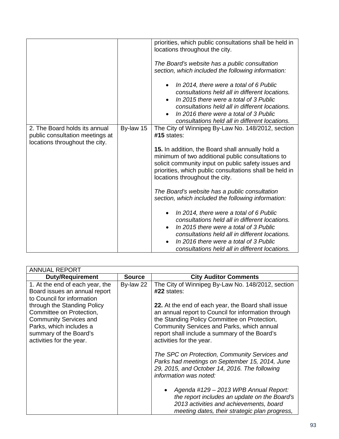|                                                                                                    |           | priorities, which public consultations shall be held in<br>locations throughout the city.                                                                                                                                                                                         |
|----------------------------------------------------------------------------------------------------|-----------|-----------------------------------------------------------------------------------------------------------------------------------------------------------------------------------------------------------------------------------------------------------------------------------|
|                                                                                                    |           | The Board's website has a public consultation<br>section, which included the following information:                                                                                                                                                                               |
|                                                                                                    |           | In 2014, there were a total of 6 Public<br>consultations held all in different locations.<br>In 2015 there were a total of 3 Public<br>consultations held all in different locations.<br>In 2016 there were a total of 3 Public                                                   |
|                                                                                                    |           | consultations held all in different locations.                                                                                                                                                                                                                                    |
| 2. The Board holds its annual<br>public consultation meetings at<br>locations throughout the city. | By-law 15 | The City of Winnipeg By-Law No. 148/2012, section<br>$#15$ states:                                                                                                                                                                                                                |
|                                                                                                    |           | 15. In addition, the Board shall annually hold a<br>minimum of two additional public consultations to<br>solicit community input on public safety issues and<br>priorities, which public consultations shall be held in<br>locations throughout the city.                         |
|                                                                                                    |           | The Board's website has a public consultation<br>section, which included the following information:                                                                                                                                                                               |
|                                                                                                    |           | In 2014, there were a total of 6 Public<br>consultations held all in different locations.<br>In 2015 there were a total of 3 Public<br>consultations held all in different locations.<br>In 2016 there were a total of 3 Public<br>consultations held all in different locations. |

| <b>ANNUAL REPORT</b>                                                                                                                                                      |               |                                                                                                                                                                                                                                                                                      |  |
|---------------------------------------------------------------------------------------------------------------------------------------------------------------------------|---------------|--------------------------------------------------------------------------------------------------------------------------------------------------------------------------------------------------------------------------------------------------------------------------------------|--|
| <b>Duty/Requirement</b>                                                                                                                                                   | <b>Source</b> | <b>City Auditor Comments</b>                                                                                                                                                                                                                                                         |  |
| 1. At the end of each year, the<br>Board issues an annual report<br>to Council for information                                                                            | By-law 22     | The City of Winnipeg By-Law No. 148/2012, section<br>#22 states:                                                                                                                                                                                                                     |  |
| through the Standing Policy<br>Committee on Protection,<br><b>Community Services and</b><br>Parks, which includes a<br>summary of the Board's<br>activities for the year. |               | 22. At the end of each year, the Board shall issue<br>an annual report to Council for information through<br>the Standing Policy Committee on Protection,<br>Community Services and Parks, which annual<br>report shall include a summary of the Board's<br>activities for the year. |  |
|                                                                                                                                                                           |               | The SPC on Protection, Community Services and<br>Parks had meetings on September 15, 2014, June<br>29, 2015, and October 14, 2016. The following<br>information was noted:                                                                                                           |  |
|                                                                                                                                                                           |               | Agenda #129 - 2013 WPB Annual Report:<br>the report includes an update on the Board's<br>2013 activities and achievements, board<br>meeting dates, their strategic plan progress,                                                                                                    |  |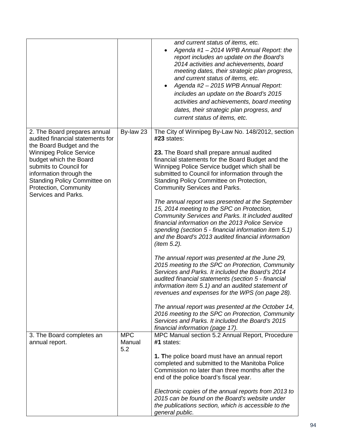|                                                                                                                                                                                                                                                                                                      |                             | and current status of items, etc.<br>Agenda #1 - 2014 WPB Annual Report: the<br>report includes an update on the Board's<br>2014 activities and achievements, board<br>meeting dates, their strategic plan progress,<br>and current status of items, etc.<br>Agenda #2 - 2015 WPB Annual Report:<br>$\bullet$<br>includes an update on the Board's 2015<br>activities and achievements, board meeting<br>dates, their strategic plan progress, and<br>current status of items, etc.                                                                                                                                                                                                                                                                                                                                                                                                                                                                                                                                                                                                                                                                                                                                                    |
|------------------------------------------------------------------------------------------------------------------------------------------------------------------------------------------------------------------------------------------------------------------------------------------------------|-----------------------------|----------------------------------------------------------------------------------------------------------------------------------------------------------------------------------------------------------------------------------------------------------------------------------------------------------------------------------------------------------------------------------------------------------------------------------------------------------------------------------------------------------------------------------------------------------------------------------------------------------------------------------------------------------------------------------------------------------------------------------------------------------------------------------------------------------------------------------------------------------------------------------------------------------------------------------------------------------------------------------------------------------------------------------------------------------------------------------------------------------------------------------------------------------------------------------------------------------------------------------------|
| 2. The Board prepares annual<br>audited financial statements for<br>the Board Budget and the<br><b>Winnipeg Police Service</b><br>budget which the Board<br>submits to Council for<br>information through the<br><b>Standing Policy Committee on</b><br>Protection, Community<br>Services and Parks. | By-law 23                   | The City of Winnipeg By-Law No. 148/2012, section<br>$#23$ states:<br>23. The Board shall prepare annual audited<br>financial statements for the Board Budget and the<br>Winnipeg Police Service budget which shall be<br>submitted to Council for information through the<br>Standing Policy Committee on Protection,<br><b>Community Services and Parks.</b><br>The annual report was presented at the September<br>15, 2014 meeting to the SPC on Protection,<br>Community Services and Parks. It included audited<br>financial information on the 2013 Police Service<br>spending (section 5 - financial information item 5.1)<br>and the Board's 2013 audited financial information<br>(item $5.2$ ).<br>The annual report was presented at the June 29,<br>2015 meeting to the SPC on Protection, Community<br>Services and Parks. It included the Board's 2014<br>audited financial statements (section 5 - financial<br>information item 5.1) and an audited statement of<br>revenues and expenses for the WPS (on page 28).<br>The annual report was presented at the October 14,<br>2016 meeting to the SPC on Protection, Community<br>Services and Parks. It included the Board's 2015<br>financial information (page 17). |
| 3. The Board completes an<br>annual report.                                                                                                                                                                                                                                                          | <b>MPC</b><br>Manual<br>5.2 | MPC Manual section 5.2 Annual Report, Procedure<br>#1 states:<br>1. The police board must have an annual report<br>completed and submitted to the Manitoba Police<br>Commission no later than three months after the<br>end of the police board's fiscal year.<br>Electronic copies of the annual reports from 2013 to<br>2015 can be found on the Board's website under<br>the publications section, which is accessible to the<br>general public.                                                                                                                                                                                                                                                                                                                                                                                                                                                                                                                                                                                                                                                                                                                                                                                    |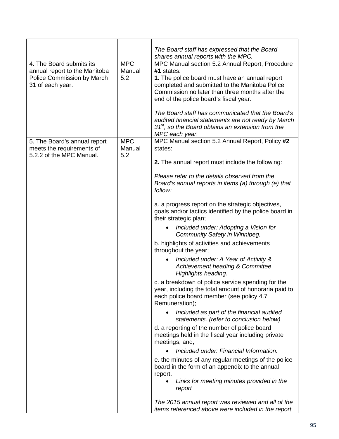|                                                                                                             |                             | The Board staff has expressed that the Board                                                                                                                                                                                                                                                                                                               |
|-------------------------------------------------------------------------------------------------------------|-----------------------------|------------------------------------------------------------------------------------------------------------------------------------------------------------------------------------------------------------------------------------------------------------------------------------------------------------------------------------------------------------|
| 4. The Board submits its<br>annual report to the Manitoba<br>Police Commission by March<br>31 of each year. | <b>MPC</b><br>Manual<br>5.2 | shares annual reports with the MPC.<br>MPC Manual section 5.2 Annual Report, Procedure<br>#1 states:<br>1. The police board must have an annual report<br>completed and submitted to the Manitoba Police<br>Commission no later than three months after the<br>end of the police board's fiscal year.<br>The Board staff has communicated that the Board's |
|                                                                                                             |                             | audited financial statements are not ready by March<br>$31st$ , so the Board obtains an extension from the<br>MPC each year.                                                                                                                                                                                                                               |
| 5. The Board's annual report<br>meets the requirements of<br>5.2.2 of the MPC Manual.                       | <b>MPC</b><br>Manual<br>5.2 | MPC Manual section 5.2 Annual Report, Policy #2<br>states:                                                                                                                                                                                                                                                                                                 |
|                                                                                                             |                             | 2. The annual report must include the following:                                                                                                                                                                                                                                                                                                           |
|                                                                                                             |                             | Please refer to the details observed from the<br>Board's annual reports in items (a) through (e) that<br>follow:                                                                                                                                                                                                                                           |
|                                                                                                             |                             | a. a progress report on the strategic objectives,<br>goals and/or tactics identified by the police board in<br>their strategic plan;                                                                                                                                                                                                                       |
|                                                                                                             |                             | Included under: Adopting a Vision for<br>Community Safety in Winnipeg.                                                                                                                                                                                                                                                                                     |
|                                                                                                             |                             | b. highlights of activities and achievements<br>throughout the year;                                                                                                                                                                                                                                                                                       |
|                                                                                                             |                             | Included under: A Year of Activity &<br>Achievement heading & Committee<br>Highlights heading.                                                                                                                                                                                                                                                             |
|                                                                                                             |                             | c. a breakdown of police service spending for the<br>year, including the total amount of honoraria paid to<br>each police board member (see policy 4.7<br>Remuneration);                                                                                                                                                                                   |
|                                                                                                             |                             | Included as part of the financial audited<br>statements. (refer to conclusion below)                                                                                                                                                                                                                                                                       |
|                                                                                                             |                             | d. a reporting of the number of police board<br>meetings held in the fiscal year including private<br>meetings; and,                                                                                                                                                                                                                                       |
|                                                                                                             |                             | Included under: Financial Information.                                                                                                                                                                                                                                                                                                                     |
|                                                                                                             |                             | e. the minutes of any regular meetings of the police<br>board in the form of an appendix to the annual<br>report.                                                                                                                                                                                                                                          |
|                                                                                                             |                             | Links for meeting minutes provided in the<br>report                                                                                                                                                                                                                                                                                                        |
|                                                                                                             |                             | The 2015 annual report was reviewed and all of the<br>items referenced above were included in the report                                                                                                                                                                                                                                                   |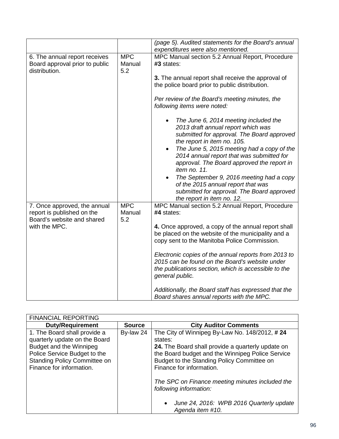|                                                            |                      | (page 5). Audited statements for the Board's annual<br>expenditures were also mentioned.                                                                                                                                                                                                                                                                                                                                                                       |
|------------------------------------------------------------|----------------------|----------------------------------------------------------------------------------------------------------------------------------------------------------------------------------------------------------------------------------------------------------------------------------------------------------------------------------------------------------------------------------------------------------------------------------------------------------------|
| 6. The annual report receives                              | <b>MPC</b>           | MPC Manual section 5.2 Annual Report, Procedure                                                                                                                                                                                                                                                                                                                                                                                                                |
| Board approval prior to public<br>distribution.            | Manual<br>5.2        | #3 states:                                                                                                                                                                                                                                                                                                                                                                                                                                                     |
|                                                            |                      | 3. The annual report shall receive the approval of<br>the police board prior to public distribution.                                                                                                                                                                                                                                                                                                                                                           |
|                                                            |                      | Per review of the Board's meeting minutes, the<br>following items were noted:                                                                                                                                                                                                                                                                                                                                                                                  |
|                                                            |                      | The June 6, 2014 meeting included the<br>2013 draft annual report which was<br>submitted for approval. The Board approved<br>the report in item no. 105.<br>The June 5, 2015 meeting had a copy of the<br>$\bullet$<br>2014 annual report that was submitted for<br>approval. The Board approved the report in<br>item no. 11.<br>The September 9, 2016 meeting had a copy<br>of the 2015 annual report that was<br>submitted for approval. The Board approved |
| 7. Once approved, the annual<br>report is published on the | <b>MPC</b><br>Manual | the report in item no. 12.<br>MPC Manual section 5.2 Annual Report, Procedure<br>#4 states:                                                                                                                                                                                                                                                                                                                                                                    |
| Board's website and shared<br>with the MPC.                | 5.2                  | 4. Once approved, a copy of the annual report shall<br>be placed on the website of the municipality and a<br>copy sent to the Manitoba Police Commission.                                                                                                                                                                                                                                                                                                      |
|                                                            |                      | Electronic copies of the annual reports from 2013 to<br>2015 can be found on the Board's website under<br>the publications section, which is accessible to the<br>general public.                                                                                                                                                                                                                                                                              |
|                                                            |                      | Additionally, the Board staff has expressed that the<br>Board shares annual reports with the MPC.                                                                                                                                                                                                                                                                                                                                                              |

| <b>FINANCIAL REPORTING</b>                                                                                                                                                                  |               |                                                                                                                                                                                                                                                                                                                                                                                                       |
|---------------------------------------------------------------------------------------------------------------------------------------------------------------------------------------------|---------------|-------------------------------------------------------------------------------------------------------------------------------------------------------------------------------------------------------------------------------------------------------------------------------------------------------------------------------------------------------------------------------------------------------|
| <b>Duty/Requirement</b>                                                                                                                                                                     | <b>Source</b> | <b>City Auditor Comments</b>                                                                                                                                                                                                                                                                                                                                                                          |
| 1. The Board shall provide a<br>quarterly update on the Board<br>Budget and the Winnipeg<br>Police Service Budget to the<br><b>Standing Policy Committee on</b><br>Finance for information. | By-law 24     | The City of Winnipeg By-Law No. 148/2012, #24<br>states:<br>24. The Board shall provide a quarterly update on<br>the Board budget and the Winnipeg Police Service<br>Budget to the Standing Policy Committee on<br>Finance for information.<br>The SPC on Finance meeting minutes included the<br>following information:<br>June 24, 2016: WPB 2016 Quarterly update<br>$\bullet$<br>Agenda item #10. |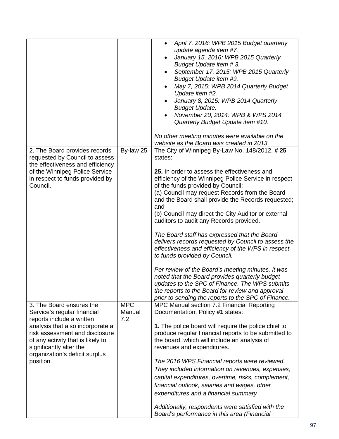|                                                                                                                                                                                                                                                                           |                             | April 7, 2016: WPB 2015 Budget quarterly<br>$\bullet$<br>update agenda item #7.<br>January 15, 2016: WPB 2015 Quarterly<br>Budget Update item #3.<br>September 17, 2015: WPB 2015 Quarterly<br>Budget Update item #9.<br>May 7, 2015: WPB 2014 Quarterly Budget<br>Update item #2.<br>January 8, 2015: WPB 2014 Quarterly<br><b>Budget Update.</b><br>November 20, 2014: WPB & WPS 2014<br>Quarterly Budget Update item #10.<br>No other meeting minutes were available on the<br>website as the Board was created in 2013.                                                                                                                                                                                                                                                                                                                                                              |
|---------------------------------------------------------------------------------------------------------------------------------------------------------------------------------------------------------------------------------------------------------------------------|-----------------------------|------------------------------------------------------------------------------------------------------------------------------------------------------------------------------------------------------------------------------------------------------------------------------------------------------------------------------------------------------------------------------------------------------------------------------------------------------------------------------------------------------------------------------------------------------------------------------------------------------------------------------------------------------------------------------------------------------------------------------------------------------------------------------------------------------------------------------------------------------------------------------------------|
| 2. The Board provides records<br>requested by Council to assess<br>the effectiveness and efficiency<br>of the Winnipeg Police Service<br>in respect to funds provided by<br>Council.                                                                                      | By-law 25                   | The City of Winnipeg By-Law No. 148/2012, #25<br>states:<br>25. In order to assess the effectiveness and<br>efficiency of the Winnipeg Police Service in respect<br>of the funds provided by Council:<br>(a) Council may request Records from the Board<br>and the Board shall provide the Records requested;<br>and<br>(b) Council may direct the City Auditor or external<br>auditors to audit any Records provided.<br>The Board staff has expressed that the Board<br>delivers records requested by Council to assess the<br>effectiveness and efficiency of the WPS in respect<br>to funds provided by Council.<br>Per review of the Board's meeting minutes, it was<br>noted that the Board provides quarterly budget<br>updates to the SPC of Finance. The WPS submits<br>the reports to the Board for review and approval<br>prior to sending the reports to the SPC of Finance. |
| 3. The Board ensures the<br>Service's regular financial<br>reports include a written<br>analysis that also incorporate a<br>risk assessment and disclosure<br>of any activity that is likely to<br>significantly alter the<br>organization's deficit surplus<br>position. | <b>MPC</b><br>Manual<br>7.2 | MPC Manual section 7.2 Financial Reporting<br>Documentation, Policy #1 states:<br>1. The police board will require the police chief to<br>produce regular financial reports to be submitted to<br>the board, which will include an analysis of<br>revenues and expenditures.<br>The 2016 WPS Financial reports were reviewed.<br>They included information on revenues, expenses,<br>capital expenditures, overtime, risks, complement,<br>financial outlook, salaries and wages, other<br>expenditures and a financial summary<br>Additionally, respondents were satisfied with the<br>Board's performance in this area (Financial                                                                                                                                                                                                                                                      |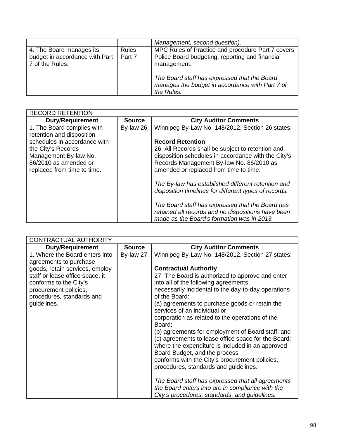|                                                                               |                        | Management, second question).                                                                                       |
|-------------------------------------------------------------------------------|------------------------|---------------------------------------------------------------------------------------------------------------------|
| 4. The Board manages its<br>budget in accordance with Part<br>7 of the Rules. | <b>Rules</b><br>Part 7 | MPC Rules of Practice and procedure Part 7 covers<br>Police Board budgeting, reporting and financial<br>management. |
|                                                                               |                        | The Board staff has expressed that the Board<br>manages the budget in accordance with Part 7 of<br>the Rules.       |

| <b>RECORD RETENTION</b>                                 |               |                                                       |
|---------------------------------------------------------|---------------|-------------------------------------------------------|
| <b>Duty/Requirement</b>                                 | <b>Source</b> | <b>City Auditor Comments</b>                          |
| 1. The Board complies with<br>retention and disposition | By-law 26     | Winnipeg By-Law No. 148/2012, Section 26 states:      |
| schedules in accordance with                            |               | <b>Record Retention</b>                               |
| the City's Records                                      |               | 26. All Records shall be subject to retention and     |
| Management By-law No.                                   |               | disposition schedules in accordance with the City's   |
| 86/2010 as amended or                                   |               | Records Management By-law No. 86/2010 as              |
| replaced from time to time.                             |               | amended or replaced from time to time.                |
|                                                         |               |                                                       |
|                                                         |               | The By-law has established different retention and    |
|                                                         |               | disposition timelines for different types of records. |
|                                                         |               |                                                       |
|                                                         |               | The Board staff has expressed that the Board has      |
|                                                         |               | retained all records and no dispositions have been    |
|                                                         |               | made as the Board's formation was in 2013.            |

| <b>CONTRACTUAL AUTHORITY</b>                                                                                                                                                     |               |                                                                                                                                                                                                                                                                                                                                                                                                                                                                                                                                                                                                                    |
|----------------------------------------------------------------------------------------------------------------------------------------------------------------------------------|---------------|--------------------------------------------------------------------------------------------------------------------------------------------------------------------------------------------------------------------------------------------------------------------------------------------------------------------------------------------------------------------------------------------------------------------------------------------------------------------------------------------------------------------------------------------------------------------------------------------------------------------|
| <b>Duty/Requirement</b>                                                                                                                                                          | <b>Source</b> | <b>City Auditor Comments</b>                                                                                                                                                                                                                                                                                                                                                                                                                                                                                                                                                                                       |
| 1. Where the Board enters into<br>agreements to purchase<br>goods, retain services, employ<br>staff or lease office space, it<br>conforms to the City's<br>procurement policies, | By-law 27     | Winnipeg By-Law No. 148/2012, Section 27 states:<br><b>Contractual Authority</b><br>27. The Board is authorized to approve and enter<br>into all of the following agreements<br>necessarily incidental to the day-to-day operations                                                                                                                                                                                                                                                                                                                                                                                |
| procedures, standards and<br>guidelines.                                                                                                                                         |               | of the Board:<br>(a) agreements to purchase goods or retain the<br>services of an individual or<br>corporation as related to the operations of the<br>Board:<br>(b) agreements for employment of Board staff; and<br>(c) agreements to lease office space for the Board;<br>where the expenditure is included in an approved<br>Board Budget, and the process<br>conforms with the City's procurement policies,<br>procedures, standards and guidelines.<br>The Board staff has expressed that all agreements<br>the Board enters into are in compliance with the<br>City's procedures, standards, and guidelines. |